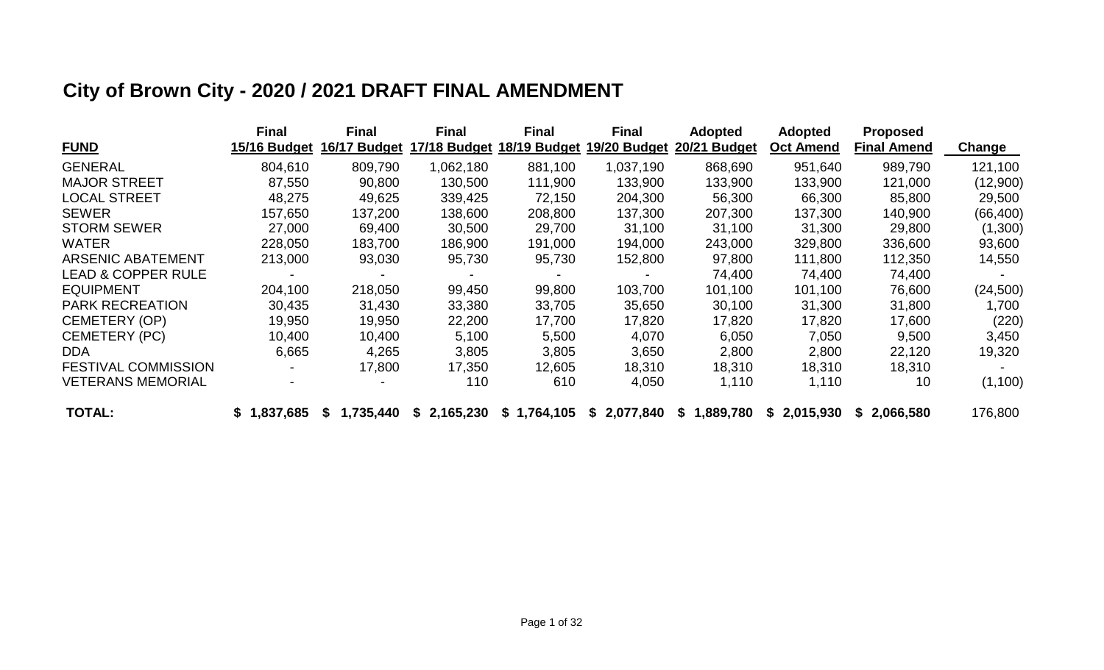# **City of Brown City - 2020 / 2021 DRAFT FINAL AMENDMENT**

|                               | <b>Final</b> | <b>Final</b>     | <b>Final</b> | <b>Final</b> | <b>Final</b> | <b>Adopted</b> | <b>Adopted</b>   | <b>Proposed</b> |               |
|-------------------------------|--------------|------------------|--------------|--------------|--------------|----------------|------------------|-----------------|---------------|
| <b>FUND</b>                   | 15/16 Budget | 16/17 Budget     | 17/18 Budget | 18/19 Budget | 19/20 Budget | 20/21 Budget   | <b>Oct Amend</b> | Final Amend     | <b>Change</b> |
| <b>GENERAL</b>                | 804,610      | 809,790          | 1,062,180    | 881,100      | 1,037,190    | 868,690        | 951,640          | 989,790         | 121,100       |
| <b>MAJOR STREET</b>           | 87,550       | 90,800           | 130,500      | 111,900      | 133,900      | 133,900        | 133,900          | 121,000         | (12,900)      |
| <b>LOCAL STREET</b>           | 48,275       | 49,625           | 339,425      | 72,150       | 204,300      | 56,300         | 66,300           | 85,800          | 29,500        |
| <b>SEWER</b>                  | 157,650      | 137,200          | 138,600      | 208,800      | 137,300      | 207,300        | 137,300          | 140,900         | (66, 400)     |
| <b>STORM SEWER</b>            | 27,000       | 69,400           | 30,500       | 29,700       | 31,100       | 31,100         | 31,300           | 29,800          | (1,300)       |
| <b>WATER</b>                  | 228,050      | 183,700          | 186,900      | 191,000      | 194,000      | 243,000        | 329,800          | 336,600         | 93,600        |
| <b>ARSENIC ABATEMENT</b>      | 213,000      | 93,030           | 95,730       | 95,730       | 152,800      | 97,800         | 111,800          | 112,350         | 14,550        |
| <b>LEAD &amp; COPPER RULE</b> |              |                  |              |              |              | 74,400         | 74,400           | 74,400          |               |
| <b>EQUIPMENT</b>              | 204,100      | 218,050          | 99,450       | 99,800       | 103,700      | 101,100        | 101,100          | 76,600          | (24, 500)     |
| <b>PARK RECREATION</b>        | 30,435       | 31,430           | 33,380       | 33,705       | 35,650       | 30,100         | 31,300           | 31,800          | 1,700         |
| <b>CEMETERY (OP)</b>          | 19,950       | 19,950           | 22,200       | 17,700       | 17,820       | 17,820         | 17,820           | 17,600          | (220)         |
| <b>CEMETERY (PC)</b>          | 10,400       | 10,400           | 5,100        | 5,500        | 4,070        | 6,050          | 7,050            | 9,500           | 3,450         |
| <b>DDA</b>                    | 6,665        | 4,265            | 3,805        | 3,805        | 3,650        | 2,800          | 2,800            | 22,120          | 19,320        |
| <b>FESTIVAL COMMISSION</b>    |              | 17,800           | 17,350       | 12,605       | 18,310       | 18,310         | 18,310           | 18,310          |               |
| <b>VETERANS MEMORIAL</b>      |              |                  | 110          | 610          | 4,050        | 1,110          | 1,110            | 10              | (1, 100)      |
| <b>TOTAL:</b>                 | \$1,837,685  | 1,735,440<br>ЗS. | \$2,165,230  | \$1,764,105  | \$2,077,840  | \$1,889,780    | \$2,015,930      | \$2,066,580     | 176,800       |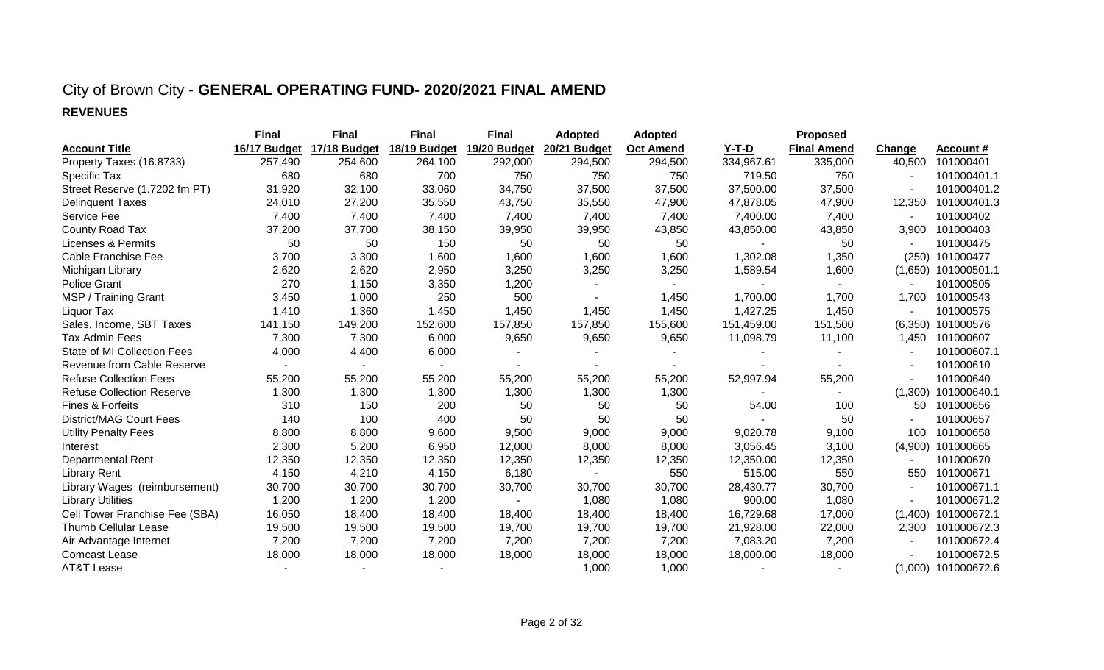#### City of Brown City - **GENERAL OPERATING FUND- 2020/2021 FINAL AMEND REVENUES**

|                                  | <b>Final</b> | <b>Final</b> | <b>Final</b> | <b>Final</b> | <b>Adopted</b> | <b>Adopted</b>   |            | Proposed           |               |                  |
|----------------------------------|--------------|--------------|--------------|--------------|----------------|------------------|------------|--------------------|---------------|------------------|
| <b>Account Title</b>             | 16/17 Budget | 17/18 Budget | 18/19 Budget | 19/20 Budget | 20/21 Budget   | <b>Oct Amend</b> | $Y-T-D$    | <b>Final Amend</b> | <b>Change</b> | <b>Account #</b> |
| Property Taxes (16.8733)         | 257,490      | 254,600      | 264,100      | 292,000      | 294,500        | 294,500          | 334,967.61 | 335,000            | 40,500        | 101000401        |
| Specific Tax                     | 680          | 680          | 700          | 750          | 750            | 750              | 719.50     | 750                |               | 101000401.1      |
| Street Reserve (1.7202 fm PT)    | 31,920       | 32,100       | 33,060       | 34,750       | 37,500         | 37,500           | 37,500.00  | 37,500             |               | 101000401.2      |
| <b>Delinquent Taxes</b>          | 24,010       | 27,200       | 35,550       | 43,750       | 35,550         | 47,900           | 47,878.05  | 47,900             | 12,350        | 101000401.3      |
| Service Fee                      | 7,400        | 7,400        | 7,400        | 7,400        | 7,400          | 7,400            | 7,400.00   | 7,400              |               | 101000402        |
| County Road Tax                  | 37,200       | 37,700       | 38,150       | 39,950       | 39,950         | 43,850           | 43,850.00  | 43,850             | 3,900         | 101000403        |
| <b>Licenses &amp; Permits</b>    | 50           | 50           | 150          | 50           | 50             | 50               |            | 50                 |               | 101000475        |
| Cable Franchise Fee              | 3,700        | 3,300        | 1,600        | 1,600        | 1,600          | 1,600            | 1,302.08   | 1,350              | (250)         | 101000477        |
| Michigan Library                 | 2,620        | 2,620        | 2,950        | 3,250        | 3,250          | 3,250            | 1,589.54   | 1,600              | (1,650)       | 101000501.1      |
| <b>Police Grant</b>              | 270          | 1,150        | 3,350        | 1,200        |                |                  |            |                    |               | 101000505        |
| MSP / Training Grant             | 3,450        | 1,000        | 250          | 500          |                | 1,450            | 1,700.00   | 1,700              | 1.700         | 101000543        |
| Liquor Tax                       | 1,410        | 1,360        | 1,450        | 1,450        | 1,450          | 1,450            | 1,427.25   | 1,450              |               | 101000575        |
| Sales, Income, SBT Taxes         | 141,150      | 149,200      | 152,600      | 157,850      | 157,850        | 155,600          | 151,459.00 | 151,500            | (6,350)       | 101000576        |
| <b>Tax Admin Fees</b>            | 7,300        | 7,300        | 6,000        | 9,650        | 9,650          | 9,650            | 11,098.79  | 11,100             | 1,450         | 101000607        |
| State of MI Collection Fees      | 4,000        | 4,400        | 6,000        |              |                |                  |            |                    |               | 101000607.1      |
| Revenue from Cable Reserve       |              |              |              |              |                |                  |            |                    |               | 101000610        |
| <b>Refuse Collection Fees</b>    | 55,200       | 55,200       | 55,200       | 55,200       | 55,200         | 55,200           | 52,997.94  | 55,200             |               | 101000640        |
| <b>Refuse Collection Reserve</b> | 1,300        | 1,300        | 1,300        | 1,300        | 1,300          | 1,300            |            |                    | (1,300)       | 101000640.1      |
| Fines & Forfeits                 | 310          | 150          | 200          | 50           | 50             | 50               | 54.00      | 100                | 50            | 101000656        |
| <b>District/MAG Court Fees</b>   | 140          | 100          | 400          | 50           | 50             | 50               |            | 50                 |               | 101000657        |
| <b>Utility Penalty Fees</b>      | 8,800        | 8,800        | 9,600        | 9,500        | 9,000          | 9,000            | 9,020.78   | 9,100              | 100           | 101000658        |
| Interest                         | 2,300        | 5,200        | 6,950        | 12,000       | 8,000          | 8,000            | 3,056.45   | 3,100              | (4,900)       | 101000665        |
| <b>Departmental Rent</b>         | 12,350       | 12,350       | 12,350       | 12,350       | 12,350         | 12,350           | 12,350.00  | 12,350             |               | 101000670        |
| <b>Library Rent</b>              | 4,150        | 4,210        | 4,150        | 6,180        |                | 550              | 515.00     | 550                | 550           | 101000671        |
| Library Wages (reimbursement)    | 30,700       | 30,700       | 30,700       | 30,700       | 30,700         | 30,700           | 28,430.77  | 30,700             |               | 101000671.1      |
| <b>Library Utilities</b>         | 1,200        | 1,200        | 1,200        |              | 1,080          | 1,080            | 900.00     | 1,080              |               | 101000671.2      |
| Cell Tower Franchise Fee (SBA)   | 16,050       | 18,400       | 18,400       | 18,400       | 18,400         | 18,400           | 16,729.68  | 17,000             | (1,400)       | 101000672.1      |
| <b>Thumb Cellular Lease</b>      | 19,500       | 19,500       | 19,500       | 19,700       | 19,700         | 19,700           | 21,928.00  | 22,000             | 2,300         | 101000672.3      |
| Air Advantage Internet           | 7,200        | 7,200        | 7,200        | 7,200        | 7,200          | 7,200            | 7,083.20   | 7,200              |               | 101000672.4      |
| <b>Comcast Lease</b>             | 18,000       | 18,000       | 18,000       | 18,000       | 18,000         | 18,000           | 18,000.00  | 18,000             |               | 101000672.5      |
| <b>AT&amp;T Lease</b>            |              |              |              |              | 1,000          | 1,000            |            |                    | (1,000)       | 101000672.6      |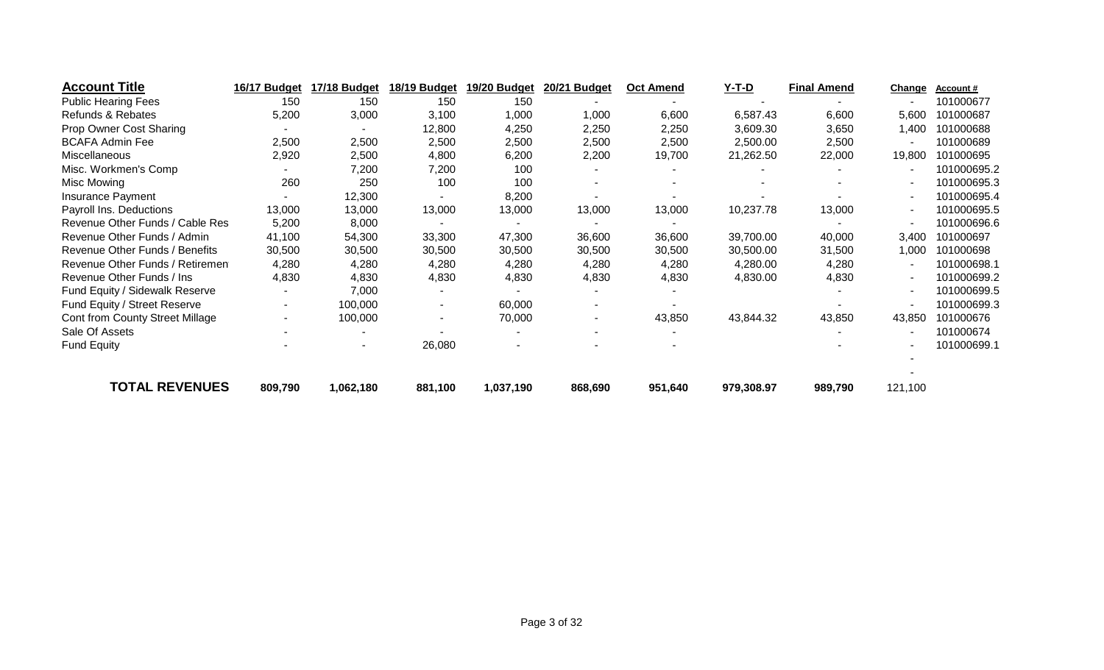| <b>Account Title</b>            | 16/17 Budget | 17/18 Budget | 18/19 Budget   | 19/20 Budget | 20/21 Budget | <b>Oct Amend</b> | $Y-T-D$    | <b>Final Amend</b> | <b>Change</b> | Account#    |
|---------------------------------|--------------|--------------|----------------|--------------|--------------|------------------|------------|--------------------|---------------|-------------|
| <b>Public Hearing Fees</b>      | 150          | 150          | 150            | 150          |              |                  |            |                    |               | 101000677   |
| Refunds & Rebates               | 5,200        | 3,000        | 3,100          | 1,000        | 1,000        | 6,600            | 6,587.43   | 6,600              | 5,600         | 101000687   |
| Prop Owner Cost Sharing         |              |              | 12,800         | 4,250        | 2,250        | 2,250            | 3,609.30   | 3,650              | 1,400         | 101000688   |
| <b>BCAFA Admin Fee</b>          | 2,500        | 2,500        | 2,500          | 2,500        | 2,500        | 2,500            | 2,500.00   | 2,500              |               | 101000689   |
| Miscellaneous                   | 2,920        | 2,500        | 4,800          | 6,200        | 2,200        | 19,700           | 21,262.50  | 22,000             | 19,800        | 101000695   |
| Misc. Workmen's Comp            |              | 7,200        | 7,200          | 100          |              |                  |            |                    |               | 101000695.2 |
| Misc Mowing                     | 260          | 250          | 100            | 100          |              |                  |            |                    |               | 101000695.3 |
| Insurance Payment               |              | 12,300       |                | 8,200        |              |                  |            |                    |               | 101000695.4 |
| Payroll Ins. Deductions         | 13,000       | 13,000       | 13,000         | 13,000       | 13,000       | 13,000           | 10,237.78  | 13,000             |               | 101000695.5 |
| Revenue Other Funds / Cable Res | 5,200        | 8,000        |                |              |              |                  |            |                    |               | 101000696.6 |
| Revenue Other Funds / Admin     | 41,100       | 54,300       | 33,300         | 47,300       | 36,600       | 36,600           | 39,700.00  | 40,000             | 3,400         | 101000697   |
| Revenue Other Funds / Benefits  | 30,500       | 30,500       | 30,500         | 30,500       | 30,500       | 30,500           | 30,500.00  | 31,500             | 1,000         | 101000698   |
| Revenue Other Funds / Retiremen | 4,280        | 4,280        | 4,280          | 4,280        | 4,280        | 4,280            | 4,280.00   | 4,280              |               | 101000698.1 |
| Revenue Other Funds / Ins       | 4,830        | 4,830        | 4,830          | 4,830        | 4,830        | 4,830            | 4,830.00   | 4,830              |               | 101000699.2 |
| Fund Equity / Sidewalk Reserve  |              | 7,000        |                |              |              |                  |            |                    |               | 101000699.5 |
| Fund Equity / Street Reserve    | ۰.           | 100,000      | $\sim$         | 60,000       |              |                  |            |                    |               | 101000699.3 |
| Cont from County Street Millage |              | 100,000      | $\blacksquare$ | 70,000       |              | 43,850           | 43,844.32  | 43,850             | 43,850        | 101000676   |
| Sale Of Assets                  |              |              |                |              |              |                  |            |                    |               | 101000674   |
| <b>Fund Equity</b>              |              | ۰            | 26,080         |              |              |                  |            |                    |               | 101000699.1 |
| <b>TOTAL REVENUES</b>           | 809,790      | 1,062,180    | 881,100        | 1,037,190    | 868,690      | 951,640          | 979,308.97 | 989,790            | 121,100       |             |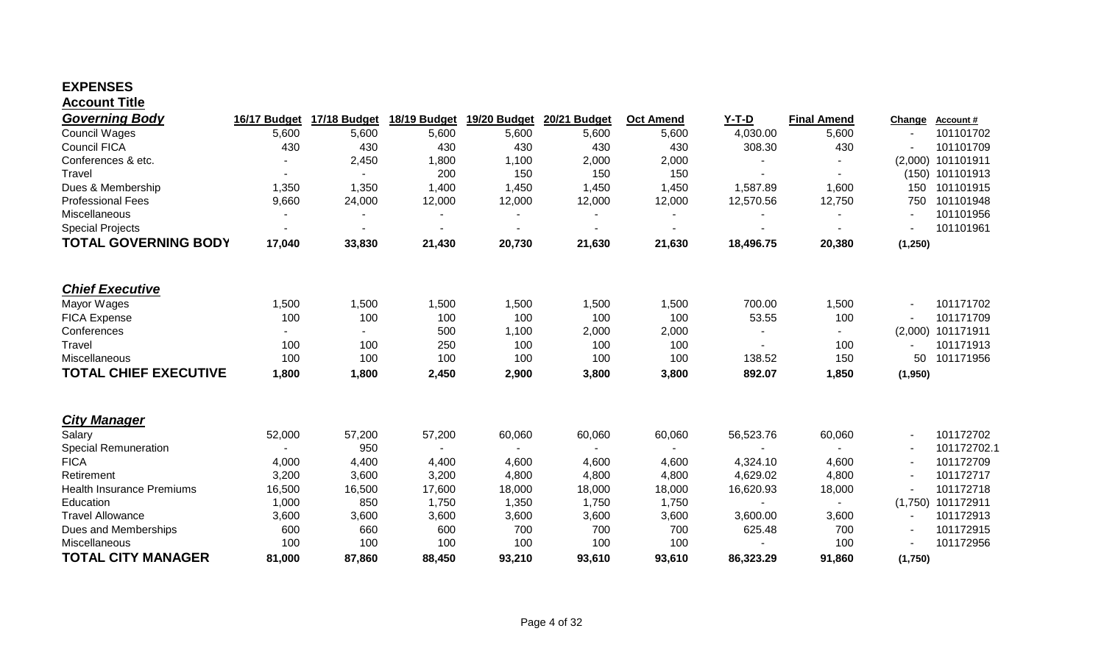#### **EXPENSES Account Title**

| <b>Governing Body</b>            | 16/17 Budget   | 17/18 Budget | 18/19 Budget | 19/20 Budget   | 20/21 Budget | <b>Oct Amend</b> | $Y-T-D$   | <b>Final Amend</b> | Change   | <b>Account#</b>     |
|----------------------------------|----------------|--------------|--------------|----------------|--------------|------------------|-----------|--------------------|----------|---------------------|
| <b>Council Wages</b>             | 5,600          | 5,600        | 5,600        | 5,600          | 5,600        | 5,600            | 4,030.00  | 5,600              |          | 101101702           |
| <b>Council FICA</b>              | 430            | 430          | 430          | 430            | 430          | 430              | 308.30    | 430                |          | 101101709           |
| Conferences & etc.               |                | 2,450        | 1,800        | 1,100          | 2,000        | 2,000            |           |                    | (2,000)  | 101101911           |
| Travel                           |                |              | 200          | 150            | 150          | 150              |           |                    |          | (150) 101101913     |
| Dues & Membership                | 1,350          | 1,350        | 1,400        | 1,450          | 1,450        | 1,450            | 1,587.89  | 1,600              | 150      | 101101915           |
| <b>Professional Fees</b>         | 9,660          | 24,000       | 12,000       | 12,000         | 12,000       | 12,000           | 12,570.56 | 12,750             | 750      | 101101948           |
| Miscellaneous                    |                |              |              |                |              |                  |           |                    |          | 101101956           |
| <b>Special Projects</b>          |                |              | ۰            |                |              | $\blacksquare$   | ٠         |                    |          | 101101961           |
| <b>TOTAL GOVERNING BODY</b>      | 17,040         | 33,830       | 21,430       | 20,730         | 21,630       | 21,630           | 18,496.75 | 20,380             | (1, 250) |                     |
|                                  |                |              |              |                |              |                  |           |                    |          |                     |
| <b>Chief Executive</b>           |                |              |              |                |              |                  |           |                    |          |                     |
| Mayor Wages                      | 1,500          | 1,500        | 1,500        | 1,500          | 1,500        | 1,500            | 700.00    | 1,500              |          | 101171702           |
| <b>FICA Expense</b>              | 100            | 100          | 100          | 100            | 100          | 100              | 53.55     | 100                |          | 101171709           |
| Conferences                      |                |              | 500          | 1,100          | 2,000        | 2,000            |           |                    | (2,000)  | 101171911           |
| Travel                           | 100            | 100          | 250          | 100            | 100          | 100              |           | 100                |          | 101171913           |
| Miscellaneous                    | 100            | 100          | 100          | 100            | 100          | 100              | 138.52    | 150                | 50       | 101171956           |
| <b>TOTAL CHIEF EXECUTIVE</b>     | 1,800          | 1,800        | 2,450        | 2,900          | 3,800        | 3,800            | 892.07    | 1,850              | (1,950)  |                     |
| <b>City Manager</b>              |                |              |              |                |              |                  |           |                    |          |                     |
| Salary                           | 52,000         | 57,200       | 57,200       | 60,060         | 60,060       | 60,060           | 56,523.76 | 60,060             |          | 101172702           |
| <b>Special Remuneration</b>      | $\blacksquare$ | 950          | $\sim$       | $\blacksquare$ |              | $\sim$           | $\sim$    |                    |          | 101172702.1         |
| <b>FICA</b>                      | 4,000          | 4,400        | 4,400        | 4,600          | 4,600        | 4,600            | 4,324.10  | 4,600              |          | 101172709           |
| Retirement                       | 3,200          | 3,600        | 3,200        | 4,800          | 4,800        | 4,800            | 4,629.02  | 4,800              |          | 101172717           |
| <b>Health Insurance Premiums</b> | 16,500         | 16,500       | 17,600       | 18,000         | 18,000       | 18,000           | 16,620.93 | 18,000             |          | 101172718           |
| Education                        | 1,000          | 850          | 1,750        | 1,350          | 1,750        | 1,750            |           | $\blacksquare$     |          | $(1,750)$ 101172911 |
| <b>Travel Allowance</b>          | 3,600          | 3,600        | 3,600        | 3,600          | 3,600        | 3,600            | 3,600.00  | 3,600              |          | 101172913           |
| Dues and Memberships             | 600            | 660          | 600          | 700            | 700          | 700              | 625.48    | 700                |          | 101172915           |
| Miscellaneous                    | 100            | 100          | 100          | 100            | 100          | 100              |           | 100                |          | 101172956           |
| <b>TOTAL CITY MANAGER</b>        |                |              |              |                |              |                  |           |                    |          |                     |
|                                  | 81,000         | 87,860       | 88,450       | 93,210         | 93,610       | 93,610           | 86,323.29 | 91,860             | (1,750)  |                     |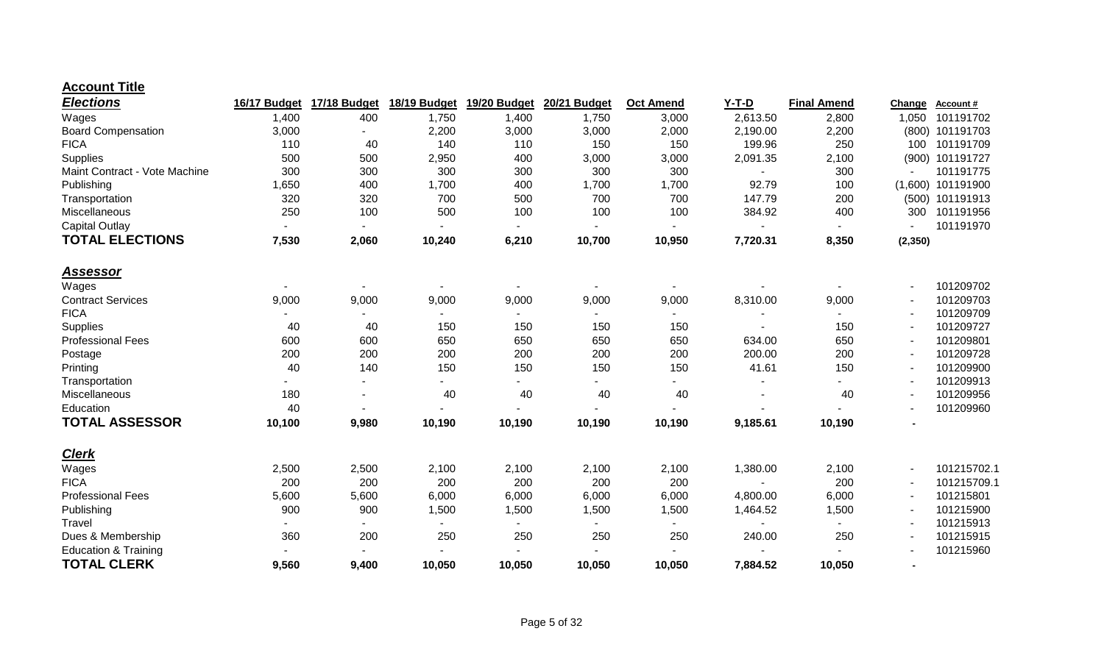#### **Account Title**

| <b>Elections</b>                | 16/17 Budget | 17/18 Budget   | 18/19 Budget | 19/20 Budget | <b>20/21 Budget</b> | <b>Oct Amend</b> | $Y-T-D$  | <b>Final Amend</b> | Change   | <b>Account#</b>     |
|---------------------------------|--------------|----------------|--------------|--------------|---------------------|------------------|----------|--------------------|----------|---------------------|
| Wages                           | 1,400        | 400            | 1,750        | 1,400        | 1,750               | 3,000            | 2,613.50 | 2,800              | 1,050    | 101191702           |
| <b>Board Compensation</b>       | 3,000        |                | 2,200        | 3,000        | 3,000               | 2,000            | 2,190.00 | 2,200              |          | (800) 101191703     |
| <b>FICA</b>                     | 110          | 40             | 140          | 110          | 150                 | 150              | 199.96   | 250                | 100      | 101191709           |
| Supplies                        | 500          | 500            | 2,950        | 400          | 3,000               | 3,000            | 2,091.35 | 2,100              | (900)    | 101191727           |
| Maint Contract - Vote Machine   | 300          | 300            | 300          | 300          | 300                 | 300              |          | 300                |          | 101191775           |
| Publishing                      | 1,650        | 400            | 1,700        | 400          | 1,700               | 1,700            | 92.79    | 100                |          | $(1,600)$ 101191900 |
| Transportation                  | 320          | 320            | 700          | 500          | 700                 | 700              | 147.79   | 200                |          | (500) 101191913     |
| Miscellaneous                   | 250          | 100            | 500          | 100          | 100                 | 100              | 384.92   | 400                | 300      | 101191956           |
| Capital Outlay                  |              |                |              |              |                     |                  |          |                    |          | 101191970           |
| <b>TOTAL ELECTIONS</b>          | 7,530        | 2,060          | 10,240       | 6,210        | 10,700              | 10,950           | 7,720.31 | 8,350              | (2, 350) |                     |
| <u>Assessor</u>                 |              |                |              |              |                     |                  |          |                    |          |                     |
| Wages                           |              |                |              |              |                     |                  |          |                    |          | 101209702           |
| <b>Contract Services</b>        | 9,000        | 9,000          | 9,000        | 9,000        | 9,000               | 9,000            | 8,310.00 | 9,000              |          | 101209703           |
| <b>FICA</b>                     |              |                |              |              |                     |                  |          |                    |          | 101209709           |
| Supplies                        | 40           | 40             | 150          | 150          | 150                 | 150              |          | 150                |          | 101209727           |
| <b>Professional Fees</b>        | 600          | 600            | 650          | 650          | 650                 | 650              | 634.00   | 650                |          | 101209801           |
| Postage                         | 200          | 200            | 200          | 200          | 200                 | 200              | 200.00   | 200                |          | 101209728           |
| Printing                        | 40           | 140            | 150          | 150          | 150                 | 150              | 41.61    | 150                |          | 101209900           |
| Transportation                  |              | $\blacksquare$ |              |              |                     |                  |          |                    |          | 101209913           |
| Miscellaneous                   | 180          |                | 40           | 40           | 40                  | 40               |          | 40                 |          | 101209956           |
| Education                       | 40           |                |              |              |                     |                  |          |                    |          | 101209960           |
| <b>TOTAL ASSESSOR</b>           | 10,100       | 9,980          | 10,190       | 10,190       | 10,190              | 10,190           | 9,185.61 | 10,190             |          |                     |
| <b>Clerk</b>                    |              |                |              |              |                     |                  |          |                    |          |                     |
| Wages                           | 2,500        | 2,500          | 2,100        | 2,100        | 2,100               | 2,100            | 1,380.00 | 2,100              |          | 101215702.1         |
| <b>FICA</b>                     | 200          | 200            | 200          | 200          | 200                 | 200              |          | 200                |          | 101215709.1         |
| <b>Professional Fees</b>        | 5,600        | 5,600          | 6,000        | 6,000        | 6,000               | 6,000            | 4,800.00 | 6,000              |          | 101215801           |
| Publishing                      | 900          | 900            | 1,500        | 1,500        | 1,500               | 1,500            | 1,464.52 | 1,500              |          | 101215900           |
| Travel                          |              |                |              |              |                     |                  |          |                    |          | 101215913           |
| Dues & Membership               | 360          | 200            | 250          | 250          | 250                 | 250              | 240.00   | 250                |          | 101215915           |
| <b>Education &amp; Training</b> |              |                |              |              |                     |                  |          |                    |          | 101215960           |
| <b>TOTAL CLERK</b>              | 9,560        | 9,400          | 10,050       | 10,050       | 10,050              | 10,050           | 7,884.52 | 10,050             |          |                     |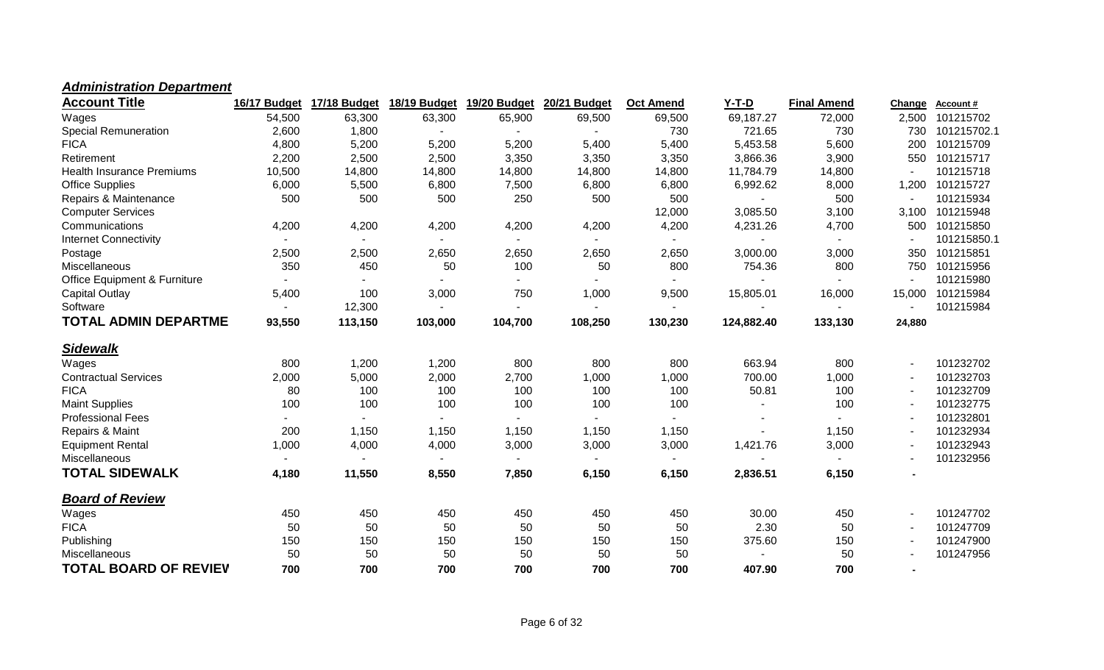#### *Administration Department*

| <b>Account Title</b>                    | 16/17 Budget             | 17/18 Budget             | 18/19 Budget | 19/20 Budget             | 20/21 Budget | <b>Oct Amend</b> | $Y-T-D$    | <b>Final Amend</b> | Change | Account#    |
|-----------------------------------------|--------------------------|--------------------------|--------------|--------------------------|--------------|------------------|------------|--------------------|--------|-------------|
| Wages                                   | 54,500                   | 63,300                   | 63,300       | 65,900                   | 69,500       | 69,500           | 69,187.27  | 72,000             | 2,500  | 101215702   |
| <b>Special Remuneration</b>             | 2,600                    | 1,800                    |              |                          |              | 730              | 721.65     | 730                | 730    | 101215702.1 |
| <b>FICA</b>                             | 4,800                    | 5,200                    | 5,200        | 5,200                    | 5,400        | 5,400            | 5,453.58   | 5,600              | 200    | 101215709   |
| Retirement                              | 2,200                    | 2,500                    | 2,500        | 3,350                    | 3,350        | 3,350            | 3,866.36   | 3,900              | 550    | 101215717   |
| <b>Health Insurance Premiums</b>        | 10,500                   | 14,800                   | 14,800       | 14,800                   | 14,800       | 14,800           | 11,784.79  | 14,800             |        | 101215718   |
| <b>Office Supplies</b>                  | 6,000                    | 5,500                    | 6,800        | 7,500                    | 6,800        | 6,800            | 6,992.62   | 8,000              | 1,200  | 101215727   |
| Repairs & Maintenance                   | 500                      | 500                      | 500          | 250                      | 500          | 500              |            | 500                |        | 101215934   |
| <b>Computer Services</b>                |                          |                          |              |                          |              | 12,000           | 3,085.50   | 3,100              | 3,100  | 101215948   |
| Communications                          | 4,200                    | 4,200                    | 4,200        | 4,200                    | 4,200        | 4,200            | 4,231.26   | 4,700              | 500    | 101215850   |
| <b>Internet Connectivity</b>            |                          | $\overline{\phantom{a}}$ |              |                          |              |                  |            |                    |        | 101215850.1 |
| Postage                                 | 2,500                    | 2,500                    | 2,650        | 2,650                    | 2,650        | 2,650            | 3,000.00   | 3,000              | 350    | 101215851   |
| Miscellaneous                           | 350                      | 450                      | 50           | 100                      | 50           | 800              | 754.36     | 800                | 750    | 101215956   |
| <b>Office Equipment &amp; Furniture</b> | $\sim$                   | $\sim$                   |              | $\overline{\phantom{0}}$ |              | $\sim$           |            |                    |        | 101215980   |
| Capital Outlay                          | 5,400                    | 100                      | 3,000        | 750                      | 1,000        | 9,500            | 15,805.01  | 16,000             | 15,000 | 101215984   |
| Software                                | $\blacksquare$           | 12,300                   |              | ۰.                       |              |                  |            |                    |        | 101215984   |
| <b>TOTAL ADMIN DEPARTME</b>             | 93,550                   | 113,150                  | 103,000      | 104,700                  | 108,250      | 130,230          | 124,882.40 | 133,130            | 24,880 |             |
| <b>Sidewalk</b>                         |                          |                          |              |                          |              |                  |            |                    |        |             |
| Wages                                   | 800                      | 1,200                    | 1,200        | 800                      | 800          | 800              | 663.94     | 800                |        | 101232702   |
| <b>Contractual Services</b>             | 2,000                    | 5,000                    | 2,000        | 2,700                    | 1,000        | 1,000            | 700.00     | 1,000              |        | 101232703   |
| <b>FICA</b>                             | 80                       | 100                      | 100          | 100                      | 100          | 100              | 50.81      | 100                |        | 101232709   |
| <b>Maint Supplies</b>                   | 100                      | 100                      | 100          | 100                      | 100          | 100              |            | 100                |        | 101232775   |
| <b>Professional Fees</b>                | $\overline{\phantom{a}}$ | $\overline{\phantom{a}}$ |              |                          |              |                  |            |                    |        | 101232801   |
| Repairs & Maint                         | 200                      | 1,150                    | 1,150        | 1,150                    | 1,150        | 1,150            |            | 1,150              |        | 101232934   |
| <b>Equipment Rental</b>                 | 1,000                    | 4,000                    | 4,000        | 3,000                    | 3,000        | 3,000            | 1,421.76   | 3,000              |        | 101232943   |
| Miscellaneous                           | $\sim$                   |                          |              |                          |              |                  |            |                    |        | 101232956   |
| <b>TOTAL SIDEWALK</b>                   | 4,180                    | 11,550                   | 8,550        | 7,850                    | 6,150        | 6,150            | 2,836.51   | 6,150              |        |             |
| <b>Board of Review</b>                  |                          |                          |              |                          |              |                  |            |                    |        |             |
| Wages                                   | 450                      | 450                      | 450          | 450                      | 450          | 450              | 30.00      | 450                |        | 101247702   |
| <b>FICA</b>                             | 50                       | 50                       | 50           | 50                       | 50           | 50               | 2.30       | 50                 |        | 101247709   |
| Publishing                              | 150                      | 150                      | 150          | 150                      | 150          | 150              | 375.60     | 150                |        | 101247900   |
| Miscellaneous                           | 50                       | 50                       | 50           | 50                       | 50           | 50               |            | 50                 |        | 101247956   |
| <b>TOTAL BOARD OF REVIEV</b>            | 700                      | 700                      | 700          | 700                      | 700          | 700              | 407.90     | 700                |        |             |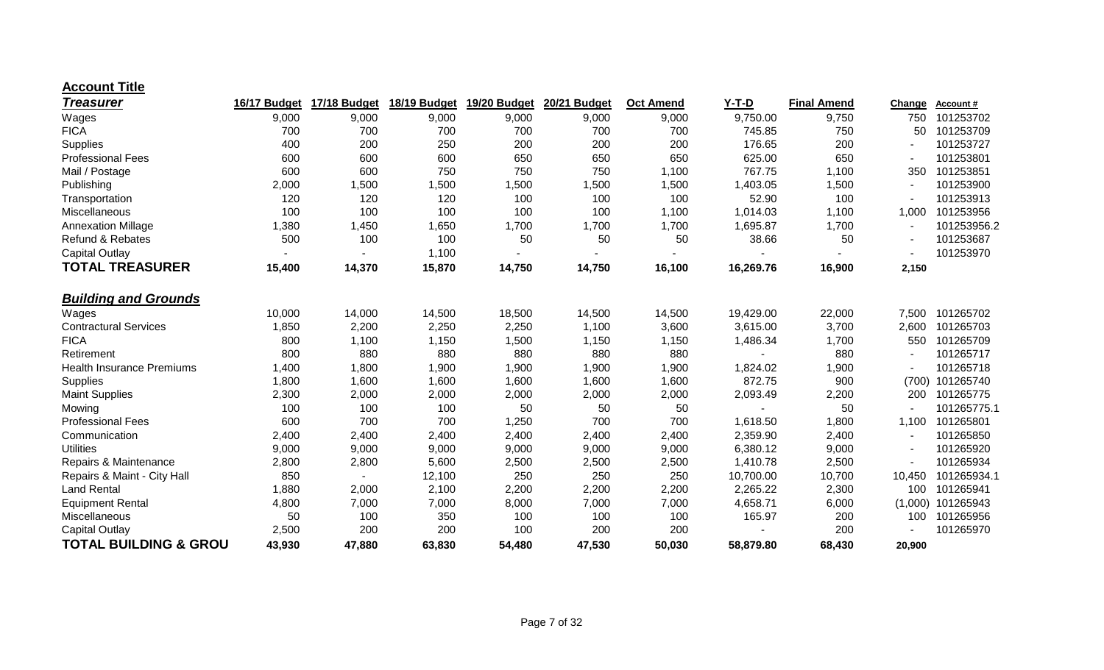#### **Account Title**

| <b>Treasurer</b>                 | 16/17 Budget | 17/18 Budget | 18/19 Budget | 19/20 Budget | 20/21 Budget | <b>Oct Amend</b> | $Y-T-D$   | <b>Final Amend</b> | Change  | <b>Account#</b> |
|----------------------------------|--------------|--------------|--------------|--------------|--------------|------------------|-----------|--------------------|---------|-----------------|
| Wages                            | 9,000        | 9,000        | 9,000        | 9,000        | 9,000        | 9,000            | 9,750.00  | 9,750              | 750     | 101253702       |
| <b>FICA</b>                      | 700          | 700          | 700          | 700          | 700          | 700              | 745.85    | 750                | 50      | 101253709       |
| Supplies                         | 400          | 200          | 250          | 200          | 200          | 200              | 176.65    | 200                |         | 101253727       |
| <b>Professional Fees</b>         | 600          | 600          | 600          | 650          | 650          | 650              | 625.00    | 650                |         | 101253801       |
| Mail / Postage                   | 600          | 600          | 750          | 750          | 750          | 1,100            | 767.75    | 1,100              | 350     | 101253851       |
| Publishing                       | 2,000        | 1,500        | 1,500        | 1,500        | 1,500        | 1,500            | 1,403.05  | 1,500              |         | 101253900       |
| Transportation                   | 120          | 120          | 120          | 100          | 100          | 100              | 52.90     | 100                |         | 101253913       |
| Miscellaneous                    | 100          | 100          | 100          | 100          | 100          | 1,100            | 1,014.03  | 1,100              | 1,000   | 101253956       |
| <b>Annexation Millage</b>        | 1,380        | 1,450        | 1,650        | 1,700        | 1,700        | 1,700            | 1,695.87  | 1,700              |         | 101253956.2     |
| <b>Refund &amp; Rebates</b>      | 500          | 100          | 100          | 50           | 50           | 50               | 38.66     | 50                 |         | 101253687       |
| <b>Capital Outlay</b>            |              |              | 1,100        |              |              |                  |           |                    |         | 101253970       |
| <b>TOTAL TREASURER</b>           | 15,400       | 14,370       | 15,870       | 14,750       | 14,750       | 16,100           | 16,269.76 | 16,900             | 2,150   |                 |
| <b>Building and Grounds</b>      |              |              |              |              |              |                  |           |                    |         |                 |
| Wages                            | 10,000       | 14,000       | 14,500       | 18,500       | 14,500       | 14,500           | 19,429.00 | 22,000             | 7,500   | 101265702       |
| <b>Contractural Services</b>     | 1,850        | 2,200        | 2,250        | 2,250        | 1,100        | 3,600            | 3,615.00  | 3,700              | 2,600   | 101265703       |
| <b>FICA</b>                      | 800          | 1,100        | 1,150        | 1,500        | 1,150        | 1,150            | 1,486.34  | 1,700              | 550     | 101265709       |
| Retirement                       | 800          | 880          | 880          | 880          | 880          | 880              |           | 880                |         | 101265717       |
| <b>Health Insurance Premiums</b> | 1,400        | 1,800        | 1,900        | 1,900        | 1,900        | 1,900            | 1,824.02  | 1,900              |         | 101265718       |
| Supplies                         | 1,800        | 1,600        | 1,600        | 1,600        | 1,600        | 1,600            | 872.75    | 900                | (700)   | 101265740       |
| <b>Maint Supplies</b>            | 2,300        | 2,000        | 2,000        | 2,000        | 2,000        | 2,000            | 2,093.49  | 2,200              | 200     | 101265775       |
| Mowing                           | 100          | 100          | 100          | 50           | 50           | 50               |           | 50                 |         | 101265775.1     |
| <b>Professional Fees</b>         | 600          | 700          | 700          | 1,250        | 700          | 700              | 1,618.50  | 1,800              | 1,100   | 101265801       |
| Communication                    | 2,400        | 2,400        | 2,400        | 2,400        | 2,400        | 2,400            | 2,359.90  | 2,400              |         | 101265850       |
| <b>Utilities</b>                 | 9,000        | 9,000        | 9,000        | 9,000        | 9,000        | 9,000            | 6,380.12  | 9,000              |         | 101265920       |
| Repairs & Maintenance            | 2,800        | 2,800        | 5,600        | 2,500        | 2,500        | 2,500            | 1,410.78  | 2,500              |         | 101265934       |
| Repairs & Maint - City Hall      | 850          | ٠            | 12,100       | 250          | 250          | 250              | 10,700.00 | 10,700             | 10,450  | 101265934.1     |
| <b>Land Rental</b>               | 1,880        | 2,000        | 2,100        | 2,200        | 2,200        | 2,200            | 2,265.22  | 2,300              | 100     | 101265941       |
| <b>Equipment Rental</b>          | 4,800        | 7,000        | 7,000        | 8,000        | 7,000        | 7,000            | 4,658.71  | 6,000              | (1,000) | 101265943       |
| Miscellaneous                    | 50           | 100          | 350          | 100          | 100          | 100              | 165.97    | 200                | 100     | 101265956       |
| <b>Capital Outlay</b>            | 2,500        | 200          | 200          | 100          | 200          | 200              |           | 200                |         | 101265970       |
| <b>TOTAL BUILDING &amp; GROU</b> | 43,930       | 47,880       | 63,830       | 54,480       | 47,530       | 50,030           | 58,879.80 | 68,430             | 20,900  |                 |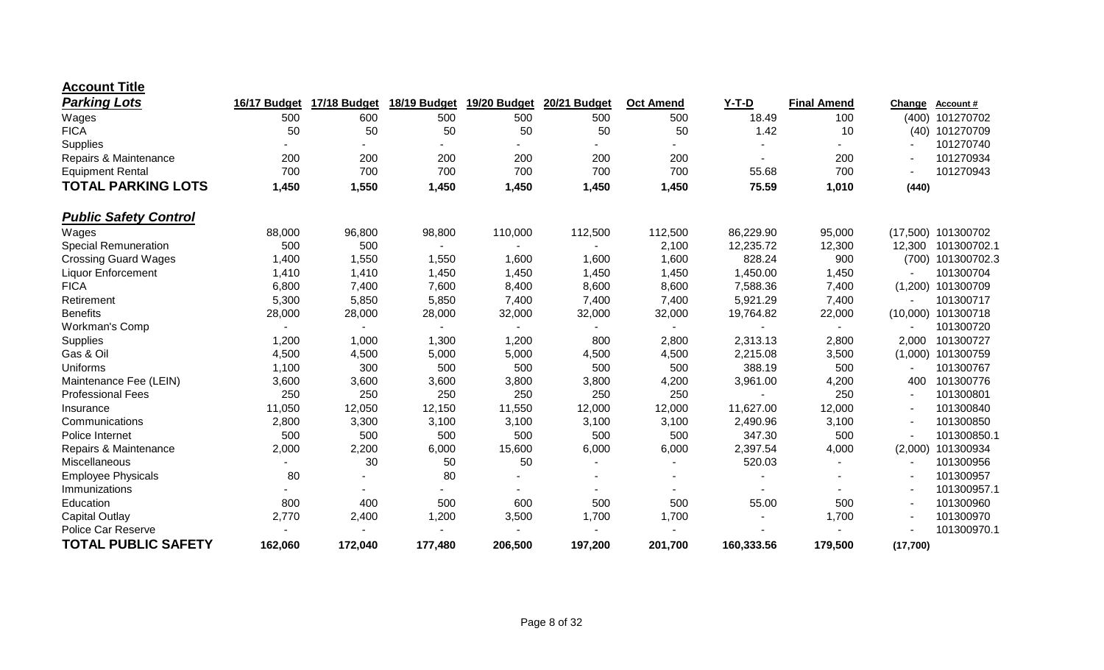| <b>Account Title</b> |  |
|----------------------|--|
|----------------------|--|

| <b>Parking Lots</b>          | 16/17 Budget | 17/18 Budget | 18/19 Budget | 19/20 Budget | 20/21 Budget | <b>Oct Amend</b> | $Y-T-D$    | <b>Final Amend</b> | Change   | <b>Account #</b> |
|------------------------------|--------------|--------------|--------------|--------------|--------------|------------------|------------|--------------------|----------|------------------|
| Wages                        | 500          | 600          | 500          | 500          | 500          | 500              | 18.49      | 100                | (400)    | 101270702        |
| <b>FICA</b>                  | 50           | 50           | 50           | 50           | 50           | 50               | 1.42       | 10                 | (40)     | 101270709        |
| Supplies                     |              |              |              |              |              |                  |            |                    |          | 101270740        |
| Repairs & Maintenance        | 200          | 200          | 200          | 200          | 200          | 200              |            | 200                |          | 101270934        |
| <b>Equipment Rental</b>      | 700          | 700          | 700          | 700          | 700          | 700              | 55.68      | 700                |          | 101270943        |
| <b>TOTAL PARKING LOTS</b>    | 1,450        | 1,550        | 1,450        | 1,450        | 1,450        | 1,450            | 75.59      | 1,010              | (440)    |                  |
| <b>Public Safety Control</b> |              |              |              |              |              |                  |            |                    |          |                  |
| Wages                        | 88,000       | 96,800       | 98,800       | 110,000      | 112,500      | 112,500          | 86,229.90  | 95,000             | (17,500) | 101300702        |
| <b>Special Remuneration</b>  | 500          | 500          |              |              |              | 2,100            | 12,235.72  | 12,300             | 12,300   | 101300702.1      |
| <b>Crossing Guard Wages</b>  | 1,400        | 1,550        | 1,550        | 1,600        | 1,600        | 1,600            | 828.24     | 900                | (700)    | 101300702.3      |
| <b>Liquor Enforcement</b>    | 1,410        | 1,410        | 1,450        | 1,450        | 1,450        | 1,450            | 1,450.00   | 1,450              |          | 101300704        |
| <b>FICA</b>                  | 6,800        | 7,400        | 7,600        | 8,400        | 8,600        | 8,600            | 7,588.36   | 7,400              | (1,200)  | 101300709        |
| Retirement                   | 5,300        | 5,850        | 5,850        | 7,400        | 7,400        | 7,400            | 5,921.29   | 7,400              |          | 101300717        |
| <b>Benefits</b>              | 28,000       | 28,000       | 28,000       | 32,000       | 32,000       | 32,000           | 19,764.82  | 22,000             | (10,000) | 101300718        |
| Workman's Comp               |              |              |              |              |              |                  |            |                    |          | 101300720        |
| Supplies                     | 1,200        | 1,000        | 1,300        | 1,200        | 800          | 2,800            | 2,313.13   | 2,800              | 2,000    | 101300727        |
| Gas & Oil                    | 4,500        | 4,500        | 5,000        | 5,000        | 4,500        | 4,500            | 2,215.08   | 3,500              | (1,000)  | 101300759        |
| <b>Uniforms</b>              | 1,100        | 300          | 500          | 500          | 500          | 500              | 388.19     | 500                |          | 101300767        |
| Maintenance Fee (LEIN)       | 3,600        | 3,600        | 3,600        | 3,800        | 3,800        | 4,200            | 3,961.00   | 4,200              | 400      | 101300776        |
| <b>Professional Fees</b>     | 250          | 250          | 250          | 250          | 250          | 250              |            | 250                |          | 101300801        |
| Insurance                    | 11,050       | 12,050       | 12,150       | 11,550       | 12,000       | 12,000           | 11,627.00  | 12,000             |          | 101300840        |
| Communications               | 2,800        | 3,300        | 3,100        | 3,100        | 3,100        | 3,100            | 2,490.96   | 3,100              |          | 101300850        |
| Police Internet              | 500          | 500          | 500          | 500          | 500          | 500              | 347.30     | 500                |          | 101300850.1      |
| Repairs & Maintenance        | 2,000        | 2,200        | 6,000        | 15,600       | 6,000        | 6,000            | 2,397.54   | 4,000              | (2,000)  | 101300934        |
| Miscellaneous                |              | 30           | 50           | 50           |              |                  | 520.03     |                    |          | 101300956        |
| <b>Employee Physicals</b>    | 80           |              | 80           |              |              |                  |            |                    |          | 101300957        |
| Immunizations                |              |              |              |              |              |                  |            |                    |          | 101300957.1      |
| Education                    | 800          | 400          | 500          | 600          | 500          | 500              | 55.00      | 500                |          | 101300960        |
| Capital Outlay               | 2,770        | 2,400        | 1,200        | 3,500        | 1,700        | 1,700            |            | 1,700              |          | 101300970        |
| Police Car Reserve           |              |              |              |              |              |                  |            |                    |          | 101300970.1      |
| <b>TOTAL PUBLIC SAFETY</b>   | 162,060      | 172,040      | 177,480      | 206,500      | 197,200      | 201,700          | 160,333.56 | 179,500            | (17,700) |                  |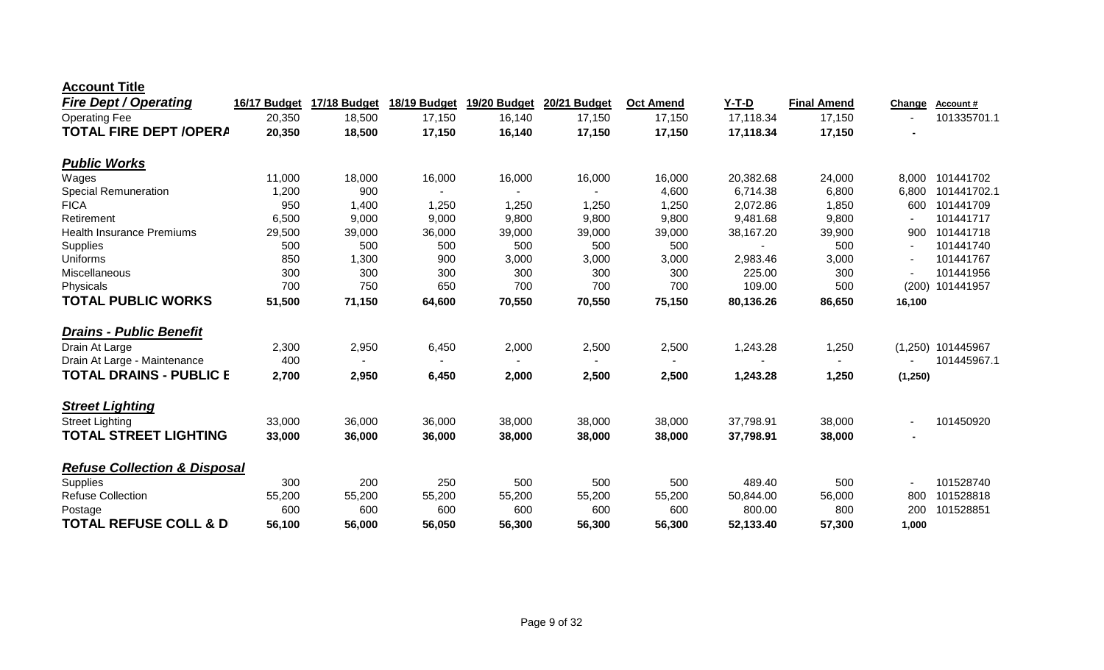| <b>Account Title</b> |  |
|----------------------|--|
|----------------------|--|

| <b>Fire Dept / Operating</b>            | 16/17 Budget | 17/18 Budget | 18/19 Budget | 19/20 Budget | 20/21 Budget | <b>Oct Amend</b> | Y-T-D     | <b>Final Amend</b> | <b>Change</b>  | Account#    |
|-----------------------------------------|--------------|--------------|--------------|--------------|--------------|------------------|-----------|--------------------|----------------|-------------|
| <b>Operating Fee</b>                    | 20,350       | 18,500       | 17,150       | 16,140       | 17,150       | 17,150           | 17,118.34 | 17,150             |                | 101335701.1 |
| <b>TOTAL FIRE DEPT /OPERA</b>           | 20,350       | 18,500       | 17,150       | 16,140       | 17,150       | 17,150           | 17,118.34 | 17,150             |                |             |
| <b>Public Works</b>                     |              |              |              |              |              |                  |           |                    |                |             |
| Wages                                   | 11,000       | 18,000       | 16,000       | 16,000       | 16,000       | 16,000           | 20,382.68 | 24,000             | 8,000          | 101441702   |
| <b>Special Remuneration</b>             | 1,200        | 900          |              |              |              | 4,600            | 6,714.38  | 6,800              | 6,800          | 101441702.1 |
| <b>FICA</b>                             | 950          | 1,400        | 1,250        | 1,250        | 1,250        | 1,250            | 2,072.86  | 1,850              | 600            | 101441709   |
| Retirement                              | 6,500        | 9,000        | 9,000        | 9,800        | 9,800        | 9,800            | 9,481.68  | 9,800              |                | 101441717   |
| <b>Health Insurance Premiums</b>        | 29,500       | 39,000       | 36,000       | 39,000       | 39,000       | 39,000           | 38,167.20 | 39,900             | 900            | 101441718   |
| Supplies                                | 500          | 500          | 500          | 500          | 500          | 500              | $\sim$    | 500                |                | 101441740   |
| Uniforms                                | 850          | 1,300        | 900          | 3,000        | 3,000        | 3,000            | 2,983.46  | 3,000              |                | 101441767   |
| Miscellaneous                           | 300          | 300          | 300          | 300          | 300          | 300              | 225.00    | 300                |                | 101441956   |
| Physicals                               | 700          | 750          | 650          | 700          | 700          | 700              | 109.00    | 500                | (200)          | 101441957   |
| <b>TOTAL PUBLIC WORKS</b>               | 51,500       | 71,150       | 64,600       | 70,550       | 70,550       | 75,150           | 80,136.26 | 86,650             | 16,100         |             |
| <b>Drains - Public Benefit</b>          |              |              |              |              |              |                  |           |                    |                |             |
| Drain At Large                          | 2,300        | 2,950        | 6,450        | 2,000        | 2,500        | 2,500            | 1,243.28  | 1,250              | (1,250)        | 101445967   |
| Drain At Large - Maintenance            | 400          |              |              |              |              |                  |           |                    |                | 101445967.1 |
| TOTAL DRAINS - PUBLIC E                 | 2,700        | 2,950        | 6,450        | 2,000        | 2,500        | 2,500            | 1,243.28  | 1,250              | (1, 250)       |             |
| <b>Street Lighting</b>                  |              |              |              |              |              |                  |           |                    |                |             |
| <b>Street Lighting</b>                  | 33,000       | 36,000       | 36,000       | 38,000       | 38,000       | 38,000           | 37,798.91 | 38,000             |                | 101450920   |
| <b>TOTAL STREET LIGHTING</b>            | 33,000       | 36,000       | 36,000       | 38,000       | 38,000       | 38,000           | 37,798.91 | 38,000             | $\blacksquare$ |             |
| <b>Refuse Collection &amp; Disposal</b> |              |              |              |              |              |                  |           |                    |                |             |
| Supplies                                | 300          | 200          | 250          | 500          | 500          | 500              | 489.40    | 500                |                | 101528740   |
| <b>Refuse Collection</b>                | 55,200       | 55,200       | 55,200       | 55,200       | 55,200       | 55,200           | 50,844.00 | 56,000             | 800            | 101528818   |
| Postage                                 | 600          | 600          | 600          | 600          | 600          | 600              | 800.00    | 800                | 200            | 101528851   |
| <b>TOTAL REFUSE COLL &amp; D</b>        | 56,100       | 56,000       | 56,050       | 56,300       | 56,300       | 56,300           | 52,133.40 | 57,300             | 1.000          |             |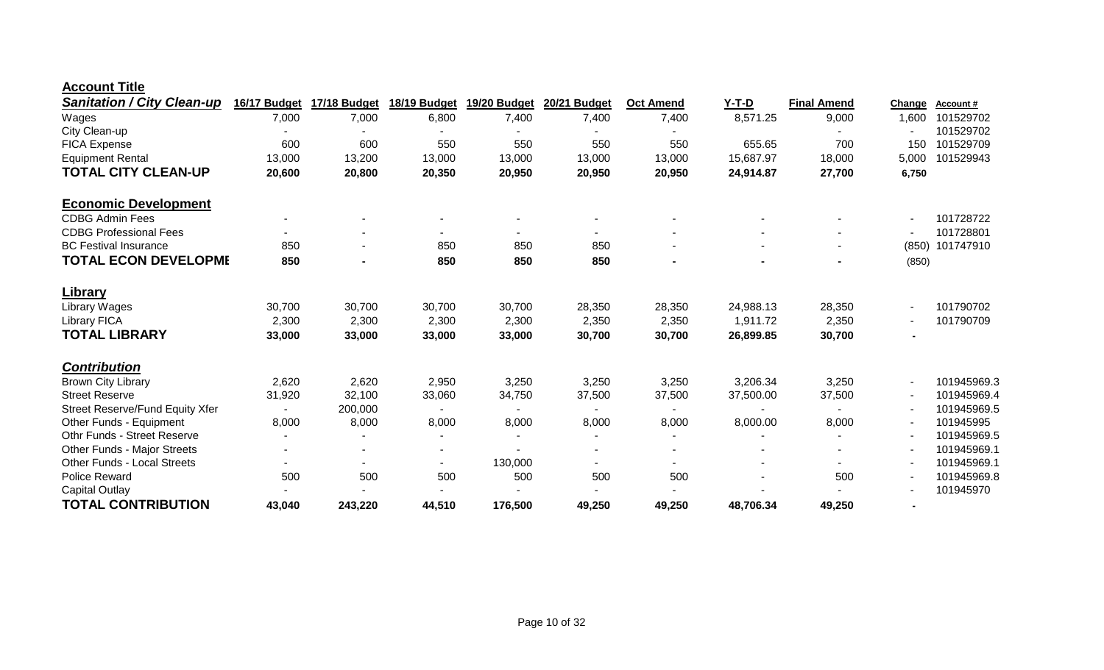| <b>Account Title</b> |  |
|----------------------|--|
|                      |  |

| <b>Sanitation / City Clean-up</b>      | 16/17 Budget   | 17/18 Budget             | 18/19 Budget   | 19/20 Budget | 20/21 Budget | <b>Oct Amend</b> | $Y-T-D$   | <b>Final Amend</b> | Change         | Account#    |
|----------------------------------------|----------------|--------------------------|----------------|--------------|--------------|------------------|-----------|--------------------|----------------|-------------|
| Wages                                  | 7,000          | 7,000                    | 6,800          | 7,400        | 7,400        | 7,400            | 8,571.25  | 9,000              | 1,600          | 101529702   |
| City Clean-up                          |                |                          |                |              |              |                  |           |                    |                | 101529702   |
| FICA Expense                           | 600            | 600                      | 550            | 550          | 550          | 550              | 655.65    | 700                | 150            | 101529709   |
| <b>Equipment Rental</b>                | 13,000         | 13,200                   | 13,000         | 13,000       | 13,000       | 13,000           | 15,687.97 | 18,000             | 5,000          | 101529943   |
| <b>TOTAL CITY CLEAN-UP</b>             | 20,600         | 20,800                   | 20,350         | 20,950       | 20,950       | 20,950           | 24,914.87 | 27,700             | 6,750          |             |
| <b>Economic Development</b>            |                |                          |                |              |              |                  |           |                    |                |             |
| <b>CDBG Admin Fees</b>                 |                |                          |                |              |              |                  |           |                    |                | 101728722   |
| <b>CDBG Professional Fees</b>          | $\blacksquare$ |                          |                |              |              |                  |           |                    |                | 101728801   |
| <b>BC Festival Insurance</b>           | 850            |                          | 850            | 850          | 850          |                  |           |                    | (850)          | 101747910   |
| <b>TOTAL ECON DEVELOPME</b>            | 850            | $\blacksquare$           | 850            | 850          | 850          |                  |           |                    | (850)          |             |
| <b>Library</b>                         |                |                          |                |              |              |                  |           |                    |                |             |
| Library Wages                          | 30,700         | 30,700                   | 30,700         | 30,700       | 28,350       | 28,350           | 24,988.13 | 28,350             |                | 101790702   |
| <b>Library FICA</b>                    | 2,300          | 2,300                    | 2,300          | 2,300        | 2,350        | 2,350            | 1,911.72  | 2,350              |                | 101790709   |
| <b>TOTAL LIBRARY</b>                   | 33,000         | 33,000                   | 33,000         | 33,000       | 30,700       | 30,700           | 26,899.85 | 30,700             | $\blacksquare$ |             |
| <b>Contribution</b>                    |                |                          |                |              |              |                  |           |                    |                |             |
| <b>Brown City Library</b>              | 2,620          | 2,620                    | 2,950          | 3,250        | 3,250        | 3,250            | 3,206.34  | 3,250              |                | 101945969.3 |
| <b>Street Reserve</b>                  | 31,920         | 32,100                   | 33,060         | 34,750       | 37,500       | 37,500           | 37,500.00 | 37,500             |                | 101945969.4 |
| <b>Street Reserve/Fund Equity Xfer</b> | $\sim$         | 200,000                  |                |              |              |                  |           |                    |                | 101945969.5 |
| Other Funds - Equipment                | 8,000          | 8,000                    | 8,000          | 8,000        | 8,000        | 8,000            | 8,000.00  | 8,000              |                | 101945995   |
| <b>Othr Funds - Street Reserve</b>     |                |                          |                |              |              |                  |           |                    |                | 101945969.5 |
| Other Funds - Major Streets            |                | $\overline{\phantom{a}}$ |                |              |              |                  |           |                    |                | 101945969.1 |
| <b>Other Funds - Local Streets</b>     | ۰.             | ٠                        | $\blacksquare$ | 130,000      | ٠            |                  |           | $\blacksquare$     |                | 101945969.1 |
| Police Reward                          | 500            | 500                      | 500            | 500          | 500          | 500              |           | 500                |                | 101945969.8 |
| <b>Capital Outlay</b>                  |                |                          |                |              |              |                  |           |                    |                | 101945970   |
| <b>TOTAL CONTRIBUTION</b>              | 43,040         | 243,220                  | 44,510         | 176,500      | 49,250       | 49,250           | 48,706.34 | 49,250             |                |             |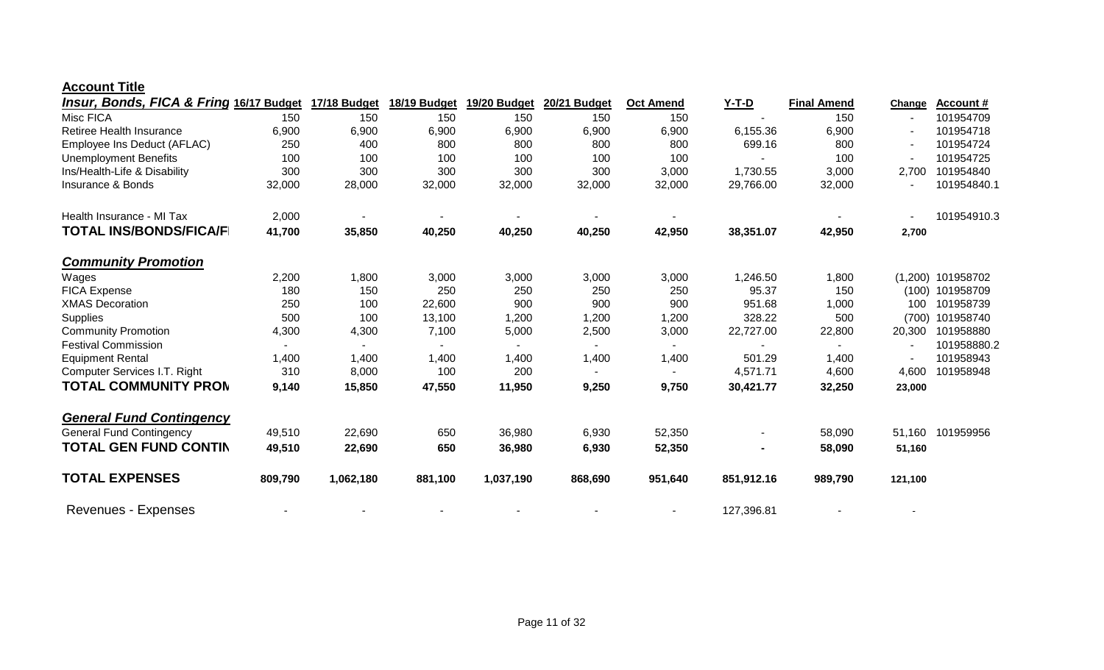#### **Account Title**

| <b>Insur, Bonds, FICA &amp; Fring 16/17 Budget</b> |         | <b>17/18 Budget</b> | 18/19 Budget | 19/20 Budget | 20/21 Budget | <b>Oct Amend</b> | <u>Y-T-D</u> | <b>Final Amend</b> | Change  | <b>Account#</b> |
|----------------------------------------------------|---------|---------------------|--------------|--------------|--------------|------------------|--------------|--------------------|---------|-----------------|
| Misc FICA                                          | 150     | 150                 | 150          | 150          | 150          | 150              |              | 150                |         | 101954709       |
| <b>Retiree Health Insurance</b>                    | 6,900   | 6,900               | 6,900        | 6,900        | 6,900        | 6,900            | 6,155.36     | 6,900              |         | 101954718       |
| Employee Ins Deduct (AFLAC)                        | 250     | 400                 | 800          | 800          | 800          | 800              | 699.16       | 800                |         | 101954724       |
| <b>Unemployment Benefits</b>                       | 100     | 100                 | 100          | 100          | 100          | 100              |              | 100                |         | 101954725       |
| Ins/Health-Life & Disability                       | 300     | 300                 | 300          | 300          | 300          | 3,000            | 1,730.55     | 3,000              | 2,700   | 101954840       |
| <b>Insurance &amp; Bonds</b>                       | 32,000  | 28,000              | 32,000       | 32,000       | 32,000       | 32,000           | 29,766.00    | 32,000             |         | 101954840.1     |
| Health Insurance - MI Tax                          | 2,000   |                     |              |              |              |                  |              |                    |         | 101954910.3     |
| <b>TOTAL INS/BONDS/FICA/F</b>                      | 41,700  | 35,850              | 40,250       | 40,250       | 40,250       | 42,950           | 38,351.07    | 42,950             | 2,700   |                 |
| <b>Community Promotion</b>                         |         |                     |              |              |              |                  |              |                    |         |                 |
| Wages                                              | 2,200   | 1,800               | 3,000        | 3,000        | 3,000        | 3,000            | 1,246.50     | 1,800              | (1,200) | 101958702       |
| <b>FICA Expense</b>                                | 180     | 150                 | 250          | 250          | 250          | 250              | 95.37        | 150                |         | (100) 101958709 |
| <b>XMAS Decoration</b>                             | 250     | 100                 | 22,600       | 900          | 900          | 900              | 951.68       | 1,000              | 100     | 101958739       |
| <b>Supplies</b>                                    | 500     | 100                 | 13,100       | 1,200        | 1,200        | 1,200            | 328.22       | 500                | (700)   | 101958740       |
| <b>Community Promotion</b>                         | 4,300   | 4,300               | 7,100        | 5,000        | 2,500        | 3,000            | 22,727.00    | 22,800             | 20,300  | 101958880       |
| <b>Festival Commission</b>                         | $\sim$  |                     |              |              |              |                  |              |                    |         | 101958880.2     |
| <b>Equipment Rental</b>                            | 1,400   | 1,400               | 1,400        | 1,400        | 1,400        | 1,400            | 501.29       | 1,400              |         | 101958943       |
| Computer Services I.T. Right                       | 310     | 8,000               | 100          | 200          |              |                  | 4,571.71     | 4,600              | 4,600   | 101958948       |
| <b>TOTAL COMMUNITY PRON</b>                        | 9,140   | 15,850              | 47,550       | 11,950       | 9,250        | 9,750            | 30,421.77    | 32,250             | 23,000  |                 |
| <b>General Fund Contingency</b>                    |         |                     |              |              |              |                  |              |                    |         |                 |
| <b>General Fund Contingency</b>                    | 49,510  | 22,690              | 650          | 36,980       | 6,930        | 52,350           |              | 58,090             | 51,160  | 101959956       |
| <b>TOTAL GEN FUND CONTIN</b>                       | 49,510  | 22,690              | 650          | 36,980       | 6,930        | 52,350           |              | 58,090             | 51,160  |                 |
| <b>TOTAL EXPENSES</b>                              | 809,790 | 1,062,180           | 881,100      | 1,037,190    | 868,690      | 951,640          | 851,912.16   | 989,790            | 121,100 |                 |
| <b>Revenues - Expenses</b>                         |         |                     |              |              |              |                  | 127,396.81   |                    |         |                 |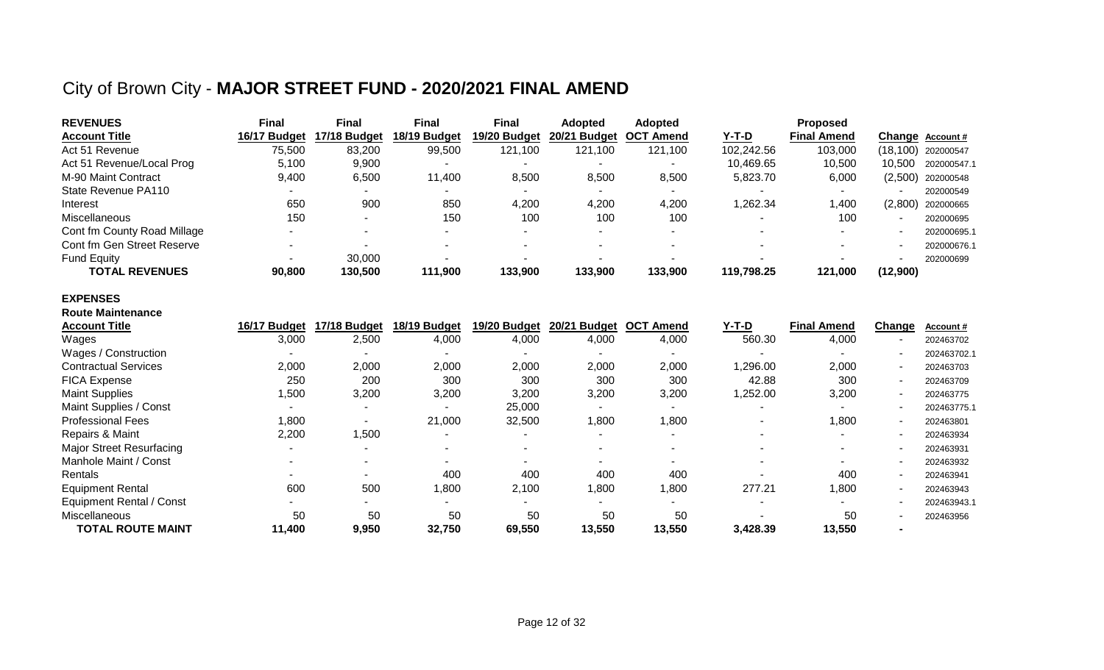## City of Brown City - **MAJOR STREET FUND - 2020/2021 FINAL AMEND**

| <b>REVENUES</b>             | <b>Final</b> | Final        | Final        | Final        | <b>Adopted</b> | <b>Adopted</b>   |            | <b>Proposed</b>    |                          |                     |
|-----------------------------|--------------|--------------|--------------|--------------|----------------|------------------|------------|--------------------|--------------------------|---------------------|
| <b>Account Title</b>        | 16/17 Budget | 17/18 Budget | 18/19 Budget | 19/20 Budget | 20/21 Budget   | <b>OCT Amend</b> | Y-T-D      | <b>Final Amend</b> |                          | Change Account#     |
| Act 51 Revenue              | 75,500       | 83,200       | 99,500       | 121,100      | 121,100        | 121,100          | 102,242.56 | 103,000            |                          | (18,100) 202000547  |
| Act 51 Revenue/Local Prog   | 5.100        | 9,900        |              |              |                |                  | 10,469.65  | 10,500             | 10.500                   | 202000547.1         |
| M-90 Maint Contract         | 9,400        | 6,500        | 11,400       | 8,500        | 8,500          | 8,500            | 5,823.70   | 6,000              |                          | $(2,500)$ 202000548 |
| State Revenue PA110         |              |              |              | $\sim$       | ۰              |                  |            |                    |                          | 202000549           |
| Interest                    | 650          | 900          | 850          | 4,200        | 4,200          | 4,200            | 1,262.34   | 1,400              | (2,800)                  | 202000665           |
| <b>Miscellaneous</b>        | 150          |              | 150          | 100          | 100            | 100              |            | 100                | $\overline{\phantom{a}}$ | 202000695           |
| Cont fm County Road Millage |              |              | $\sim$       | -            |                |                  |            |                    |                          | 202000695.1         |
| Cont fm Gen Street Reserve  |              |              |              |              |                |                  |            |                    |                          | 202000676.1         |
| <b>Fund Equity</b>          |              | 30,000       |              |              |                |                  |            |                    |                          | 202000699           |
| <b>TOTAL REVENUES</b>       | 90,800       | 130,500      | 111,900      | 133,900      | 133,900        | 133,900          | 119,798.25 | 121,000            | (12,900)                 |                     |

#### **EXPENSES**

| <b>Route Maintenance</b>        |              |              |              |              |                        |                  |          |                    |                |                  |
|---------------------------------|--------------|--------------|--------------|--------------|------------------------|------------------|----------|--------------------|----------------|------------------|
| <b>Account Title</b>            | 16/17 Budget | 17/18 Budget | 18/19 Budget | 19/20 Budget | 20/21<br><b>Budget</b> | <b>OCT Amend</b> | Y-T-D    | <b>Final Amend</b> | Change         | <b>Account #</b> |
| Wages                           | 3,000        | 2,500        | 4,000        | 4,000        | 4,000                  | 4,000            | 560.30   | 4,000              | $\sim$         | 202463702        |
| Wages / Construction            |              |              |              |              |                        |                  |          |                    | $\sim$         | 202463702.1      |
| <b>Contractual Services</b>     | 2,000        | 2,000        | 2,000        | 2,000        | 2,000                  | 2,000            | 1,296.00 | 2,000              | $\sim$         | 202463703        |
| <b>FICA Expense</b>             | 250          | 200          | 300          | 300          | 300                    | 300              | 42.88    | 300                | $\sim$         | 202463709        |
| <b>Maint Supplies</b>           | 1,500        | 3,200        | 3,200        | 3,200        | 3,200                  | 3,200            | 1,252.00 | 3,200              | $\sim$         | 202463775        |
| Maint Supplies / Const          |              |              |              | 25,000       |                        |                  |          |                    | ۰.             | 202463775.1      |
| <b>Professional Fees</b>        | 1,800        |              | 21,000       | 32,500       | 1,800                  | 1,800            |          | 1,800              | $\sim$         | 202463801        |
| Repairs & Maint                 | 2,200        | ,500         |              |              |                        |                  |          |                    | $\sim$         | 202463934        |
| <b>Major Street Resurfacing</b> |              |              |              |              |                        |                  |          |                    | $\sim$         | 202463931        |
| Manhole Maint / Const           |              |              |              |              |                        |                  |          |                    | $\sim$         | 202463932        |
| Rentals                         |              |              | 400          | 400          | 400                    | 400              |          | 400                | $\sim$         | 202463941        |
| <b>Equipment Rental</b>         | 600          | 500          | 1,800        | 2,100        | 1,800                  | 1,800            | 277.21   | 1,800              | $\sim$         | 202463943        |
| <b>Equipment Rental / Const</b> |              |              |              |              |                        |                  |          |                    | $\sim$         | 202463943.1      |
| Miscellaneous                   | 50           | 50           | 50           | 50           | 50                     | 50               |          | 50                 | ۰.             | 202463956        |
| <b>TOTAL ROUTE MAINT</b>        | 11,400       | 9,950        | 32,750       | 69,550       | 13,550                 | 13,550           | 3,428.39 | 13,550             | $\blacksquare$ |                  |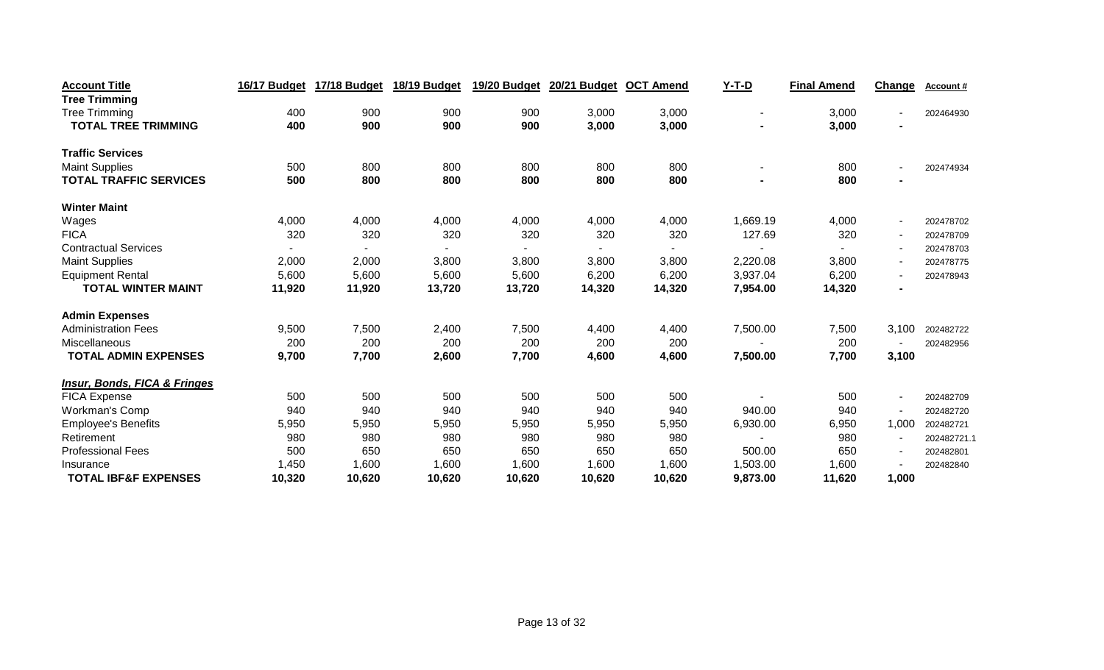| <b>Account Title</b>                    | 16/17 Budget | 17/18 Budget | 18/19 Budget | 19/20 Budget | 20/21 Budget | <b>OCT Amend</b> | $Y-T-D$  | <b>Final Amend</b> | Change                   | Account#    |
|-----------------------------------------|--------------|--------------|--------------|--------------|--------------|------------------|----------|--------------------|--------------------------|-------------|
| <b>Tree Trimming</b>                    |              |              |              |              |              |                  |          |                    |                          |             |
| <b>Tree Trimming</b>                    | 400          | 900          | 900          | 900          | 3,000        | 3,000            |          | 3,000              | $\blacksquare$           | 202464930   |
| <b>TOTAL TREE TRIMMING</b>              | 400          | 900          | 900          | 900          | 3,000        | 3,000            |          | 3,000              | $\blacksquare$           |             |
| <b>Traffic Services</b>                 |              |              |              |              |              |                  |          |                    |                          |             |
| <b>Maint Supplies</b>                   | 500          | 800          | 800          | 800          | 800          | 800              |          | 800                | $\blacksquare$           | 202474934   |
| <b>TOTAL TRAFFIC SERVICES</b>           | 500          | 800          | 800          | 800          | 800          | 800              |          | 800                | $\blacksquare$           |             |
| <b>Winter Maint</b>                     |              |              |              |              |              |                  |          |                    |                          |             |
| Wages                                   | 4,000        | 4,000        | 4,000        | 4,000        | 4,000        | 4,000            | 1,669.19 | 4,000              | $\blacksquare$           | 202478702   |
| <b>FICA</b>                             | 320          | 320          | 320          | 320          | 320          | 320              | 127.69   | 320                | $\blacksquare$           | 202478709   |
| <b>Contractual Services</b>             |              |              |              |              |              |                  |          |                    | $\blacksquare$           | 202478703   |
| <b>Maint Supplies</b>                   | 2,000        | 2,000        | 3,800        | 3,800        | 3,800        | 3,800            | 2,220.08 | 3,800              | $\blacksquare$           | 202478775   |
| <b>Equipment Rental</b>                 | 5,600        | 5,600        | 5,600        | 5,600        | 6,200        | 6,200            | 3,937.04 | 6,200              | $\blacksquare$           | 202478943   |
| <b>TOTAL WINTER MAINT</b>               | 11,920       | 11,920       | 13,720       | 13,720       | 14,320       | 14,320           | 7,954.00 | 14,320             | $\blacksquare$           |             |
| <b>Admin Expenses</b>                   |              |              |              |              |              |                  |          |                    |                          |             |
| <b>Administration Fees</b>              | 9,500        | 7,500        | 2,400        | 7,500        | 4,400        | 4,400            | 7,500.00 | 7,500              | 3,100                    | 202482722   |
| Miscellaneous                           | 200          | 200          | 200          | 200          | 200          | 200              |          | 200                |                          | 202482956   |
| <b>TOTAL ADMIN EXPENSES</b>             | 9,700        | 7,700        | 2,600        | 7,700        | 4,600        | 4,600            | 7,500.00 | 7,700              | 3,100                    |             |
| <b>Insur, Bonds, FICA &amp; Fringes</b> |              |              |              |              |              |                  |          |                    |                          |             |
| <b>FICA Expense</b>                     | 500          | 500          | 500          | 500          | 500          | 500              |          | 500                | $\blacksquare$           | 202482709   |
| <b>Workman's Comp</b>                   | 940          | 940          | 940          | 940          | 940          | 940              | 940.00   | 940                |                          | 202482720   |
| <b>Employee's Benefits</b>              | 5,950        | 5,950        | 5,950        | 5,950        | 5,950        | 5,950            | 6,930.00 | 6,950              | 1,000                    | 202482721   |
| Retirement                              | 980          | 980          | 980          | 980          | 980          | 980              |          | 980                | $\overline{\phantom{a}}$ | 202482721.1 |
| <b>Professional Fees</b>                | 500          | 650          | 650          | 650          | 650          | 650              | 500.00   | 650                | $\blacksquare$           | 202482801   |
| Insurance                               | 1,450        | 1,600        | 1,600        | 1,600        | 1,600        | 1,600            | 1,503.00 | 1,600              |                          | 202482840   |
| <b>TOTAL IBF&amp;F EXPENSES</b>         | 10,320       | 10,620       | 10,620       | 10,620       | 10,620       | 10,620           | 9,873.00 | 11,620             | 1,000                    |             |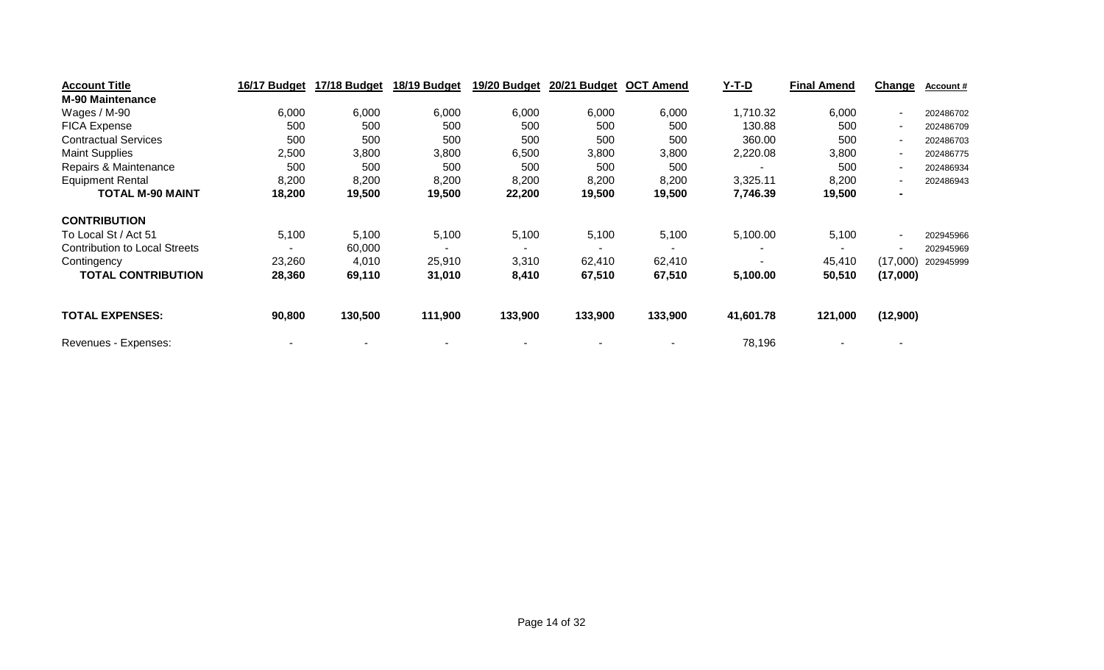| <b>Account Title</b>                 | 16/17 Budget | 17/18 Budget | 18/19 Budget | 19/20 Budget | 20/21 Budget | <b>OCT Amend</b> | Y-T-D     | <b>Final Amend</b> | Change         | <b>Account #</b> |
|--------------------------------------|--------------|--------------|--------------|--------------|--------------|------------------|-----------|--------------------|----------------|------------------|
| <b>M-90 Maintenance</b>              |              |              |              |              |              |                  |           |                    |                |                  |
| Wages / M-90                         | 6,000        | 6,000        | 6,000        | 6,000        | 6,000        | 6,000            | 1,710.32  | 6,000              | ۰.             | 202486702        |
| <b>FICA Expense</b>                  | 500          | 500          | 500          | 500          | 500          | 500              | 130.88    | 500                | ۰.             | 202486709        |
| <b>Contractual Services</b>          | 500          | 500          | 500          | 500          | 500          | 500              | 360.00    | 500                | ۰.             | 202486703        |
| <b>Maint Supplies</b>                | 2,500        | 3,800        | 3,800        | 6,500        | 3,800        | 3,800            | 2,220.08  | 3,800              | ۰.             | 202486775        |
| Repairs & Maintenance                | 500          | 500          | 500          | 500          | 500          | 500              |           | 500                | ۰.             | 202486934        |
| <b>Equipment Rental</b>              | 8,200        | 8,200        | 8,200        | 8,200        | 8,200        | 8,200            | 3,325.11  | 8,200              | ۰.             | 202486943        |
| <b>TOTAL M-90 MAINT</b>              | 18,200       | 19,500       | 19,500       | 22,200       | 19,500       | 19,500           | 7,746.39  | 19,500             | $\blacksquare$ |                  |
| <b>CONTRIBUTION</b>                  |              |              |              |              |              |                  |           |                    |                |                  |
| To Local St / Act 51                 | 5,100        | 5,100        | 5,100        | 5,100        | 5,100        | 5,100            | 5,100.00  | 5,100              | ۰.             | 202945966        |
| <b>Contribution to Local Streets</b> |              | 60,000       |              |              |              |                  |           |                    | ۰              | 202945969        |
| Contingency                          | 23,260       | 4,010        | 25,910       | 3,310        | 62,410       | 62,410           |           | 45,410             | (17,000)       | 202945999        |
| <b>TOTAL CONTRIBUTION</b>            | 28,360       | 69,110       | 31,010       | 8,410        | 67,510       | 67,510           | 5,100.00  | 50,510             | (17,000)       |                  |
| <b>TOTAL EXPENSES:</b>               | 90,800       | 130,500      | 111,900      | 133,900      | 133,900      | 133,900          | 41,601.78 | 121,000            | (12,900)       |                  |
| Revenues - Expenses:                 |              |              |              |              |              |                  | 78,196    |                    |                |                  |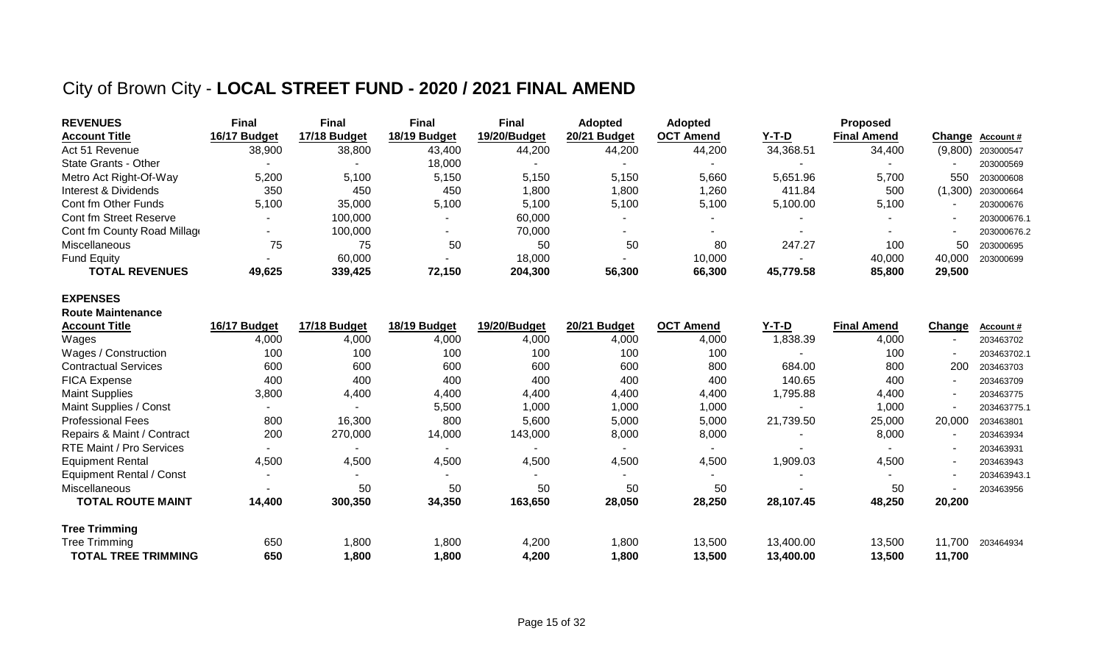## City of Brown City - **LOCAL STREET FUND - 2020 / 2021 FINAL AMEND**

| <b>REVENUES</b>             | Final        | Final        | <b>Final</b> | <b>Final</b> | <b>Adopted</b> | <b>Adopted</b>   |              | <b>Proposed</b>    |         |                     |
|-----------------------------|--------------|--------------|--------------|--------------|----------------|------------------|--------------|--------------------|---------|---------------------|
| <b>Account Title</b>        | 16/17 Budget | 17/18 Budget | 18/19 Budget | 19/20/Budget | 20/21 Budget   | <b>OCT Amend</b> | <u>Y-T-D</u> | <b>Final Amend</b> |         | Change Account #    |
| Act 51 Revenue              | 38,900       | 38,800       | 43,400       | 44,200       | 44,200         | 44,200           | 34,368.51    | 34,400             |         | $(9,800)$ 203000547 |
| State Grants - Other        |              |              | 18.000       |              |                |                  |              |                    |         | 203000569           |
| Metro Act Right-Of-Way      | 5,200        | 5,100        | 5,150        | 5,150        | 5,150          | 5,660            | 5,651.96     | 5,700              | 550     | 203000608           |
| Interest & Dividends        | 350          | 450          | 450          | 1,800        | 1,800          | 1,260            | 411.84       | 500                | (1,300) | 203000664           |
| Cont fm Other Funds         | 5,100        | 35,000       | 5,100        | 5,100        | 5,100          | 5,100            | 5,100.00     | 5,100              |         | 203000676           |
| Cont fm Street Reserve      |              | 100,000      |              | 60,000       |                |                  |              |                    |         | 203000676.1         |
| Cont fm County Road Millage |              | 100,000      |              | 70,000       |                |                  |              |                    |         | 203000676.2         |
| Miscellaneous               | 75           | 75           | 50           | 50           | 50             | 80               | 247.27       | 100                | 50      | 203000695           |
| <b>Fund Equity</b>          |              | 60,000       |              | 18,000       |                | 10,000           |              | 40,000             | 40.000  | 203000699           |
| <b>TOTAL REVENUES</b>       | 49,625       | 339,425      | 72,150       | 204,300      | 56,300         | 66,300           | 45,779.58    | 85,800             | 29.500  |                     |

#### **EXPENSES**

| <b>Route Maintenance</b>    |                          |              |              |                          |              |                  |                          |                    |                          |                  |
|-----------------------------|--------------------------|--------------|--------------|--------------------------|--------------|------------------|--------------------------|--------------------|--------------------------|------------------|
| <b>Account Title</b>        | 16/17 Budget             | 17/18 Budget | 18/19 Budget | 19/20/Budget             | 20/21 Budget | <b>OCT Amend</b> | <u>Y-T-D</u>             | <b>Final Amend</b> | Change                   | <b>Account #</b> |
| Wages                       | 4,000                    | 4,000        | 4,000        | 4,000                    | 4,000        | 4,000            | 1,838.39                 | 4,000              |                          | 203463702        |
| Wages / Construction        | 100                      | 100          | 100          | 100                      | 100          | 100              |                          | 100                | $\overline{\phantom{a}}$ | 203463702.1      |
| <b>Contractual Services</b> | 600                      | 600          | 600          | 600                      | 600          | 800              | 684.00                   | 800                | 200                      | 203463703        |
| <b>FICA Expense</b>         | 400                      | 400          | 400          | 400                      | 400          | 400              | 140.65                   | 400                |                          | 203463709        |
| <b>Maint Supplies</b>       | 3,800                    | 4,400        | 4,400        | 4,400                    | 4,400        | 4,400            | 1,795.88                 | 4,400              |                          | 203463775        |
| Maint Supplies / Const      | $\overline{\phantom{0}}$ |              | 5,500        | 1,000                    | 1,000        | 1,000            |                          | 1,000              |                          | 203463775.1      |
| <b>Professional Fees</b>    | 800                      | 16,300       | 800          | 5,600                    | 5,000        | 5,000            | 21,739.50                | 25,000             | 20,000                   | 203463801        |
| Repairs & Maint / Contract  | 200                      | 270,000      | 14,000       | 143,000                  | 8,000        | 8,000            | $\overline{\phantom{a}}$ | 8,000              | $\overline{\phantom{a}}$ | 203463934        |
| RTE Maint / Pro Services    | $\overline{\phantom{a}}$ |              |              | $\overline{\phantom{a}}$ |              |                  |                          |                    | $\overline{\phantom{a}}$ | 203463931        |
| <b>Equipment Rental</b>     | 4,500                    | 4,500        | 4,500        | 4,500                    | 4,500        | 4,500            | 1,909.03                 | 4,500              | $\overline{\phantom{a}}$ | 203463943        |
| Equipment Rental / Const    | $\overline{\phantom{a}}$ | ۰.           |              |                          |              |                  |                          |                    |                          | 203463943.1      |
| <b>Miscellaneous</b>        |                          | 50           | 50           | 50                       | 50           | 50               |                          | 50                 |                          | 203463956        |
| <b>TOTAL ROUTE MAINT</b>    | 14,400                   | 300,350      | 34,350       | 163,650                  | 28,050       | 28,250           | 28,107.45                | 48,250             | 20,200                   |                  |
| <b>Tree Trimming</b>        |                          |              |              |                          |              |                  |                          |                    |                          |                  |
| <b>Tree Trimming</b>        | 650                      | 0.800        | 1,800        | 4,200                    | 1,800        | 13,500           | 13,400.00                | 13,500             | 11,700                   | 203464934        |
| <b>TOTAL TREE TRIMMING</b>  | 650                      | 1,800        | 1,800        | 4,200                    | 1,800        | 13,500           | 13,400.00                | 13,500             | 11,700                   |                  |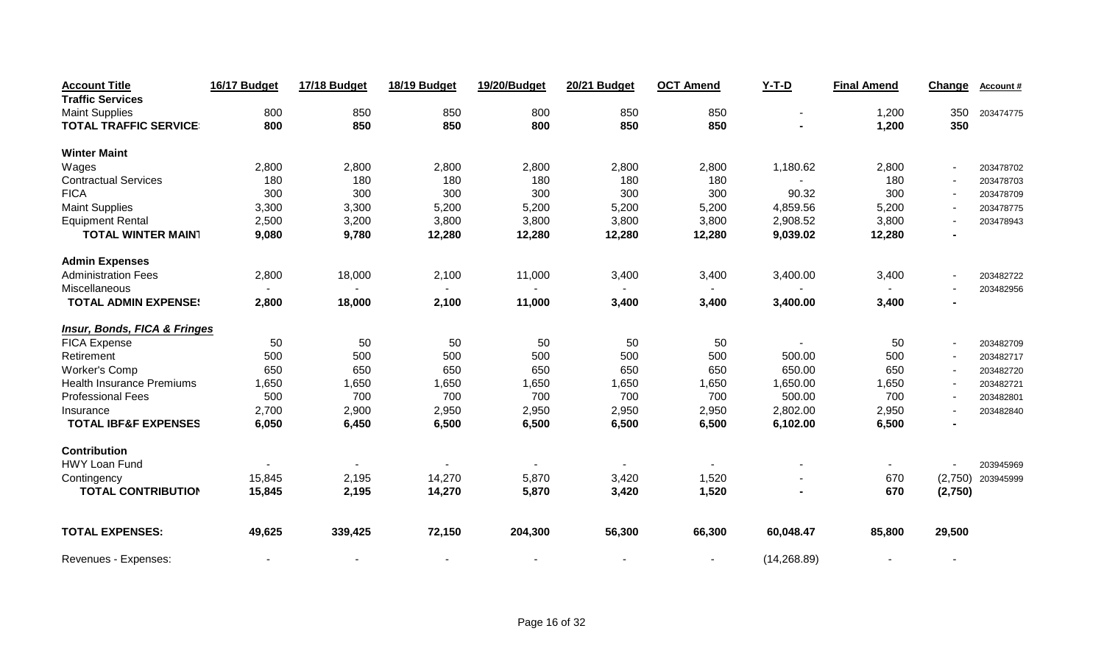| <b>Account Title</b>                    | 16/17 Budget | 17/18 Budget | 18/19 Budget | 19/20/Budget | <b>20/21 Budget</b> | <b>OCT Amend</b> | $Y-T-D$      | <b>Final Amend</b> | Change         | Account#            |
|-----------------------------------------|--------------|--------------|--------------|--------------|---------------------|------------------|--------------|--------------------|----------------|---------------------|
| <b>Traffic Services</b>                 |              |              |              |              |                     |                  |              |                    |                |                     |
| <b>Maint Supplies</b>                   | 800          | 850          | 850          | 800          | 850                 | 850              |              | 1,200              | 350            | 203474775           |
| <b>TOTAL TRAFFIC SERVICE</b>            | 800          | 850          | 850          | 800          | 850                 | 850              |              | 1,200              | 350            |                     |
| <b>Winter Maint</b>                     |              |              |              |              |                     |                  |              |                    |                |                     |
| Wages                                   | 2,800        | 2,800        | 2,800        | 2,800        | 2,800               | 2,800            | 1,180.62     | 2,800              | $\blacksquare$ | 203478702           |
| <b>Contractual Services</b>             | 180          | 180          | 180          | 180          | 180                 | 180              |              | 180                |                | 203478703           |
| <b>FICA</b>                             | 300          | 300          | 300          | 300          | 300                 | 300              | 90.32        | 300                |                | 203478709           |
| <b>Maint Supplies</b>                   | 3,300        | 3,300        | 5,200        | 5,200        | 5,200               | 5,200            | 4,859.56     | 5,200              |                | 203478775           |
| <b>Equipment Rental</b>                 | 2,500        | 3,200        | 3,800        | 3,800        | 3,800               | 3,800            | 2,908.52     | 3,800              |                | 203478943           |
| <b>TOTAL WINTER MAIN1</b>               | 9,080        | 9,780        | 12,280       | 12,280       | 12,280              | 12,280           | 9,039.02     | 12,280             |                |                     |
| <b>Admin Expenses</b>                   |              |              |              |              |                     |                  |              |                    |                |                     |
| <b>Administration Fees</b>              | 2,800        | 18,000       | 2,100        | 11,000       | 3,400               | 3,400            | 3,400.00     | 3,400              |                | 203482722           |
| Miscellaneous                           |              |              |              |              |                     |                  |              |                    |                | 203482956           |
| <b>TOTAL ADMIN EXPENSE:</b>             | 2,800        | 18,000       | 2,100        | 11,000       | 3,400               | 3,400            | 3,400.00     | 3,400              |                |                     |
| <b>Insur, Bonds, FICA &amp; Fringes</b> |              |              |              |              |                     |                  |              |                    |                |                     |
| FICA Expense                            | 50           | 50           | 50           | 50           | 50                  | 50               |              | 50                 |                | 203482709           |
| Retirement                              | 500          | 500          | 500          | 500          | 500                 | 500              | 500.00       | 500                |                | 203482717           |
| <b>Worker's Comp</b>                    | 650          | 650          | 650          | 650          | 650                 | 650              | 650.00       | 650                |                | 203482720           |
| <b>Health Insurance Premiums</b>        | 1,650        | 1,650        | 1,650        | 1,650        | 1,650               | 1,650            | 1,650.00     | 1,650              | $\overline{a}$ | 203482721           |
| <b>Professional Fees</b>                | 500          | 700          | 700          | 700          | 700                 | 700              | 500.00       | 700                |                | 203482801           |
| Insurance                               | 2,700        | 2,900        | 2,950        | 2,950        | 2,950               | 2,950            | 2,802.00     | 2,950              |                | 203482840           |
| <b>TOTAL IBF&amp;F EXPENSES</b>         | 6,050        | 6,450        | 6,500        | 6,500        | 6,500               | 6,500            | 6,102.00     | 6,500              |                |                     |
| <b>Contribution</b>                     |              |              |              |              |                     |                  |              |                    |                |                     |
| HWY Loan Fund                           |              |              |              |              |                     |                  |              | $\blacksquare$     |                | 203945969           |
| Contingency                             | 15,845       | 2,195        | 14,270       | 5,870        | 3,420               | 1,520            |              | 670                |                | $(2,750)$ 203945999 |
| <b>TOTAL CONTRIBUTION</b>               | 15,845       | 2,195        | 14,270       | 5,870        | 3,420               | 1,520            |              | 670                | (2,750)        |                     |
| <b>TOTAL EXPENSES:</b>                  | 49,625       | 339,425      | 72,150       | 204,300      | 56,300              | 66,300           | 60,048.47    | 85,800             | 29,500         |                     |
| Revenues - Expenses:                    |              |              |              |              |                     | $\blacksquare$   | (14, 268.89) |                    |                |                     |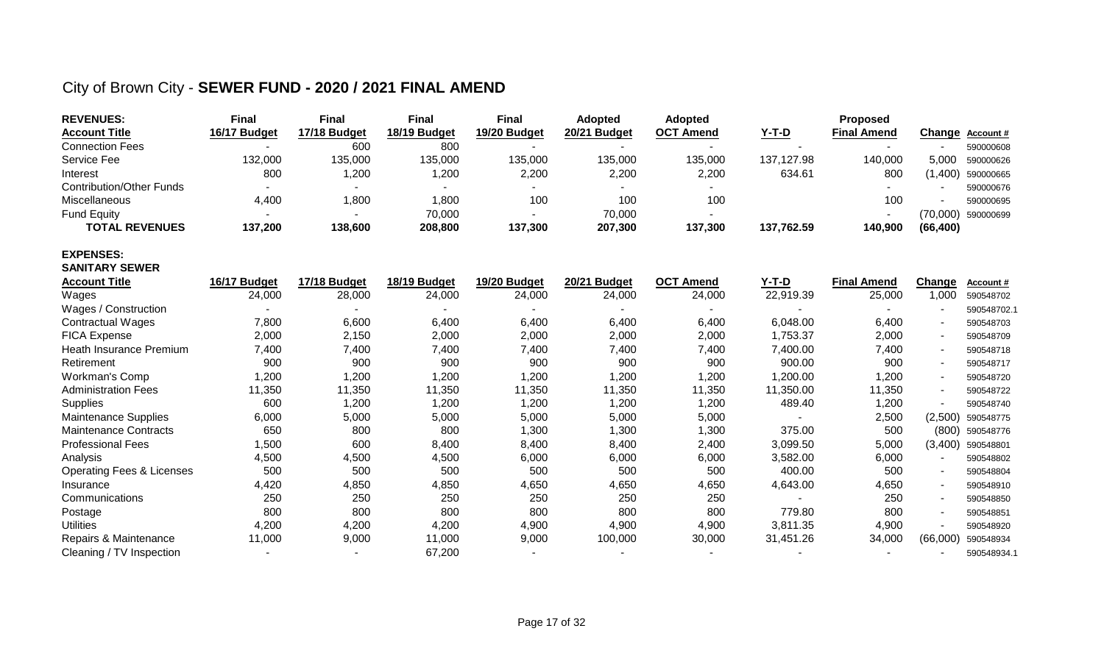## City of Brown City - **SEWER FUND - 2020 / 2021 FINAL AMEND**

| <b>REVENUES:</b>                     | <b>Final</b> | <b>Final</b> | <b>Final</b> | <b>Final</b>        | <b>Adopted</b> | Adopted          |              | Proposed           |           |                  |
|--------------------------------------|--------------|--------------|--------------|---------------------|----------------|------------------|--------------|--------------------|-----------|------------------|
| <b>Account Title</b>                 | 16/17 Budget | 17/18 Budget | 18/19 Budget | <b>19/20 Budget</b> | 20/21 Budget   | <b>OCT Amend</b> | <u>Y-T-D</u> | <b>Final Amend</b> | Change    | <b>Account #</b> |
| <b>Connection Fees</b>               |              | 600          | 800          |                     |                |                  |              |                    |           | 590000608        |
| Service Fee                          | 132,000      | 135,000      | 135,000      | 135,000             | 135,000        | 135,000          | 137,127.98   | 140,000            | 5,000     | 590000626        |
| Interest                             | 800          | 1,200        | 1,200        | 2,200               | 2,200          | 2,200            | 634.61       | 800                | (1,400)   | 590000665        |
| <b>Contribution/Other Funds</b>      |              |              |              |                     |                |                  |              |                    |           | 590000676        |
| <b>Miscellaneous</b>                 | 4,400        | 1,800        | 1,800        | 100                 | 100            | 100              |              | 100                |           | 590000695        |
| <b>Fund Equity</b>                   |              |              | 70,000       |                     | 70,000         |                  |              |                    | (70,000)  | 590000699        |
| <b>TOTAL REVENUES</b>                | 137,200      | 138,600      | 208,800      | 137,300             | 207,300        | 137,300          | 137,762.59   | 140,900            | (66, 400) |                  |
| <b>EXPENSES:</b>                     |              |              |              |                     |                |                  |              |                    |           |                  |
| <b>SANITARY SEWER</b>                |              |              |              |                     |                |                  |              |                    |           |                  |
| <b>Account Title</b>                 | 16/17 Budget | 17/18 Budget | 18/19 Budget | 19/20 Budget        | 20/21 Budget   | <b>OCT Amend</b> | $Y-T-D$      | <b>Final Amend</b> | Change    | Account#         |
| Wages                                | 24,000       | 28,000       | 24,000       | 24,000              | 24,000         | 24,000           | 22,919.39    | 25,000             | 1,000     | 590548702        |
| Wages / Construction                 |              |              |              |                     |                |                  |              |                    |           | 590548702.1      |
| <b>Contractual Wages</b>             | 7,800        | 6,600        | 6,400        | 6,400               | 6,400          | 6,400            | 6,048.00     | 6,400              |           | 590548703        |
| <b>FICA Expense</b>                  | 2,000        | 2,150        | 2,000        | 2,000               | 2,000          | 2,000            | 1,753.37     | 2,000              |           | 590548709        |
| Heath Insurance Premium              | 7,400        | 7,400        | 7,400        | 7,400               | 7,400          | 7,400            | 7,400.00     | 7,400              |           | 590548718        |
| Retirement                           | 900          | 900          | 900          | 900                 | 900            | 900              | 900.00       | 900                |           | 590548717        |
| <b>Workman's Comp</b>                | 1,200        | 1,200        | 1,200        | 1,200               | 1,200          | 1,200            | 1,200.00     | 1,200              |           | 590548720        |
| <b>Administration Fees</b>           | 11,350       | 11,350       | 11,350       | 11,350              | 11,350         | 11,350           | 11,350.00    | 11,350             |           | 590548722        |
| <b>Supplies</b>                      | 600          | 1,200        | 1,200        | 1,200               | 1,200          | 1,200            | 489.40       | 1,200              |           | 590548740        |
| Maintenance Supplies                 | 6,000        | 5,000        | 5,000        | 5,000               | 5,000          | 5,000            |              | 2,500              | (2,500)   | 590548775        |
| <b>Maintenance Contracts</b>         | 650          | 800          | 800          | 1,300               | 1,300          | 1,300            | 375.00       | 500                | (800)     | 590548776        |
| <b>Professional Fees</b>             | 1,500        | 600          | 8,400        | 8,400               | 8,400          | 2,400            | 3,099.50     | 5,000              | (3,400)   | 590548801        |
| Analysis                             | 4,500        | 4,500        | 4,500        | 6,000               | 6,000          | 6,000            | 3,582.00     | 6,000              |           | 590548802        |
| <b>Operating Fees &amp; Licenses</b> | 500          | 500          | 500          | 500                 | 500            | 500              | 400.00       | 500                |           | 590548804        |
| Insurance                            | 4,420        | 4,850        | 4,850        | 4,650               | 4,650          | 4,650            | 4,643.00     | 4,650              |           | 590548910        |
| Communications                       | 250          | 250          | 250          | 250                 | 250            | 250              |              | 250                |           | 590548850        |
| Postage                              | 800          | 800          | 800          | 800                 | 800            | 800              | 779.80       | 800                |           | 590548851        |
| <b>Utilities</b>                     | 4,200        | 4,200        | 4,200        | 4,900               | 4,900          | 4,900            | 3,811.35     | 4,900              |           | 590548920        |
| Repairs & Maintenance                | 11,000       | 9,000        | 11,000       | 9,000               | 100,000        | 30,000           | 31,451.26    | 34,000             | (66,000)  | 590548934        |
| Cleaning / TV Inspection             |              |              | 67,200       |                     |                |                  |              |                    |           | 590548934.1      |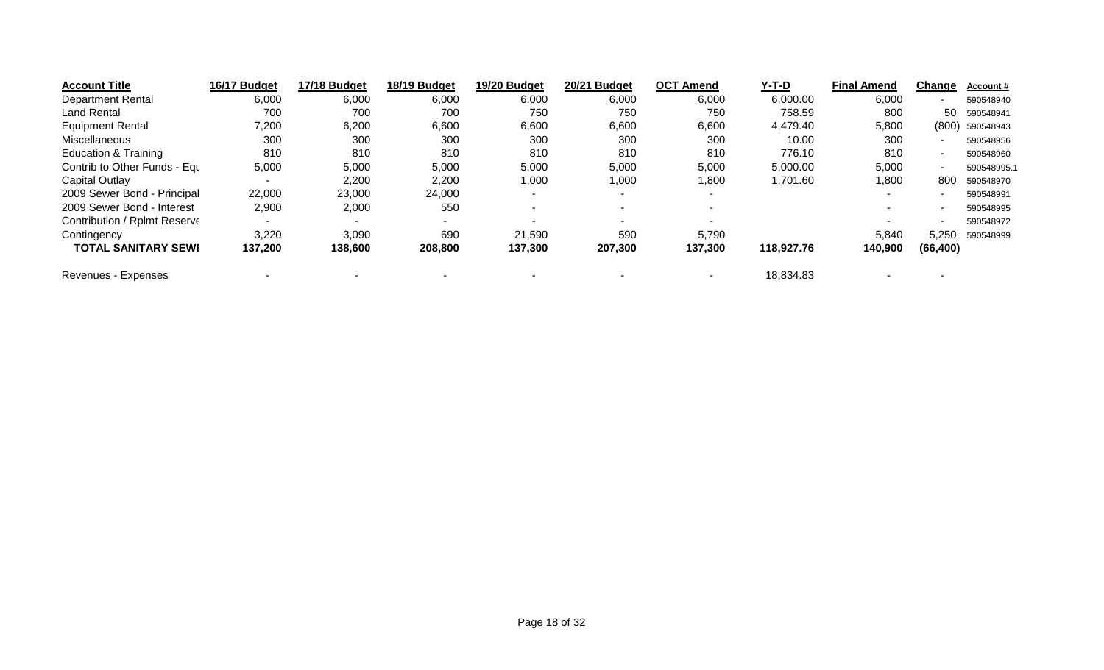| <b>Account Title</b>         | 16/17 Budget | 17/18 Budget | 18/19 Budget | 19/20 Budget | 20/21 Budget | <b>OCT Amend</b> | Y-T-D      | <b>Final Amend</b> | Change    | <b>Account #</b> |
|------------------------------|--------------|--------------|--------------|--------------|--------------|------------------|------------|--------------------|-----------|------------------|
| <b>Department Rental</b>     | 6,000        | 6,000        | 6,000        | 6,000        | 6,000        | 6,000            | 6,000.00   | 6,000              |           | 590548940        |
| Land Rental                  | 700          | 700          | 700          | 750          | 750          | 750              | 758.59     | 800                | 50        | 590548941        |
| <b>Equipment Rental</b>      | 7,200        | 6,200        | 6,600        | 6,600        | 6,600        | 6,600            | 4,479.40   | 5,800              | (800)     | 590548943        |
| Miscellaneous                | 300          | 300          | 300          | 300          | 300          | 300              | 10.00      | 300                |           | 590548956        |
| Education & Training         | 810          | 810          | 810          | 810          | 810          | 810              | 776.10     | 810                |           | 590548960        |
| Contrib to Other Funds - Equ | 5,000        | 5,000        | 5,000        | 5,000        | 5,000        | 5,000            | 5,000.00   | 5,000              |           | 590548995.1      |
| Capital Outlay               |              | 2,200        | 2,200        | 1,000        | 1,000        | 1,800            | 1,701.60   | 1,800              | 800       | 590548970        |
| 2009 Sewer Bond - Principal  | 22,000       | 23,000       | 24,000       |              |              |                  |            |                    |           | 590548991        |
| 2009 Sewer Bond - Interest   | 2,900        | 2,000        | 550          |              |              |                  |            |                    |           | 590548995        |
| Contribution / Rplmt Reserve |              |              | $\sim$       |              |              |                  |            |                    |           | 590548972        |
| Contingency                  | 3,220        | 3,090        | 690          | 21,590       | 590          | 5,790            |            | 5,840              | 5.250     | 590548999        |
| <b>TOTAL SANITARY SEWI</b>   | 137,200      | 138,600      | 208,800      | 137,300      | 207,300      | 137,300          | 118,927.76 | 140,900            | (66, 400) |                  |
| Revenues - Expenses          |              |              |              |              |              |                  | 18,834.83  |                    |           |                  |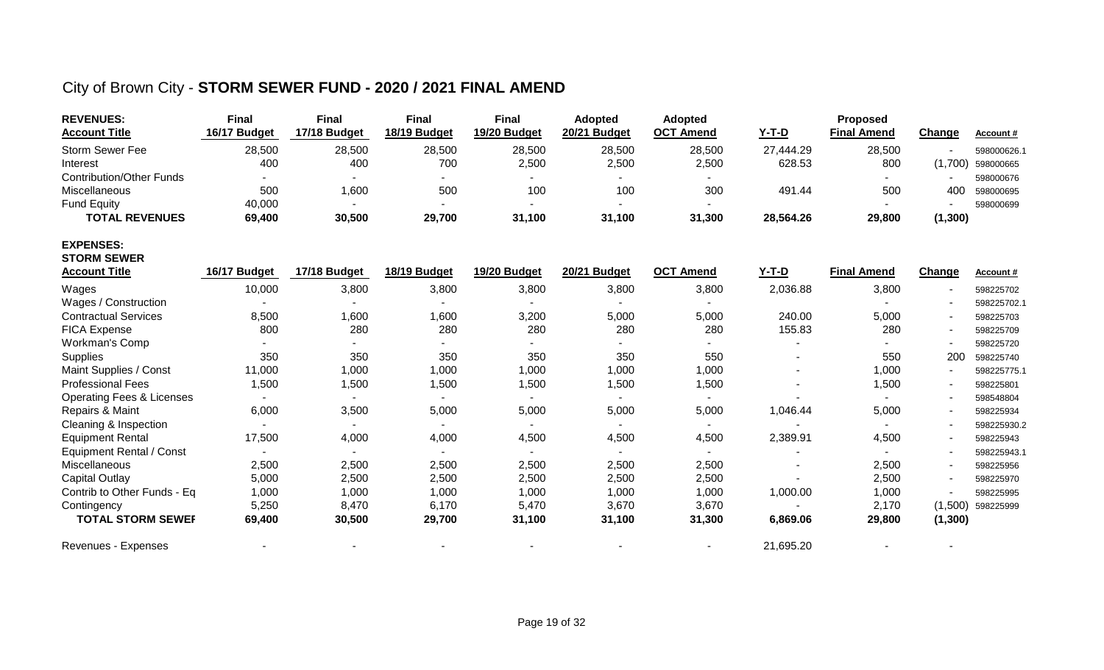#### City of Brown City - **STORM SEWER FUND - 2020 / 2021 FINAL AMEND**

| <b>REVENUES:</b><br><b>Account Title</b> | <b>Final</b><br>16/17 Budget | <b>Final</b><br>17/18 Budget | <b>Final</b><br>18/19 Budget | <b>Final</b><br>19/20 Budget | <b>Adopted</b><br>20/21 Budget | <b>Adopted</b><br><b>OCT</b> Amend | $Y-T-D$      | Proposed<br><b>Final Amend</b> | Change   | Account#    |
|------------------------------------------|------------------------------|------------------------------|------------------------------|------------------------------|--------------------------------|------------------------------------|--------------|--------------------------------|----------|-------------|
| <b>Storm Sewer Fee</b>                   | 28,500                       | 28,500                       | 28,500                       | 28,500                       | 28,500                         | 28,500                             | 27,444.29    | 28,500                         |          | 598000626.  |
| Interest                                 | 400                          | 400                          | 700                          | 2,500                        | 2,500                          | 2,500                              | 628.53       | 800                            | (1,700)  | 598000665   |
| <b>Contribution/Other Funds</b>          |                              |                              |                              |                              |                                |                                    |              |                                |          | 598000676   |
| Miscellaneous                            | 500                          | 1,600                        | 500                          | 100                          | 100                            | 300                                | 491.44       | 500                            | 400      | 598000695   |
| <b>Fund Equity</b>                       | 40,000                       |                              |                              |                              |                                |                                    |              |                                | ٠        | 598000699   |
| <b>TOTAL REVENUES</b>                    | 69,400                       | 30,500                       | 29,700                       | 31,100                       | 31,100                         | 31,300                             | 28,564.26    | 29,800                         | (1, 300) |             |
| <b>EXPENSES:</b><br><b>STORM SEWER</b>   |                              |                              |                              |                              |                                |                                    |              |                                |          |             |
| <b>Account Title</b>                     | 16/17 Budget                 | 17/18 Budget                 | 18/19 Budget                 | 19/20 Budget                 | 20/21 Budget                   | <b>OCT Amend</b>                   | <u>Y-T-D</u> | <b>Final Amend</b>             | Change   | Account#    |
| Wages                                    | 10,000                       | 3,800                        | 3,800                        | 3,800                        | 3,800                          | 3,800                              | 2,036.88     | 3,800                          |          | 598225702   |
| Wages / Construction                     | $\sim$                       |                              | $\blacksquare$               |                              | $\blacksquare$                 |                                    |              |                                |          | 598225702.1 |
| <b>Contractual Services</b>              | 8,500                        | 1,600                        | 1,600                        | 3,200                        | 5,000                          | 5,000                              | 240.00       | 5,000                          |          | 598225703   |
| <b>FICA Expense</b>                      | 800                          | 280                          | 280                          | 280                          | 280                            | 280                                | 155.83       | 280                            |          | 598225709   |
| Workman's Comp                           |                              |                              |                              |                              |                                |                                    |              |                                |          | 598225720   |
| Supplies                                 | 350                          | 350                          | 350                          | 350                          | 350                            | 550                                |              | 550                            | 200      | 598225740   |
| Maint Supplies / Const                   | 11,000                       | 1,000                        | 1,000                        | 1,000                        | 1,000                          | 1,000                              |              | 1,000                          |          | 598225775.1 |
| <b>Professional Fees</b>                 | 1,500                        | 1,500                        | 1,500                        | 1,500                        | 1,500                          | 1,500                              |              | 1,500                          |          | 598225801   |
| <b>Operating Fees &amp; Licenses</b>     | $\sim$                       |                              | $\sim$                       |                              | $\blacksquare$                 |                                    |              | $\sim$                         |          | 598548804   |
| Repairs & Maint                          | 6,000                        | 3,500                        | 5,000                        | 5,000                        | 5,000                          | 5,000                              | 1,046.44     | 5,000                          |          | 598225934   |
| Cleaning & Inspection                    |                              |                              |                              |                              |                                |                                    |              |                                |          | 598225930.2 |
| <b>Equipment Rental</b>                  | 17,500                       | 4,000                        | 4,000                        | 4,500                        | 4,500                          | 4,500                              | 2,389.91     | 4,500                          |          | 598225943   |
| <b>Equipment Rental / Const</b>          | $\sim$                       |                              | $\blacksquare$               |                              |                                |                                    |              |                                |          | 598225943.1 |
| Miscellaneous                            | 2,500                        | 2,500                        | 2,500                        | 2,500                        | 2,500                          | 2,500                              |              | 2,500                          |          | 598225956   |
| <b>Capital Outlay</b>                    | 5,000                        | 2,500                        | 2,500                        | 2,500                        | 2,500                          | 2,500                              |              | 2,500                          |          | 598225970   |
| Contrib to Other Funds - Eq              | 1,000                        | 1,000                        | 1,000                        | 1,000                        | 1,000                          | 1,000                              | 1,000.00     | 1,000                          |          | 598225995   |
| Contingency                              | 5,250                        | 8,470                        | 6,170                        | 5,470                        | 3,670                          | 3,670                              |              | 2,170                          | (1,500)  | 598225999   |
| <b>TOTAL STORM SEWEF</b>                 | 69,400                       | 30,500                       | 29,700                       | 31,100                       | 31,100                         | 31,300                             | 6,869.06     | 29,800                         | (1, 300) |             |
| Revenues - Expenses                      |                              |                              |                              |                              |                                |                                    | 21,695.20    |                                |          |             |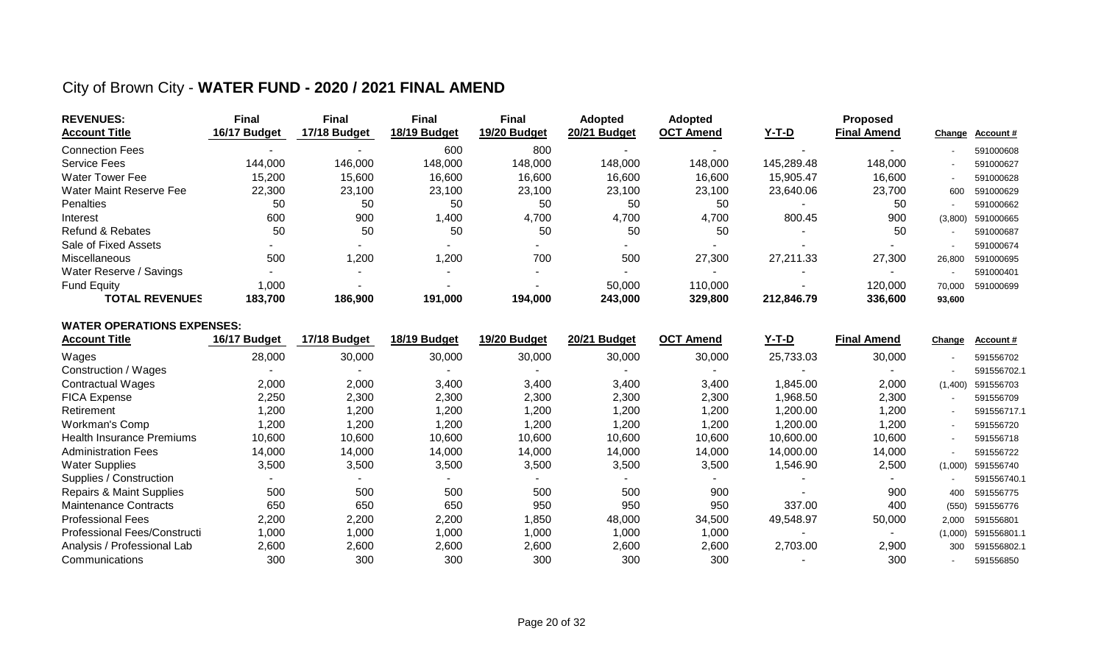## City of Brown City - **WATER FUND - 2020 / 2021 FINAL AMEND**

| <b>REVENUES:</b>        | Final        | <b>Final</b> | <b>Final</b> | <b>Final</b> | <b>Adopted</b> | <b>Adopted</b>   |            | <b>Proposed</b>    |                          |                 |
|-------------------------|--------------|--------------|--------------|--------------|----------------|------------------|------------|--------------------|--------------------------|-----------------|
| <b>Account Title</b>    | 16/17 Budget | 17/18 Budget | 18/19 Budget | 19/20 Budget | 20/21 Budget   | <b>OCT Amend</b> | $Y-T-D$    | <b>Final Amend</b> |                          | Change Account# |
| <b>Connection Fees</b>  |              |              | 600          | 800          |                |                  |            |                    |                          | 591000608       |
| <b>Service Fees</b>     | 144,000      | 146,000      | 148,000      | 148,000      | 148,000        | 148,000          | 145,289.48 | 148,000            | $\overline{\phantom{a}}$ | 591000627       |
| Water Tower Fee         | 15,200       | 15,600       | 16,600       | 16,600       | 16,600         | 16,600           | 15,905.47  | 16,600             | $\overline{\phantom{a}}$ | 591000628       |
| Water Maint Reserve Fee | 22,300       | 23,100       | 23,100       | 23,100       | 23,100         | 23,100           | 23,640.06  | 23,700             | 600                      | 591000629       |
| Penalties               | 50           | 50           | 50           | 50           | 50             | 50               |            | 50                 | $\blacksquare$           | 591000662       |
| Interest                | 600          | 900          | ,400         | 4,700        | 4,700          | 4.700            | 800.45     | 900                | (3,800)                  | 591000665       |
| Refund & Rebates        | 50           | 50           | 50           | 50           | 50             | 50               |            | 50                 | $\overline{\phantom{a}}$ | 591000687       |
| Sale of Fixed Assets    | -            |              |              |              |                |                  |            |                    |                          | 591000674       |
| Miscellaneous           | 500          | ,200         | ,200         | 700          | 500            | 27,300           | 27,211.33  | 27,300             | 26.800                   | 591000695       |
| Water Reserve / Savings |              |              |              |              |                |                  |            |                    |                          | 591000401       |
| <b>Fund Equity</b>      | 000,1        |              |              |              | 50,000         | 110,000          |            | 120,000            | 70,000                   | 591000699       |
| <b>TOTAL REVENUES</b>   | 183.700      | 186,900      | 191,000      | 194,000      | 243,000        | 329,800          | 212,846.79 | 336,600            | 93,600                   |                 |

#### **WATER OPERATIONS EXPENSES:**

| <b>Account Title</b>                | 16/17 Budget | 17/18 Budget | 18/19 Budget | 19/20 Budget | 20/21 Budget | <b>OCT Amend</b> | <u>Y-T-D</u> | <b>Final Amend</b> | <b>Change</b> | Account#    |
|-------------------------------------|--------------|--------------|--------------|--------------|--------------|------------------|--------------|--------------------|---------------|-------------|
| Wages                               | 28,000       | 30,000       | 30,000       | 30,000       | 30,000       | 30,000           | 25,733.03    | 30,000             |               | 591556702   |
| Construction / Wages                |              |              |              |              |              |                  |              |                    |               | 591556702.1 |
| <b>Contractual Wages</b>            | 2,000        | 2,000        | 3,400        | 3,400        | 3,400        | 3,400            | ,845.00      | 2,000              | (1,400)       | 591556703   |
| <b>FICA Expense</b>                 | 2,250        | 2,300        | 2,300        | 2,300        | 2,300        | 2,300            | ,968.50      | 2,300              |               | 591556709   |
| Retirement                          | 1,200        | 1,200        | 1,200        | ,200         | 1,200        | 1,200            | ,200.00      | 1,200              |               | 591556717.1 |
| Workman's Comp                      | 1,200        | 1,200        | 1,200        | ,200         | 1,200        | 1,200            | ,200.00      | ,200               |               | 591556720   |
| <b>Health Insurance Premiums</b>    | 10,600       | 10,600       | 10,600       | 10,600       | 10,600       | 10,600           | 10,600.00    | 10,600             |               | 591556718   |
| <b>Administration Fees</b>          | 14,000       | 14,000       | 14,000       | 14,000       | 14,000       | 14,000           | 14,000.00    | 14,000             |               | 591556722   |
| <b>Water Supplies</b>               | 3,500        | 3,500        | 3,500        | 3,500        | 3,500        | 3,500            | ,546.90      | 2,500              | (1,000)       | 591556740   |
| Supplies / Construction             |              |              |              |              |              |                  |              | $\sim$             |               | 591556740.1 |
| <b>Repairs &amp; Maint Supplies</b> | 500          | 500          | 500          | 500          | 500          | 900              |              | 900                | 400           | 591556775   |
| <b>Maintenance Contracts</b>        | 650          | 650          | 650          | 950          | 950          | 950              | 337.00       | 400                | (550)         | 591556776   |
| <b>Professional Fees</b>            | 2,200        | 2,200        | 2,200        | ,850         | 48,000       | 34,500           | 49,548.97    | 50,000             | 2,000         | 591556801   |
| Professional Fees/Constructi        | 1,000        | 1,000        | 1,000        | 1,000        | 1,000        | 1,000            |              |                    | (1,000)       | 591556801.1 |
| Analysis / Professional Lab         | 2,600        | 2,600        | 2,600        | 2,600        | 2,600        | 2,600            | 2,703.00     | 2,900              | 300           | 591556802.1 |
| Communications                      | 300          | 300          | 300          | 300          | 300          | 300              |              | 300                |               | 591556850   |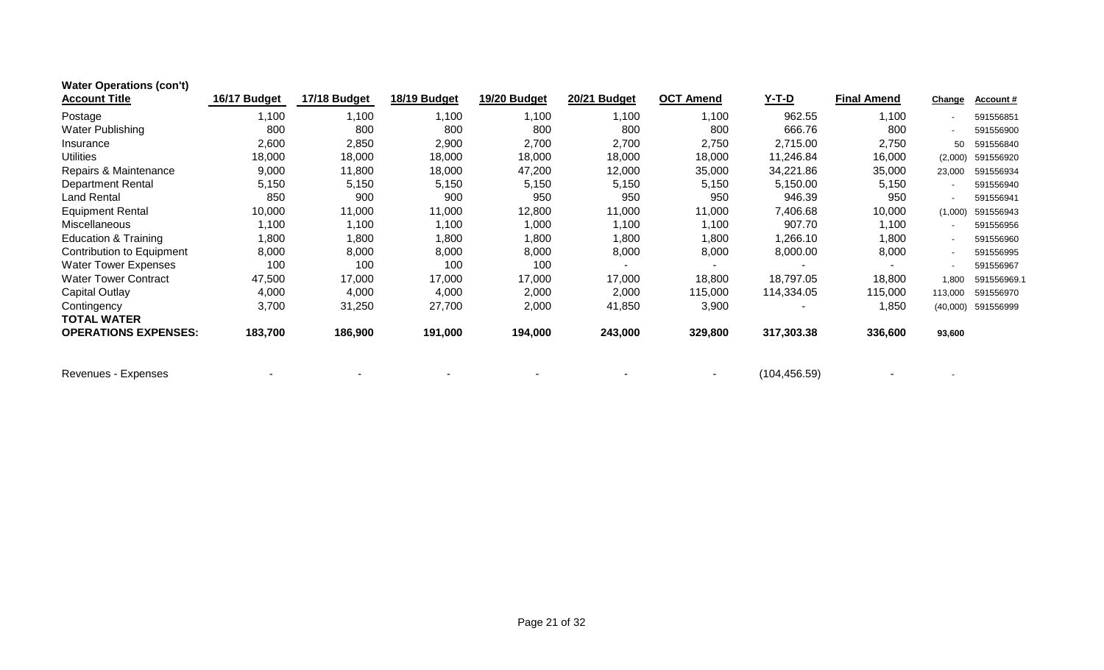| <b>Water Operations (con't)</b>  |              |              |              |              |              |                  |               |                    |                |                  |
|----------------------------------|--------------|--------------|--------------|--------------|--------------|------------------|---------------|--------------------|----------------|------------------|
| <b>Account Title</b>             | 16/17 Budget | 17/18 Budget | 18/19 Budget | 19/20 Budget | 20/21 Budget | <b>OCT Amend</b> | <u>Y-T-D</u>  | <b>Final Amend</b> | <b>Change</b>  | <b>Account #</b> |
| Postage                          | 1,100        | 1,100        | 1,100        | ,100         | 1,100        | 1,100            | 962.55        | 1,100              |                | 591556851        |
| Water Publishing                 | 800          | 800          | 800          | 800          | 800          | 800              | 666.76        | 800                | $\blacksquare$ | 591556900        |
| Insurance                        | 2,600        | 2,850        | 2,900        | 2,700        | 2,700        | 2,750            | 2,715.00      | 2,750              | 50             | 591556840        |
| <b>Utilities</b>                 | 18,000       | 18,000       | 18,000       | 18,000       | 18,000       | 18,000           | 11,246.84     | 16,000             | (2.000)        | 591556920        |
| Repairs & Maintenance            | 9,000        | 11,800       | 18,000       | 47,200       | 12,000       | 35,000           | 34,221.86     | 35,000             | 23,000         | 591556934        |
| <b>Department Rental</b>         | 5,150        | 5,150        | 5,150        | 5,150        | 5,150        | 5,150            | 5,150.00      | 5,150              | $\sim$         | 591556940        |
| <b>Land Rental</b>               | 850          | 900          | 900          | 950          | 950          | 950              | 946.39        | 950                | $\blacksquare$ | 591556941        |
| <b>Equipment Rental</b>          | 10,000       | 11,000       | 11,000       | 12,800       | 11,000       | 11,000           | 7,406.68      | 10,000             | (1,000)        | 591556943        |
| Miscellaneous                    | 1,100        | 1,100        | 1,100        | 1,000        | 1,100        | 1,100            | 907.70        | 1,100              | $\sim$         | 591556956        |
| <b>Education &amp; Training</b>  | 1,800        | 1,800        | ,800         | 1,800        | 1,800        | 1,800            | 1,266.10      | 1,800              | $\blacksquare$ | 591556960        |
| <b>Contribution to Equipment</b> | 8,000        | 8,000        | 8,000        | 8,000        | 8,000        | 8,000            | 8,000.00      | 8,000              | $\blacksquare$ | 591556995        |
| <b>Water Tower Expenses</b>      | 100          | 100          | 100          | 100          |              |                  |               |                    | $\blacksquare$ | 591556967        |
| <b>Water Tower Contract</b>      | 47,500       | 17,000       | 17,000       | 17,000       | 17,000       | 18,800           | 18,797.05     | 18,800             | 1.800          | 591556969.1      |
| Capital Outlay                   | 4,000        | 4,000        | 4,000        | 2,000        | 2,000        | 115,000          | 114,334.05    | 115,000            | 113,000        | 591556970        |
| Contingency                      | 3,700        | 31,250       | 27,700       | 2,000        | 41,850       | 3,900            |               | 1,850              | (40,000)       | 591556999        |
| <b>TOTAL WATER</b>               |              |              |              |              |              |                  |               |                    |                |                  |
| <b>OPERATIONS EXPENSES:</b>      | 183,700      | 186,900      | 191,000      | 194,000      | 243,000      | 329,800          | 317,303.38    | 336,600            | 93,600         |                  |
| Revenues - Expenses              |              |              |              |              |              |                  | (104, 456.59) |                    |                |                  |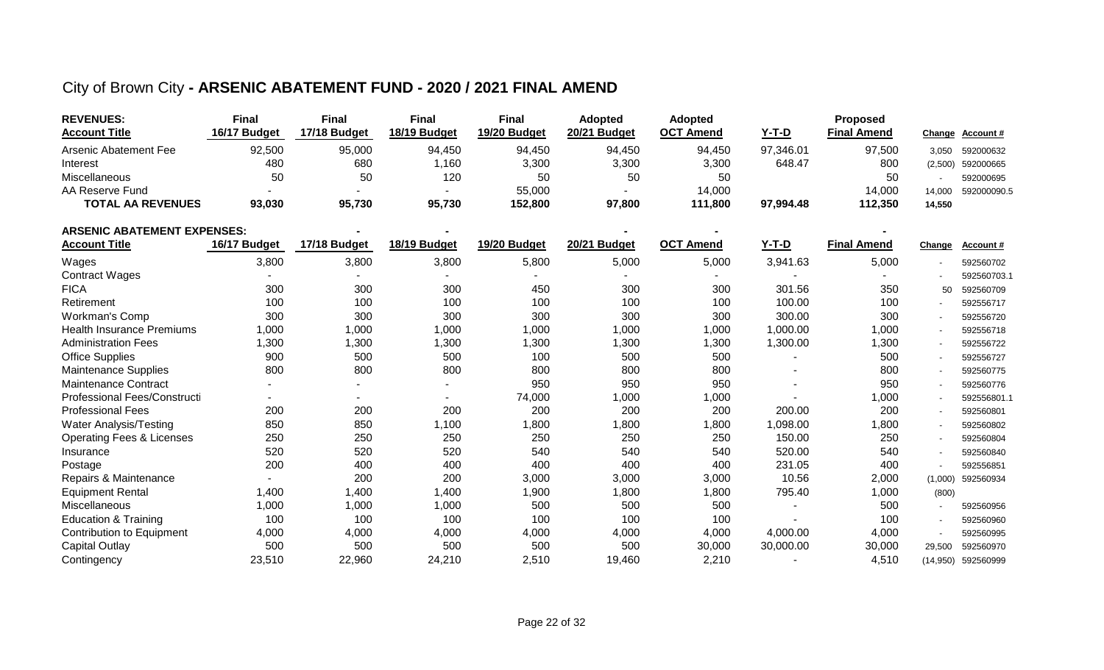#### City of Brown City **- ARSENIC ABATEMENT FUND - 2020 / 2021 FINAL AMEND**

| <b>REVENUES:</b>         | Final        | Final        | Final        | <b>Final</b> | <b>Adopted</b> | <b>Adopted</b>                   |           | <b>Proposed</b>    |         |                 |
|--------------------------|--------------|--------------|--------------|--------------|----------------|----------------------------------|-----------|--------------------|---------|-----------------|
| <b>Account Title</b>     | 16/17 Budget | 17/18 Budget | 18/19 Budget | 19/20 Budget | 20/21 Budget   | <b>OCT</b><br><sup>-</sup> Amend | Y-T-D     | <b>Final Amend</b> |         | Change Account# |
| Arsenic Abatement Fee    | 92,500       | 95,000       | 94,450       | 94,450       | 94,450         | 94,450                           | 97,346.01 | 97,500             | 3.050   | 592000632       |
| Interest                 | 480          | 680          | 1,160        | 3,300        | 3,300          | 3,300                            | 648.47    | 800                | (2.500) | 592000665       |
| Miscellaneous            | 50           | 50           | 120          | 50           | -50            | 50                               |           | 50                 |         | 592000695       |
| AA Reserve Fund          |              |              |              | 55,000       |                | 14,000                           |           | 14.000             | 14.000  | 592000090.5     |
| <b>TOTAL AA REVENUES</b> | 93,030       | 95,730       | 95,730       | 152.800      | 97,800         | 111,800                          | 97,994.48 | 112,350            | 14,550  |                 |

| <b>ARSENIC ABATEMENT EXPENSES:</b>   |              |              |              |              |              |                  |              |                    |                |             |
|--------------------------------------|--------------|--------------|--------------|--------------|--------------|------------------|--------------|--------------------|----------------|-------------|
| <b>Account Title</b>                 | 16/17 Budget | 17/18 Budget | 18/19 Budget | 19/20 Budget | 20/21 Budget | <b>OCT Amend</b> | <u>Y-T-D</u> | <b>Final Amend</b> | <b>Change</b>  | Account#    |
| Wages                                | 3,800        | 3,800        | 3,800        | 5,800        | 5,000        | 5,000            | 3,941.63     | 5,000              |                | 592560702   |
| <b>Contract Wages</b>                |              |              |              |              |              |                  |              |                    |                | 592560703.1 |
| <b>FICA</b>                          | 300          | 300          | 300          | 450          | 300          | 300              | 301.56       | 350                | 50             | 592560709   |
| Retirement                           | 100          | 100          | 100          | 100          | 100          | 100              | 100.00       | 100                |                | 592556717   |
| <b>Workman's Comp</b>                | 300          | 300          | 300          | 300          | 300          | 300              | 300.00       | 300                |                | 592556720   |
| <b>Health Insurance Premiums</b>     | 1,000        | 1,000        | 1,000        | 1,000        | 1,000        | 1,000            | 1,000.00     | 1,000              | $\sim$         | 592556718   |
| <b>Administration Fees</b>           | 1,300        | 1,300        | 1,300        | 1,300        | 1,300        | 1,300            | 1,300.00     | 1,300              | $\blacksquare$ | 592556722   |
| <b>Office Supplies</b>               | 900          | 500          | 500          | 100          | 500          | 500              |              | 500                | $\sim$         | 592556727   |
| <b>Maintenance Supplies</b>          | 800          | 800          | 800          | 800          | 800          | 800              |              | 800                | $\blacksquare$ | 592560775   |
| <b>Maintenance Contract</b>          |              | ۰            | ٠            | 950          | 950          | 950              |              | 950                | $\sim$         | 592560776   |
| Professional Fees/Constructi         |              | ٠            | ٠            | 74,000       | 1,000        | 1,000            |              | 1,000              |                | 592556801.1 |
| <b>Professional Fees</b>             | 200          | 200          | 200          | 200          | 200          | 200              | 200.00       | 200                | $\sim$         | 592560801   |
| Water Analysis/Testing               | 850          | 850          | 1,100        | 1,800        | 1,800        | 1,800            | 1,098.00     | 1,800              | $\sim$         | 592560802   |
| <b>Operating Fees &amp; Licenses</b> | 250          | 250          | 250          | 250          | 250          | 250              | 150.00       | 250                | $\blacksquare$ | 592560804   |
| Insurance                            | 520          | 520          | 520          | 540          | 540          | 540              | 520.00       | 540                |                | 592560840   |
| Postage                              | 200          | 400          | 400          | 400          | 400          | 400              | 231.05       | 400                |                | 592556851   |
| Repairs & Maintenance                |              | 200          | 200          | 3,000        | 3,000        | 3,000            | 10.56        | 2,000              | (1,000)        | 592560934   |
| <b>Equipment Rental</b>              | 1,400        | 1,400        | 1,400        | 1,900        | 1,800        | 1,800            | 795.40       | 1,000              | (800)          |             |
| Miscellaneous                        | 1,000        | 1,000        | 1,000        | 500          | 500          | 500              |              | 500                | $\blacksquare$ | 592560956   |
| <b>Education &amp; Training</b>      | 100          | 100          | 100          | 100          | 100          | 100              |              | 100                | $\blacksquare$ | 592560960   |
| Contribution to Equipment            | 4,000        | 4,000        | 4,000        | 4,000        | 4,000        | 4,000            | 4,000.00     | 4,000              | $\blacksquare$ | 592560995   |
| Capital Outlay                       | 500          | 500          | 500          | 500          | 500          | 30,000           | 30,000.00    | 30,000             | 29,500         | 592560970   |
| Contingency                          | 23,510       | 22,960       | 24,210       | 2,510        | 19,460       | 2,210            |              | 4,510              | (14,950)       | 592560999   |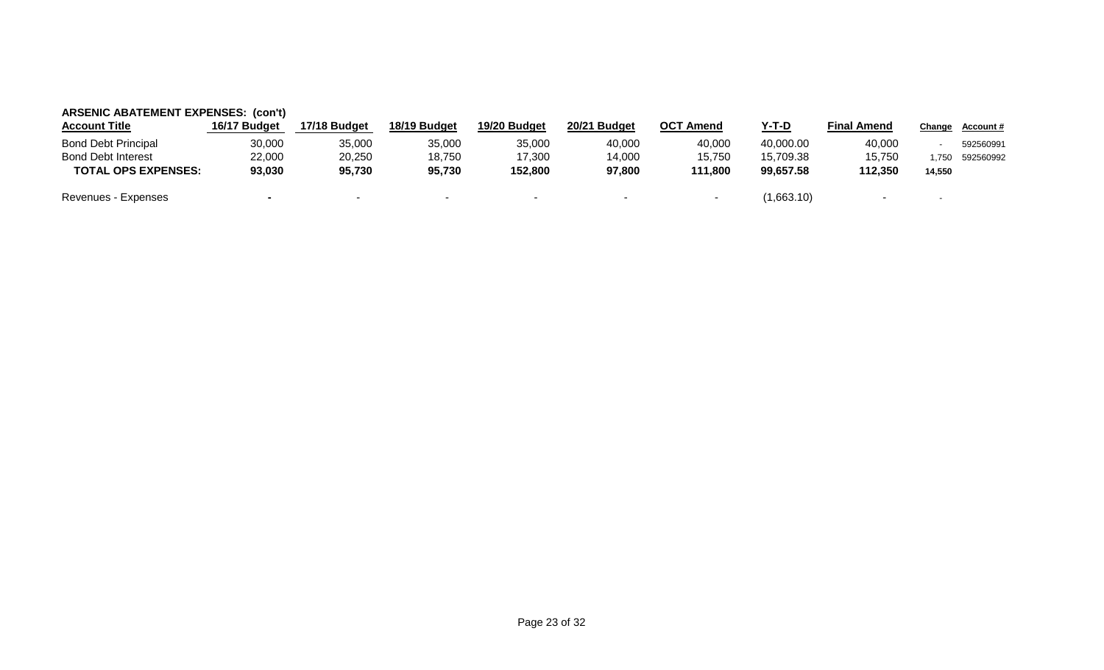| <b>ARSENIC ABATEMENT EXPENSES: (con't)</b> |              |              |              |              |                          |                          |              |                          |        |                  |
|--------------------------------------------|--------------|--------------|--------------|--------------|--------------------------|--------------------------|--------------|--------------------------|--------|------------------|
| <b>Account Title</b>                       | 16/17 Budget | 17/18 Budget | 18/19 Budget | 19/20 Budget | 20/21 Budget             | <b>OCT Amend</b>         | <u>Y-T-D</u> | <b>Final Amend</b>       | Change | <u>Account #</u> |
| <b>Bond Debt Principal</b>                 | 30,000       | 35,000       | 35,000       | 35,000       | 40,000                   | 40,000                   | 40,000.00    | 40,000                   |        | 592560991        |
| <b>Bond Debt Interest</b>                  | 22,000       | 20,250       | 18,750       | 17,300       | 14,000                   | 15,750                   | 15.709.38    | 15.750                   | .750   | 592560992        |
| <b>TOTAL OPS EXPENSES:</b>                 | 93,030       | 95,730       | 95,730       | 152.800      | 97,800                   | 111,800                  | 99.657.58    | 112.350                  | 14,550 |                  |
| Revenues - Expenses                        |              | $\sim$       | $\sim$       | $\sim$       | $\overline{\phantom{a}}$ | $\overline{\phantom{a}}$ | (1,663.10)   | $\overline{\phantom{0}}$ | $\sim$ |                  |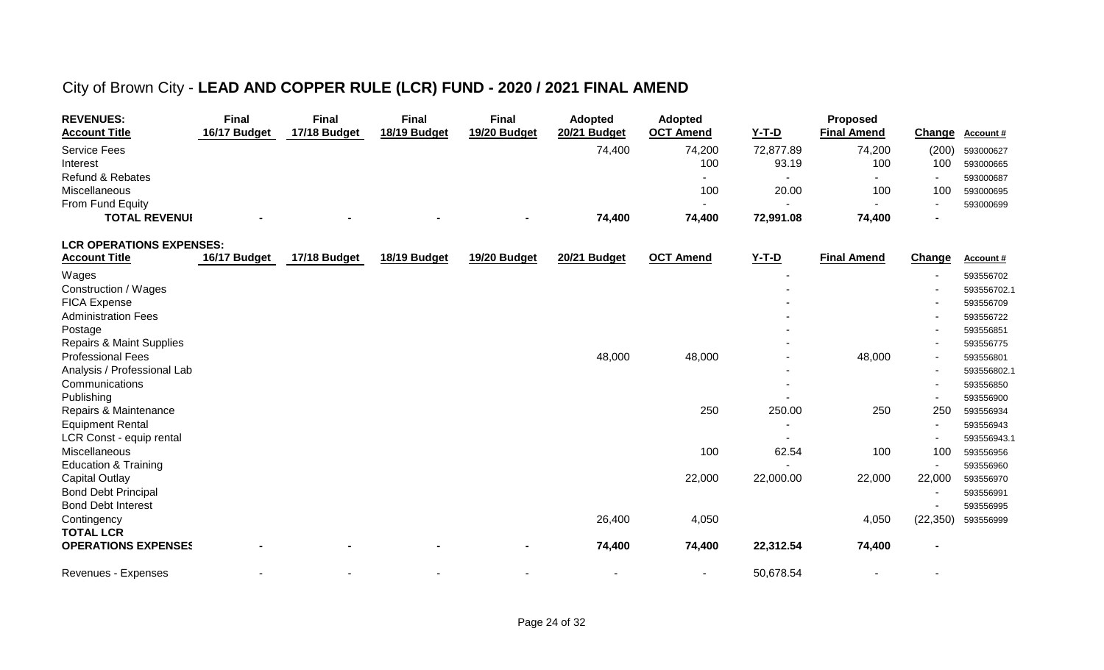# City of Brown City - **LEAD AND COPPER RULE (LCR) FUND - 2020 / 2021 FINAL AMEND**

| <b>REVENUES:</b>                    | <b>Final</b> | <b>Final</b> | <b>Final</b> | <b>Final</b> | <b>Adopted</b> | <b>Adopted</b>           |           | Proposed           |                          |             |
|-------------------------------------|--------------|--------------|--------------|--------------|----------------|--------------------------|-----------|--------------------|--------------------------|-------------|
| <b>Account Title</b>                | 16/17 Budget | 17/18 Budget | 18/19 Budget | 19/20 Budget | 20/21 Budget   | <b>OCT Amend</b>         | $Y-T-D$   | <b>Final Amend</b> | Change                   | Account#    |
| <b>Service Fees</b>                 |              |              |              |              | 74,400         | 74,200                   | 72,877.89 | 74,200             | (200)                    | 593000627   |
| Interest                            |              |              |              |              |                | 100                      | 93.19     | 100                | 100                      | 593000665   |
| <b>Refund &amp; Rebates</b>         |              |              |              |              |                | $\blacksquare$           | $\sim$    |                    | $\overline{\phantom{a}}$ | 593000687   |
| Miscellaneous                       |              |              |              |              |                | 100                      | 20.00     | 100                | 100                      | 593000695   |
| From Fund Equity                    |              |              |              |              |                | $\sim$                   | $\sim$    |                    |                          | 593000699   |
| <b>TOTAL REVENUI</b>                |              |              |              |              | 74,400         | 74,400                   | 72,991.08 | 74,400             |                          |             |
| <b>LCR OPERATIONS EXPENSES:</b>     |              |              |              |              |                |                          |           |                    |                          |             |
| <b>Account Title</b>                | 16/17 Budget | 17/18 Budget | 18/19 Budget | 19/20 Budget | 20/21 Budget   | <b>OCT Amend</b>         | $Y-T-D$   | <b>Final Amend</b> | Change                   | Account#    |
| Wages                               |              |              |              |              |                |                          |           |                    |                          | 593556702   |
| Construction / Wages                |              |              |              |              |                |                          |           |                    |                          | 593556702.1 |
| FICA Expense                        |              |              |              |              |                |                          |           |                    |                          | 593556709   |
| <b>Administration Fees</b>          |              |              |              |              |                |                          |           |                    |                          | 593556722   |
| Postage                             |              |              |              |              |                |                          |           |                    |                          | 593556851   |
| <b>Repairs &amp; Maint Supplies</b> |              |              |              |              |                |                          |           |                    |                          | 593556775   |
| <b>Professional Fees</b>            |              |              |              |              | 48,000         | 48,000                   |           | 48,000             |                          | 593556801   |
| Analysis / Professional Lab         |              |              |              |              |                |                          |           |                    |                          | 593556802.1 |
| Communications                      |              |              |              |              |                |                          |           |                    |                          | 593556850   |
| Publishing                          |              |              |              |              |                |                          |           |                    |                          | 593556900   |
| Repairs & Maintenance               |              |              |              |              |                | 250                      | 250.00    | 250                | 250                      | 593556934   |
| <b>Equipment Rental</b>             |              |              |              |              |                |                          |           |                    |                          | 593556943   |
| LCR Const - equip rental            |              |              |              |              |                |                          |           |                    |                          | 593556943.1 |
| Miscellaneous                       |              |              |              |              |                | 100                      | 62.54     | 100                | 100                      | 593556956   |
| <b>Education &amp; Training</b>     |              |              |              |              |                |                          |           |                    | $\blacksquare$           | 593556960   |
| <b>Capital Outlay</b>               |              |              |              |              |                | 22,000                   | 22,000.00 | 22,000             | 22,000                   | 593556970   |
| <b>Bond Debt Principal</b>          |              |              |              |              |                |                          |           |                    |                          | 593556991   |
| <b>Bond Debt Interest</b>           |              |              |              |              |                |                          |           |                    | ۰                        | 593556995   |
| Contingency                         |              |              |              |              | 26,400         | 4,050                    |           | 4,050              | (22, 350)                | 593556999   |
| <b>TOTAL LCR</b>                    |              |              |              |              |                |                          |           |                    |                          |             |
| <b>OPERATIONS EXPENSES</b>          |              |              |              |              | 74,400         | 74,400                   | 22,312.54 | 74,400             |                          |             |
| Revenues - Expenses                 |              |              |              |              |                | $\overline{\phantom{a}}$ | 50,678.54 |                    |                          |             |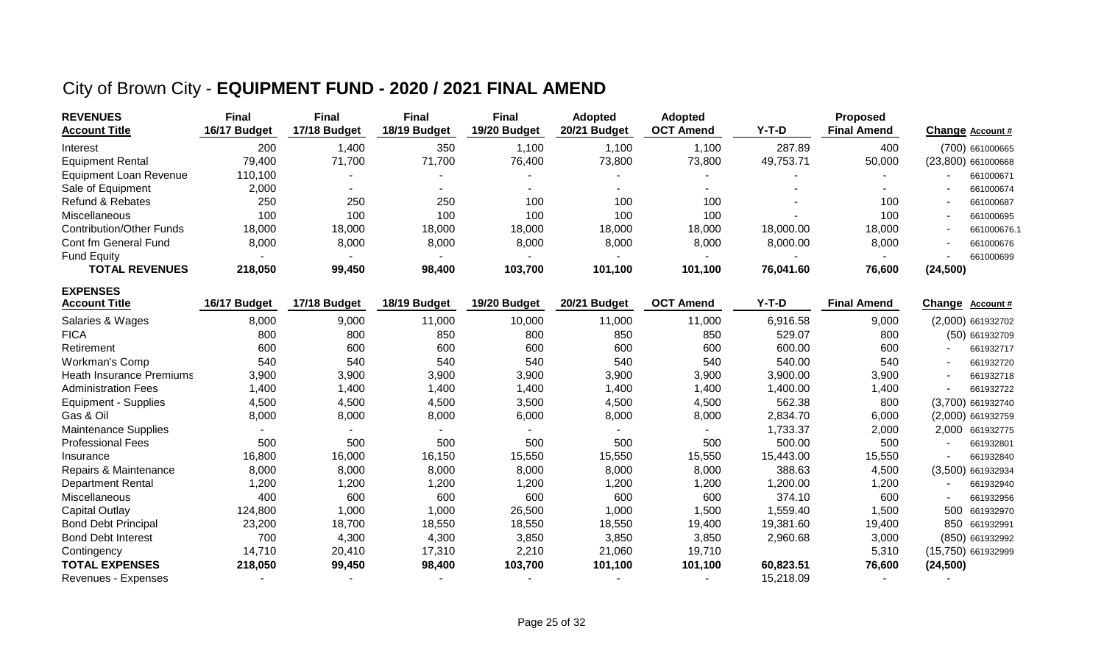## City of Brown City - **EQUIPMENT FUND - 2020 / 2021 FINAL AMEND**

| <b>REVENUES</b>                 | <b>Final</b> | <b>Final</b> | <b>Final</b> | <b>Final</b> | <b>Adopted</b> | Adopted          |           | <b>Proposed</b>    |                    |
|---------------------------------|--------------|--------------|--------------|--------------|----------------|------------------|-----------|--------------------|--------------------|
| <b>Account Title</b>            | 16/17 Budget | 17/18 Budget | 18/19 Budget | 19/20 Budget | 20/21 Budget   | <b>OCT Amend</b> | $Y-T-D$   | <b>Final Amend</b> | Change Account #   |
| Interest                        | 200          | 1,400        | 350          | 1,100        | 1,100          | 1,100            | 287.89    | 400                | (700) 661000665    |
| <b>Equipment Rental</b>         | 79,400       | 71,700       | 71,700       | 76,400       | 73,800         | 73,800           | 49,753.71 | 50,000             | (23,800) 661000668 |
| <b>Equipment Loan Revenue</b>   | 110,100      |              |              |              |                |                  |           |                    | 661000671          |
| Sale of Equipment               | 2,000        |              |              |              |                |                  |           |                    | 661000674          |
| <b>Refund &amp; Rebates</b>     | 250          | 250          | 250          | 100          | 100            | 100              |           | 100                | 661000687          |
| Miscellaneous                   | 100          | 100          | 100          | 100          | 100            | 100              |           | 100                | 661000695          |
| <b>Contribution/Other Funds</b> | 18,000       | 18,000       | 18,000       | 18,000       | 18,000         | 18,000           | 18,000.00 | 18,000             | 661000676.1        |
| Cont fm General Fund            | 8,000        | 8,000        | 8,000        | 8,000        | 8,000          | 8,000            | 8,000.00  | 8,000              | 661000676          |
| <b>Fund Equity</b>              |              |              |              |              |                |                  |           |                    | 661000699          |
| <b>TOTAL REVENUES</b>           | 218,050      | 99,450       | 98,400       | 103,700      | 101,100        | 101,100          | 76,041.60 | 76,600             | (24, 500)          |
| <b>EXPENSES</b>                 |              |              |              |              |                |                  |           |                    |                    |
| <b>Account Title</b>            | 16/17 Budget | 17/18 Budget | 18/19 Budget | 19/20 Budget | 20/21 Budget   | <b>OCT Amend</b> | $Y-T-D$   | <b>Final Amend</b> | Change Account #   |
| Salaries & Wages                | 8,000        | 9,000        | 11,000       | 10,000       | 11,000         | 11,000           | 6,916.58  | 9,000              | (2,000) 661932702  |
| <b>FICA</b>                     | 800          | 800          | 850          | 800          | 850            | 850              | 529.07    | 800                | (50) 661932709     |
| Retirement                      | 600          | 600          | 600          | 600          | 600            | 600              | 600.00    | 600                | 661932717          |
| Workman's Comp                  | 540          | 540          | 540          | 540          | 540            | 540              | 540.00    | 540                | 661932720          |
| <b>Heath Insurance Premiums</b> | 3,900        | 3,900        | 3,900        | 3,900        | 3,900          | 3,900            | 3,900.00  | 3,900              | 661932718          |
| <b>Administration Fees</b>      | 1,400        | 1,400        | 1,400        | 1,400        | 1,400          | 1,400            | 1,400.00  | 1,400              | 661932722          |
| <b>Equipment - Supplies</b>     | 4,500        | 4,500        | 4,500        | 3,500        | 4,500          | 4,500            | 562.38    | 800                | (3,700) 661932740  |
| Gas & Oil                       | 8,000        | 8,000        | 8,000        | 6,000        | 8,000          | 8,000            | 2,834.70  | 6,000              | (2,000) 661932759  |
| <b>Maintenance Supplies</b>     |              |              |              |              |                |                  | 1,733.37  | 2,000              | 2,000 661932775    |
| <b>Professional Fees</b>        | 500          | 500          | 500          | 500          | 500            | 500              | 500.00    | 500                | 661932801          |
| Insurance                       | 16,800       | 16,000       | 16,150       | 15,550       | 15,550         | 15,550           | 15,443.00 | 15,550             | 661932840          |
| Repairs & Maintenance           | 8,000        | 8,000        | 8,000        | 8,000        | 8,000          | 8,000            | 388.63    | 4,500              | (3,500) 661932934  |
| <b>Department Rental</b>        | 1,200        | 1,200        | 1,200        | 1,200        | 1,200          | 1,200            | 1,200.00  | 1,200              | 661932940          |
| Miscellaneous                   | 400          | 600          | 600          | 600          | 600            | 600              | 374.10    | 600                | 661932956          |
| <b>Capital Outlay</b>           | 124,800      | 1,000        | 1,000        | 26,500       | 1,000          | 1,500            | 1,559.40  | 1,500              | 500<br>661932970   |
| <b>Bond Debt Principal</b>      | 23,200       | 18,700       | 18,550       | 18,550       | 18,550         | 19,400           | 19,381.60 | 19,400             | 850<br>661932991   |
| <b>Bond Debt Interest</b>       | 700          | 4,300        | 4,300        | 3,850        | 3,850          | 3,850            | 2,960.68  | 3,000              | (850) 661932992    |
| Contingency                     | 14,710       | 20,410       | 17,310       | 2,210        | 21,060         | 19,710           |           | 5,310              | (15,750) 661932999 |
| <b>TOTAL EXPENSES</b>           | 218,050      | 99,450       | 98,400       | 103,700      | 101,100        | 101,100          | 60,823.51 | 76,600             | (24, 500)          |
| Revenues - Expenses             |              |              |              |              |                |                  | 15,218.09 |                    |                    |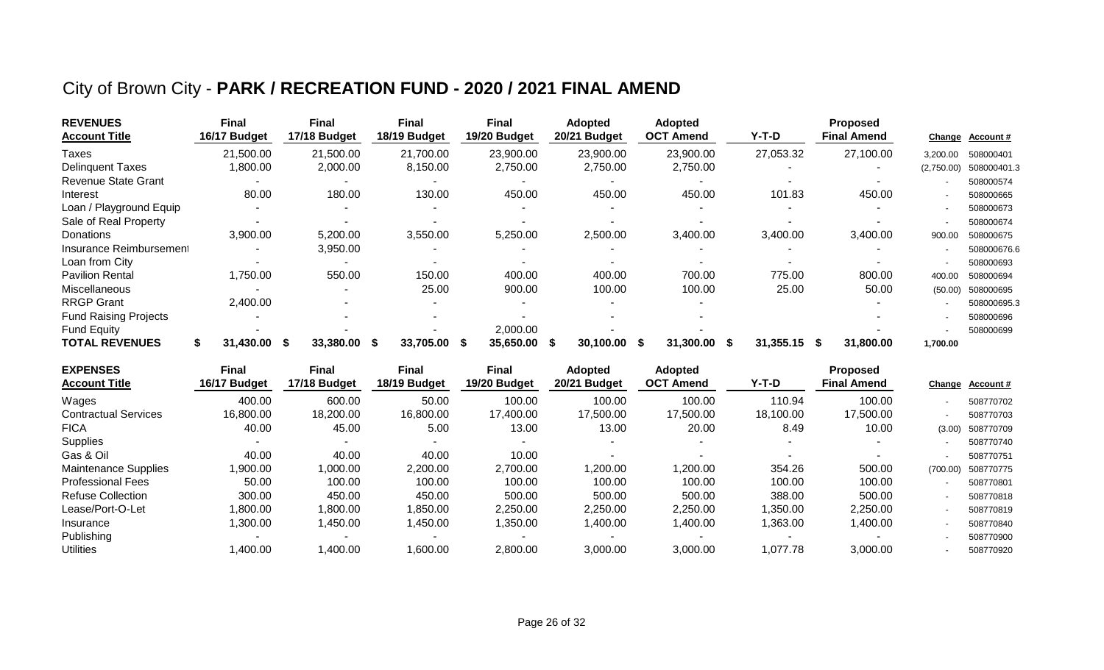## City of Brown City - **PARK / RECREATION FUND - 2020 / 2021 FINAL AMEND**

| <b>REVENUES</b><br><b>Account Title</b> | Final<br>16/17 Budget | <b>Final</b><br>17/18 Budget | <b>Final</b><br>18/19 Budget | <b>Final</b><br>19/20 Budget | <b>Adopted</b><br>20/21 Budget | <b>Adopted</b><br><b>OCT Amend</b> | $Y-T-D$               | <b>Proposed</b><br><b>Final Amend</b> | Change     | <b>Account #</b> |
|-----------------------------------------|-----------------------|------------------------------|------------------------------|------------------------------|--------------------------------|------------------------------------|-----------------------|---------------------------------------|------------|------------------|
| <b>Taxes</b>                            | 21,500.00             | 21,500.00                    | 21,700.00                    | 23,900.00                    | 23,900.00                      | 23,900.00                          | 27,053.32             | 27,100.00                             | 3,200.00   | 508000401        |
| <b>Delinguent Taxes</b>                 | ,800.00               | 2,000.00                     | 8,150.00                     | 2,750.00                     | 2,750.00                       | 2,750.00                           |                       |                                       | (2,750.00) | 508000401.3      |
| <b>Revenue State Grant</b>              |                       |                              |                              |                              |                                |                                    |                       |                                       |            | 508000574        |
| Interest                                | 80.00                 | 180.00                       | 130.00                       | 450.00                       | 450.00                         | 450.00                             | 101.83                | 450.00                                |            | 508000665        |
| Loan / Playground Equip                 |                       |                              |                              |                              |                                |                                    |                       |                                       |            | 508000673        |
| Sale of Real Property                   |                       |                              |                              |                              |                                |                                    |                       |                                       |            | 508000674        |
| Donations                               | 3,900.00              | 5,200.00                     | 3,550.00                     | 5,250.00                     | 2,500.00                       | 3,400.00                           | 3,400.00              | 3,400.00                              | 900.00     | 508000675        |
| Insurance Reimbursement                 |                       | 3,950.00                     |                              |                              |                                |                                    |                       |                                       |            | 508000676.6      |
| Loan from City                          |                       | $\overline{\phantom{a}}$     |                              |                              |                                |                                    |                       |                                       |            | 508000693        |
| <b>Pavilion Rental</b>                  | 1,750.00              | 550.00                       | 150.00                       | 400.00                       | 400.00                         | 700.00                             | 775.00                | 800.00                                | 400.00     | 508000694        |
| <b>Miscellaneous</b>                    |                       |                              | 25.00                        | 900.00                       | 100.00                         | 100.00                             | 25.00                 | 50.00                                 | (50.00)    | 508000695        |
| <b>RRGP Grant</b>                       | 2,400.00              |                              |                              |                              |                                |                                    |                       |                                       |            | 508000695.3      |
| <b>Fund Raising Projects</b>            |                       |                              |                              |                              |                                |                                    |                       |                                       |            | 508000696        |
| <b>Fund Equity</b>                      |                       |                              |                              | 2,000.00                     |                                |                                    |                       |                                       |            | 508000699        |
| <b>TOTAL REVENUES</b>                   | 31,430.00<br>S        | 33,380.00<br>- S             | 33,705.00<br>- S             | 35,650.00<br>- 55            | 30.100.00<br>-56               | 31,300.00<br>- 56                  | $31,355.15$ \$<br>- S | 31,800.00                             | 1,700.00   |                  |

| <b>EXPENSES</b>             | <b>Final</b> | <b>Final</b> | Final        | Final        | <b>Adopted</b> | <b>Adopted</b>   |           | <b>Proposed</b>    |                          |                 |
|-----------------------------|--------------|--------------|--------------|--------------|----------------|------------------|-----------|--------------------|--------------------------|-----------------|
| <b>Account Title</b>        | 16/17 Budget | 17/18 Budget | 18/19 Budget | 19/20 Budget | 20/21 Budget   | <b>OCT Amend</b> | $Y-T-D$   | <b>Final Amend</b> |                          | Change Account# |
| Wages                       | 400.00       | 600.00       | 50.00        | 100.00       | 100.00         | 100.00           | 110.94    | 100.00             | $\overline{\phantom{a}}$ | 508770702       |
| <b>Contractual Services</b> | 16,800.00    | 18,200.00    | 16,800.00    | 17,400.00    | 17,500.00      | 17,500.00        | 18,100.00 | 17,500.00          | $\overline{\phantom{a}}$ | 508770703       |
| <b>FICA</b>                 | 40.00        | 45.00        | 5.00         | 13.00        | 13.00          | 20.00            | 8.49      | 10.00              | (3.00)                   | 508770709       |
| Supplies                    |              |              |              |              |                |                  |           |                    |                          | 508770740       |
| Gas & Oil                   | 40.00        | 40.00        | 40.00        | 10.00        |                |                  |           |                    |                          | 508770751       |
| <b>Maintenance Supplies</b> | 1,900.00     | 000.00,      | 2,200.00     | 2,700.00     | .200.00        | 1,200.00         | 354.26    | 500.00             | (700.00)                 | 508770775       |
| <b>Professional Fees</b>    | 50.00        | 100.00       | 100.00       | 100.00       | 100.00         | 100.00           | 100.00    | 100.00             |                          | 508770801       |
| <b>Refuse Collection</b>    | 300.00       | 450.00       | 450.00       | 500.00       | 500.00         | 500.00           | 388.00    | 500.00             | $\overline{\phantom{a}}$ | 508770818       |
| Lease/Port-O-Let            | 1,800.00     | ,800.00      | 850.00       | 2,250.00     | 2,250.00       | 2,250.00         | 1,350.00  | 2,250.00           | -                        | 508770819       |
| Insurance                   | 1,300.00     | ,450.00      | 1,450.00     | 1,350.00     | 1,400.00       | 1,400.00         | 1,363.00  | 1,400.00           |                          | 508770840       |
| Publishing                  |              | -            |              |              |                |                  |           |                    |                          | 508770900       |
| <b>Utilities</b>            | A00.00,      | ,400.00      | 00.00.00     | 2,800.00     | 3,000.00       | 3,000.00         | 1,077.78  | 3,000.00           | $\overline{\phantom{a}}$ | 508770920       |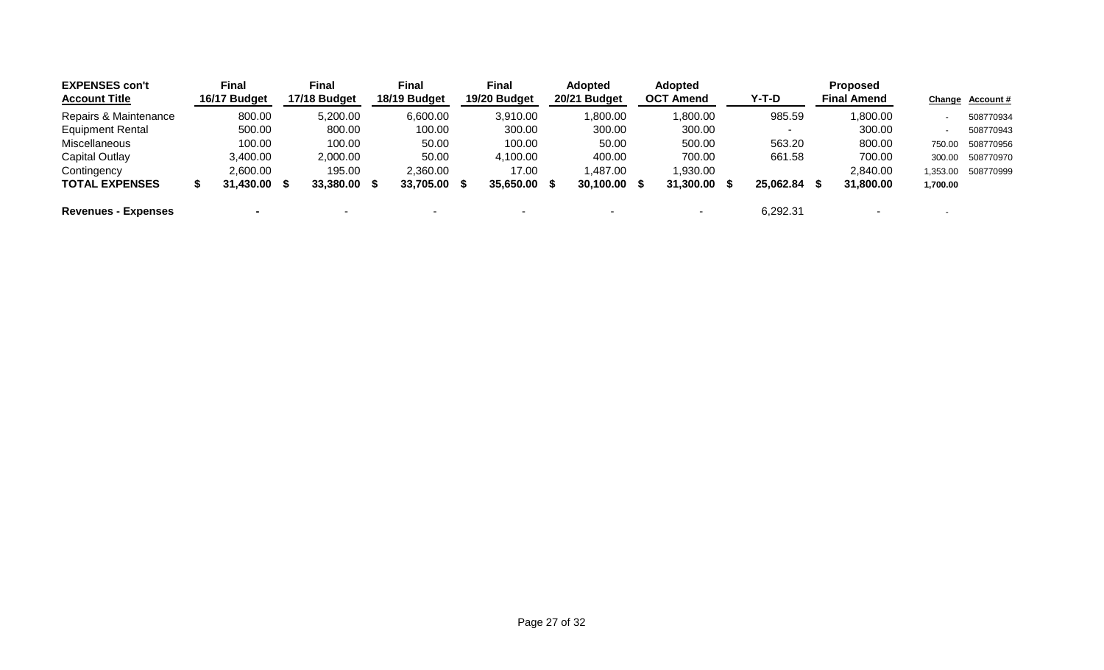| <b>EXPENSES con't</b><br><b>Account Title</b> |   | <b>Final</b><br>16/17 Budget | Final<br>17/18 Budget | <b>Final</b><br>18/19 Budget | <b>Final</b><br>19/20 Budget |      | <b>Adopted</b><br>20/21 Budget |      | <b>Adopted</b><br><b>OCT Amend</b> | $Y-T-D$   |   | <b>Proposed</b><br><b>Final Amend</b> |          | Change Account# |
|-----------------------------------------------|---|------------------------------|-----------------------|------------------------------|------------------------------|------|--------------------------------|------|------------------------------------|-----------|---|---------------------------------------|----------|-----------------|
| Repairs & Maintenance                         |   | 800.00                       | 5,200.00              | 6,600.00                     | 3,910.00                     |      | 1,800.00                       |      | 1,800.00                           | 985.59    |   | 1,800.00                              |          | 508770934       |
| <b>Equipment Rental</b>                       |   | 500.00                       | 800.00                | 100.00                       | 300.00                       |      | 300.00                         |      | 300.00                             |           |   | 300.00                                |          | 508770943       |
| Miscellaneous                                 |   | 100.00                       | 100.00                | 50.00                        | 100.00                       |      | 50.00                          |      | 500.00                             | 563.20    |   | 800.00                                | 750.00   | 508770956       |
| <b>Capital Outlay</b>                         |   | 3,400.00                     | 2,000.00              | 50.00                        | 4,100.00                     |      | 400.00                         |      | 700.00                             | 661.58    |   | 700.00                                | 300.00   | 508770970       |
| Contingency                                   |   | 2,600.00                     | 195.00                | 2,360.00                     | 17.00                        |      | 1,487.00                       |      | 1,930.00                           |           |   | 2,840.00                              | 1,353.00 | 508770999       |
| <b>TOTAL EXPENSES</b>                         | S | 31,430.00 \$                 | 33,380.00 \$          | 33,705.00                    | 35,650.00                    | - 55 | 30,100.00                      | - 56 | 31,300.00                          | 25,062.84 | S | 31,800.00                             | 1,700.00 |                 |
| <b>Revenues - Expenses</b>                    |   | $\blacksquare$               |                       |                              |                              |      |                                |      |                                    | 6,292.31  |   |                                       |          |                 |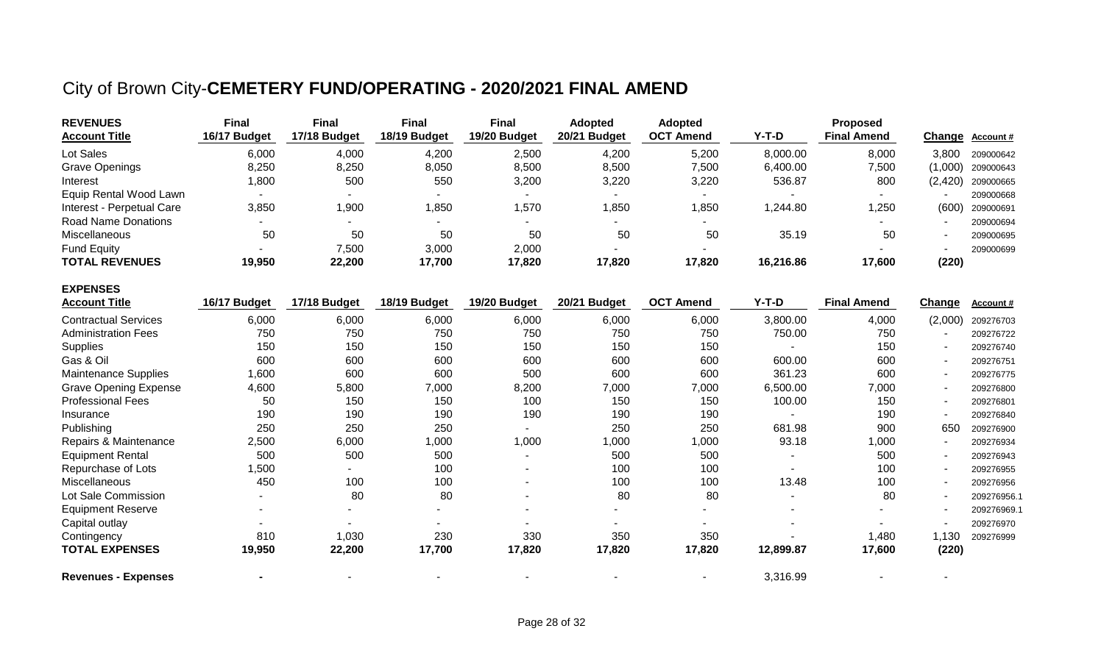## City of Brown City-**CEMETERY FUND/OPERATING - 2020/2021 FINAL AMEND**

| <b>REVENUES</b>           | <b>Final</b> | Final        | <b>Final</b> | Final                    | <b>Adopted</b> | <b>Adopted</b>           |           | <b>Proposed</b>    |       |                     |
|---------------------------|--------------|--------------|--------------|--------------------------|----------------|--------------------------|-----------|--------------------|-------|---------------------|
| <b>Account Title</b>      | 16/17 Budget | 17/18 Budget | 18/19 Budget | 19/20 Budget             | 20/21 Budget   | <b>OCT Amend</b>         | $Y-T-D$   | <b>Final Amend</b> |       | Change Account #    |
| Lot Sales                 | 6,000        | 4,000        | 4,200        | 2,500                    | 4,200          | 5,200                    | 8,000.00  | 8,000              | 3.800 | 209000642           |
| <b>Grave Openings</b>     | 8,250        | 8,250        | 8,050        | 8,500                    | 8,500          | 7,500                    | 6,400.00  | 7,500              |       | $(1,000)$ 209000643 |
| Interest                  | 1,800        | 500          | 550          | 3,200                    | 3,220          | 3,220                    | 536.87    | 800                |       | $(2,420)$ 209000665 |
| Equip Rental Wood Lawn    | -            | . .          |              | $\overline{\phantom{a}}$ |                | $\overline{\phantom{a}}$ |           | $\sim$             |       | 209000668           |
| Interest - Perpetual Care | 3,850        | 1,900        | 1,850        | ,570                     | ,850           | <b>850,</b>              | 1,244.80  | 1,250              | (600) | 209000691           |
| Road Name Donations       | -            | . .          |              |                          |                | $\overline{\phantom{0}}$ |           |                    |       | 209000694           |
| Miscellaneous             | 50           | 50           | 50           | 50                       | 50             | 50                       | 35.19     | 50                 |       | 209000695           |
| <b>Fund Equity</b>        |              | 7,500        | 3,000        | 2,000                    |                |                          |           |                    |       | 209000699           |
| <b>TOTAL REVENUES</b>     | 19,950       | 22,200       | 17,700       | 17,820                   | 17,820         | 17,820                   | 16,216.86 | 17,600             | (220) |                     |

| <b>EXPENSES</b>              |              |                          |                          |                          |              |                          |           |                    |                |             |
|------------------------------|--------------|--------------------------|--------------------------|--------------------------|--------------|--------------------------|-----------|--------------------|----------------|-------------|
| <b>Account Title</b>         | 16/17 Budget | 17/18 Budget             | 18/19 Budget             | 19/20 Budget             | 20/21 Budget | <b>OCT Amend</b>         | Y-T-D     | <b>Final Amend</b> | Change         | Account#    |
| <b>Contractual Services</b>  | 6,000        | 6,000                    | 6,000                    | 6,000                    | 6,000        | 6,000                    | 3,800.00  | 4,000              | (2,000)        | 209276703   |
| <b>Administration Fees</b>   | 750          | 750                      | 750                      | 750                      | 750          | 750                      | 750.00    | 750                |                | 209276722   |
| <b>Supplies</b>              | 150          | 150                      | 150                      | 150                      | 150          | 150                      |           | 150                |                | 209276740   |
| Gas & Oil                    | 600          | 600                      | 600                      | 600                      | 600          | 600                      | 600.00    | 600                |                | 209276751   |
| <b>Maintenance Supplies</b>  | 1,600        | 600                      | 600                      | 500                      | 600          | 600                      | 361.23    | 600                |                | 209276775   |
| <b>Grave Opening Expense</b> | 4,600        | 5,800                    | 7,000                    | 8,200                    | 7,000        | 7,000                    | 6,500.00  | 7,000              | $\blacksquare$ | 209276800   |
| <b>Professional Fees</b>     | 50           | 150                      | 150                      | 100                      | 150          | 150                      | 100.00    | 150                |                | 209276801   |
| Insurance                    | 190          | 190                      | 190                      | 190                      | 190          | 190                      |           | 190                |                | 209276840   |
| Publishing                   | 250          | 250                      | 250                      |                          | 250          | 250                      | 681.98    | 900                | 650            | 209276900   |
| Repairs & Maintenance        | 2,500        | 6,000                    | 1,000                    | 1,000                    | 1,000        | 1,000                    | 93.18     | 1,000              |                | 209276934   |
| <b>Equipment Rental</b>      | 500          | 500                      | 500                      |                          | 500          | 500                      |           | 500                |                | 209276943   |
| Repurchase of Lots           | 1,500        |                          | 100                      | ٠                        | 100          | 100                      |           | 100                |                | 209276955   |
| Miscellaneous                | 450          | 100                      | 100                      | ٠                        | 100          | 100                      | 13.48     | 100                |                | 209276956   |
| Lot Sale Commission          |              | 80                       | 80                       | $\overline{\phantom{0}}$ | 80           | 80                       |           | 80                 |                | 209276956.1 |
| <b>Equipment Reserve</b>     |              | $\overline{\phantom{a}}$ | $\overline{\phantom{a}}$ | $\sim$                   | ۰            | ۰                        |           |                    |                | 209276969.1 |
| Capital outlay               |              |                          |                          |                          |              |                          |           |                    |                | 209276970   |
| Contingency                  | 810          | 1,030                    | 230                      | 330                      | 350          | 350                      |           | 1,480              | 1,130          | 209276999   |
| <b>TOTAL EXPENSES</b>        | 19,950       | 22,200                   | 17,700                   | 17,820                   | 17,820       | 17,820                   | 12,899.87 | 17,600             | (220)          |             |
| <b>Revenues - Expenses</b>   |              |                          |                          |                          |              | $\overline{\phantom{a}}$ | 3,316.99  |                    |                |             |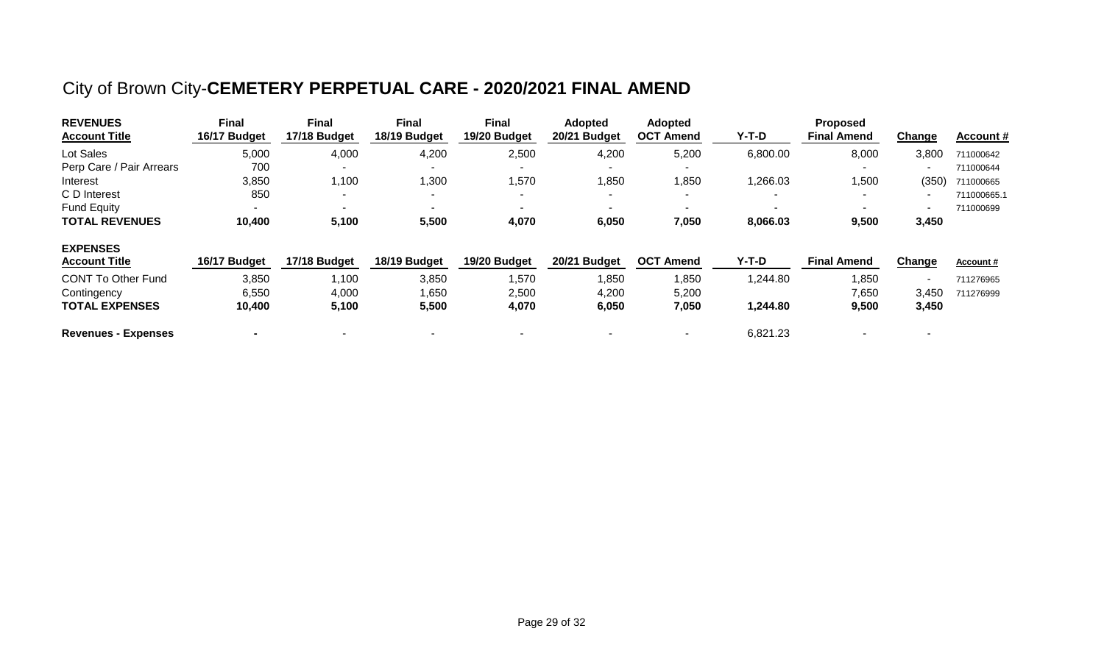## City of Brown City-**CEMETERY PERPETUAL CARE - 2020/2021 FINAL AMEND**

| <b>REVENUES</b><br><b>Account Title</b> | <b>Final</b><br>16/17 Budget | <b>Final</b><br>17/18 Budget | <b>Final</b><br>18/19 Budget | <b>Final</b><br>19/20 Budget | <b>Adopted</b><br>20/21 Budget | <b>Adopted</b><br><b>OCT Amend</b> | Y-T-D                    | <b>Proposed</b><br><b>Final Amend</b> | Ch <u>ange</u>           | Account#         |
|-----------------------------------------|------------------------------|------------------------------|------------------------------|------------------------------|--------------------------------|------------------------------------|--------------------------|---------------------------------------|--------------------------|------------------|
| Lot Sales                               | 5,000                        | 4,000                        | 4,200                        | 2,500                        | 4,200                          | 5,200                              | 6,800.00                 | 8,000                                 | 3,800                    | 711000642        |
| Perp Care / Pair Arrears                | 700                          | -                            |                              |                              |                                |                                    |                          |                                       | $\overline{\phantom{a}}$ | 711000644        |
| Interest                                | 3,850                        | 1,100                        | 1,300                        | 1,570                        | ,850                           | 1,850                              | 1,266.03                 | ,500                                  | (350)                    | 711000665        |
| C D Interest                            | 850                          | $\overline{\phantom{a}}$     | $\overline{\phantom{0}}$     | $\overline{\phantom{a}}$     | $\sim$                         | $\overline{\phantom{a}}$           | $\overline{\phantom{a}}$ | $\overline{\phantom{0}}$              | $\overline{\phantom{a}}$ | 711000665.1      |
| <b>Fund Equity</b>                      |                              | $\blacksquare$               | ۰.                           |                              | $\sim$                         |                                    |                          |                                       | $\overline{\phantom{0}}$ | 711000699        |
| <b>TOTAL REVENUES</b>                   | 10,400                       | 5,100                        | 5,500                        | 4,070                        | 6,050                          | 7,050                              | 8,066.03                 | 9,500                                 | 3,450                    |                  |
| <b>EXPENSES</b>                         |                              |                              |                              |                              |                                |                                    |                          |                                       |                          |                  |
| <b>Account Title</b>                    | 16/17 Budget                 | 17/18 Budget                 | 18/19 Budget                 | 19/20 Budget                 | 20/21 Budget                   | <b>OCT Amend</b>                   | Y-T-D                    | <b>Final Amend</b>                    | <u>Change</u>            | <b>Account #</b> |
| <b>CONT To Other Fund</b>               | 3,850                        | 1,100                        | 3,850                        | 1,570                        | ,850                           | 1,850                              | 1,244.80                 | ,850                                  | $\overline{\phantom{a}}$ | 711276965        |
| Contingency                             | 6,550                        | 4,000                        | 1,650                        | 2,500                        | 4,200                          | 5,200                              |                          | 7,650                                 | 3,450                    | 711276999        |
| <b>TOTAL EXPENSES</b>                   | 10,400                       | 5,100                        | 5,500                        | 4,070                        | 6,050                          | 7,050                              | 1,244.80                 | 9,500                                 | 3,450                    |                  |
| <b>Revenues - Expenses</b>              |                              | -                            | $\overline{\phantom{0}}$     |                              |                                | $\overline{\phantom{a}}$           | 6,821.23                 |                                       | $\overline{\phantom{0}}$ |                  |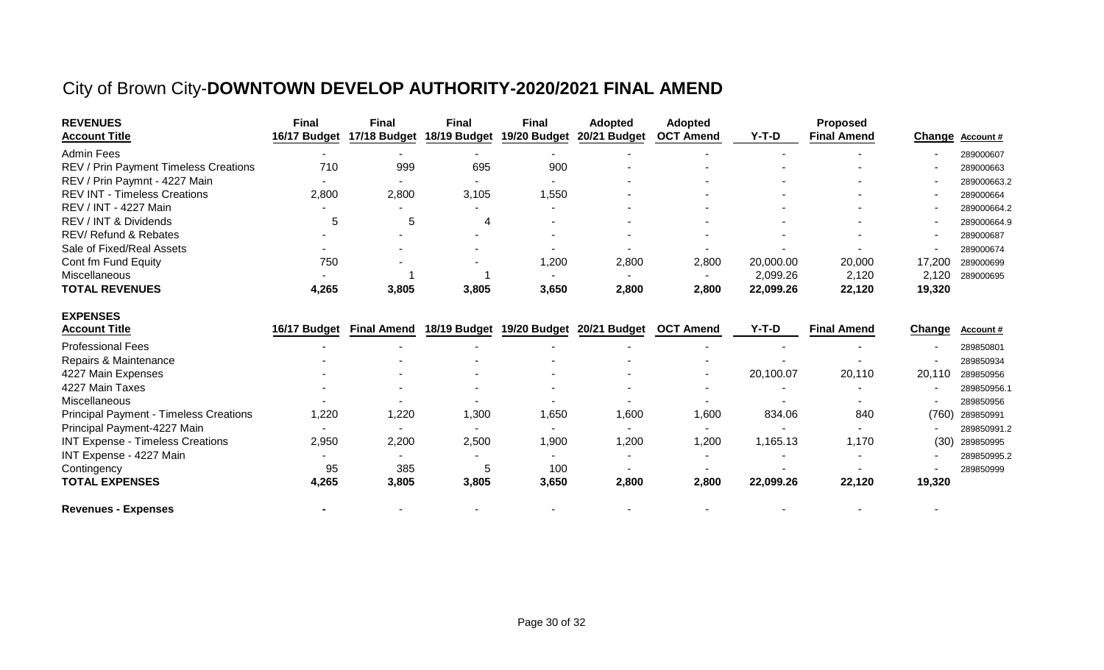## City of Brown City-**DOWNTOWN DEVELOP AUTHORITY-2020/2021 FINAL AMEND**

| <b>REVENUES</b>                               | <b>Final</b> | <b>Final</b>       | <b>Final</b> | <b>Final</b> | <b>Adopted</b>            | <b>Adopted</b>   |           | <b>Proposed</b>    |               |                  |
|-----------------------------------------------|--------------|--------------------|--------------|--------------|---------------------------|------------------|-----------|--------------------|---------------|------------------|
| <b>Account Title</b>                          | 16/17 Budget | 17/18 Budget       | 18/19 Budget | 19/20 Budget | 20/21 Budget              | <b>OCT Amend</b> | $Y-T-D$   | <b>Final Amend</b> | <b>Change</b> | <b>Account #</b> |
| <b>Admin Fees</b>                             |              |                    |              |              |                           |                  |           |                    |               | 289000607        |
| REV / Prin Payment Timeless Creations         | 710          | 999                | 695          | 900          |                           |                  |           |                    |               | 289000663        |
| REV / Prin Paymnt - 4227 Main                 |              |                    |              |              |                           |                  |           |                    |               | 289000663.2      |
| <b>REV INT - Timeless Creations</b>           | 2,800        | 2,800              | 3,105        | 1,550        |                           |                  |           |                    |               | 289000664        |
| REV / INT - 4227 Main                         |              |                    |              |              |                           |                  |           |                    |               | 289000664.2      |
| REV / INT & Dividends                         | 5            | 5                  | 4            |              |                           |                  |           |                    |               | 289000664.9      |
| REV/ Refund & Rebates                         |              |                    |              |              |                           |                  |           |                    |               | 289000687        |
| Sale of Fixed/Real Assets                     |              |                    |              |              |                           |                  |           |                    |               | 289000674        |
| Cont fm Fund Equity                           | 750          |                    |              | 1,200        | 2,800                     | 2,800            | 20,000.00 | 20,000             | 17,200        | 289000699        |
| Miscellaneous                                 |              |                    |              |              |                           |                  | 2,099.26  | 2,120              | 2,120         | 289000695        |
| <b>TOTAL REVENUES</b>                         | 4,265        | 3,805              | 3,805        | 3,650        | 2,800                     | 2,800            | 22,099.26 | 22,120             | 19,320        |                  |
| <b>EXPENSES</b>                               |              |                    |              |              |                           |                  |           |                    |               |                  |
| <b>Account Title</b>                          | 16/17 Budget | <b>Final Amend</b> | 18/19 Budget |              | 19/20 Budget 20/21 Budget | <b>OCT Amend</b> | $Y-T-D$   | <b>Final Amend</b> | <b>Change</b> | Account#         |
| <b>Professional Fees</b>                      |              |                    |              |              |                           |                  |           |                    |               | 289850801        |
| Repairs & Maintenance                         |              |                    |              |              |                           |                  |           |                    |               | 289850934        |
| 4227 Main Expenses                            |              |                    |              |              |                           |                  | 20,100.07 | 20,110             | 20,110        | 289850956        |
| 4227 Main Taxes                               |              |                    |              |              |                           |                  |           |                    |               | 289850956.1      |
| Miscellaneous                                 |              |                    |              |              |                           |                  |           |                    |               | 289850956        |
| <b>Principal Payment - Timeless Creations</b> | 1,220        | 1,220              | 1,300        | 1,650        | 1,600                     | 1,600            | 834.06    | 840                | (760)         | 289850991        |
| Principal Payment-4227 Main                   |              |                    |              |              |                           |                  |           |                    |               | 289850991.2      |
| <b>INT Expense - Timeless Creations</b>       | 2,950        | 2,200              | 2,500        | 1,900        | 1,200                     | 1,200            | 1,165.13  | 1,170              | (30)          | 289850995        |
| INT Expense - 4227 Main                       |              |                    |              |              |                           |                  |           |                    |               | 289850995.2      |
| Contingency                                   | 95           | 385                | 5            | 100          |                           |                  |           |                    |               | 289850999        |
| <b>TOTAL EXPENSES</b>                         | 4,265        | 3,805              | 3,805        | 3,650        | 2,800                     | 2,800            | 22,099.26 | 22,120             | 19,320        |                  |
| <b>Revenues - Expenses</b>                    |              |                    |              |              |                           |                  |           |                    |               |                  |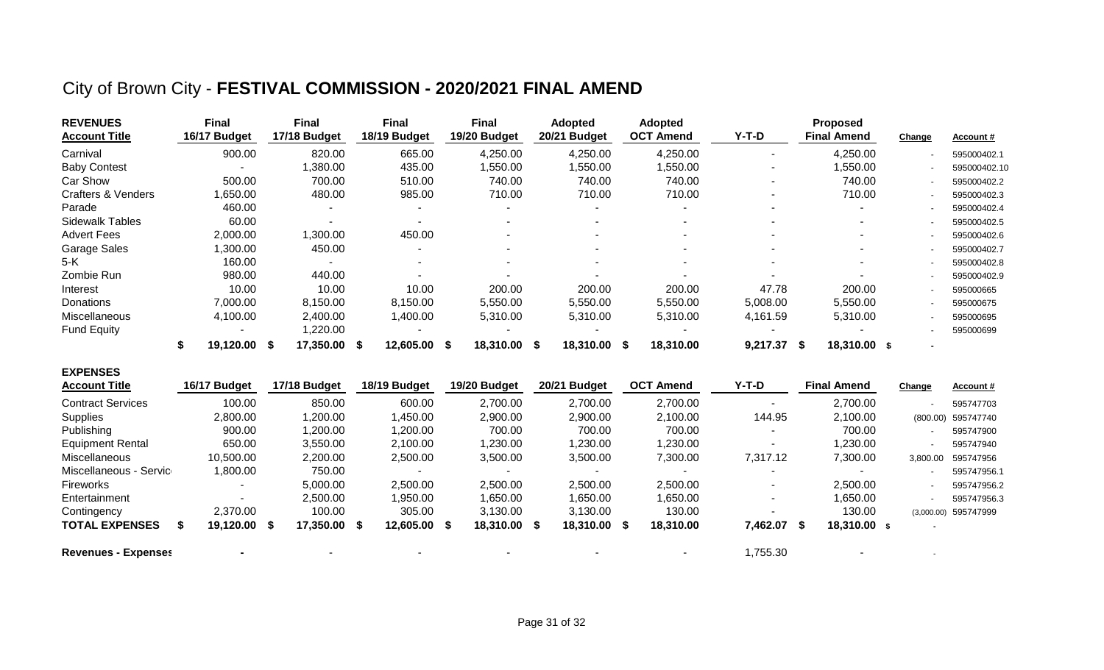## City of Brown City - **FESTIVAL COMMISSION - 2020/2021 FINAL AMEND**

| <b>REVENUES</b><br><b>Account Title</b> | Final<br>16/17 Budget    | Final<br>17/18 Budget | Final<br>18/19 Budget    | Final<br>19/20 Budget    | <b>Adopted</b><br>20/21 Budget | <b>Adopted</b><br><b>OCT Amend</b> | $Y-T-D$  | <b>Proposed</b><br><b>Final Amend</b> | Change | <b>Account #</b> |
|-----------------------------------------|--------------------------|-----------------------|--------------------------|--------------------------|--------------------------------|------------------------------------|----------|---------------------------------------|--------|------------------|
| Carnival                                | 900.00                   | 820.00                | 665.00                   | 4,250.00                 | 4,250.00                       | 4,250.00                           |          | 4,250.00                              |        | 595000402.1      |
| <b>Baby Contest</b>                     | $\overline{\phantom{a}}$ | ,380.00               | 435.00                   | ,550.00                  | ,550.00                        | 1,550.00                           |          | ,550.00                               |        | 595000402.10     |
| Car Show                                | 500.00                   | 700.00                | 510.00                   | 740.00                   | 740.00                         | 740.00                             |          | 740.00                                |        | 595000402.2      |
| <b>Crafters &amp; Venders</b>           | ,650.00                  | 480.00                | 985.00                   | 710.00                   | 710.00                         | 710.00                             | ۰        | 710.00                                |        | 595000402.3      |
| Parade                                  | 460.00                   |                       | $\tilde{\phantom{a}}$    |                          | ۰                              | $\overline{\phantom{0}}$           |          |                                       |        | 595000402.4      |
| <b>Sidewalk Tables</b>                  | 60.00                    |                       | $\overline{\phantom{a}}$ | $\overline{\phantom{a}}$ | $\sim$                         | $\overline{\phantom{a}}$           |          | $\tilde{\phantom{a}}$                 |        | 595000402.5      |
| <b>Advert Fees</b>                      | 2,000.00                 | ,300.00               | 450.00                   |                          |                                | $\overline{\phantom{a}}$           |          |                                       |        | 595000402.6      |
| <b>Garage Sales</b>                     | ,300.00                  | 450.00                |                          |                          |                                |                                    |          |                                       |        | 595000402.7      |
| 5-K                                     | 160.00                   |                       | $\tilde{\phantom{a}}$    | $\overline{\phantom{a}}$ | $\overline{\phantom{a}}$       | $\overline{\phantom{a}}$           |          |                                       |        | 595000402.8      |
| Zombie Run                              | 980.00                   | 440.00                |                          |                          |                                |                                    |          |                                       |        | 595000402.9      |
| Interest                                | 10.00                    | 10.00                 | 10.00                    | 200.00                   | 200.00                         | 200.00                             | 47.78    | 200.00                                |        | 595000665        |
| <b>Donations</b>                        | 7,000.00                 | 8,150.00              | 8,150.00                 | 5,550.00                 | 5,550.00                       | 5,550.00                           | 5,008.00 | 5,550.00                              |        | 595000675        |
| <b>Miscellaneous</b>                    | 4,100.00                 | 2,400.00              | 1,400.00                 | 5,310.00                 | 5,310.00                       | 5,310.00                           | 4,161.59 | 5,310.00                              |        | 595000695        |
| <b>Fund Equity</b>                      | ٠                        | ,220.00               |                          |                          |                                |                                    |          |                                       |        | 595000699        |
|                                         | 19,120.00 \$             | 17,350.00 \$          | 12,605.00 \$             | 18,310.00 \$             | 18,310.00 \$                   | 18,310.00                          | 9,217.37 | 18,310.00 \$<br>- \$                  |        |                  |

| <b>EXPENSES</b><br><b>Account Title</b> | 16/17 Budget | 17/18 Budget | 18/19 Budget | 19/20 Budget | 20/21 Budget | <b>OCT Amend</b> | Y-T-D                    | <b>Final Amend</b> | Change   | Account#             |
|-----------------------------------------|--------------|--------------|--------------|--------------|--------------|------------------|--------------------------|--------------------|----------|----------------------|
| <b>Contract Services</b>                | 100.00       | 850.00       | 600.00       | 2,700.00     | 2,700.00     | 2,700.00         | $\overline{\phantom{a}}$ | 2,700.00           |          | 595747703            |
| Supplies                                | 2,800.00     | 1,200.00     | ,450.00      | 2,900.00     | 2,900.00     | 2,100.00         | 144.95                   | 2,100.00           |          | (800.00) 595747740   |
| Publishing                              | 900.00       | 1,200.00     | ,200.00      | 700.00       | 700.00       | 700.00           |                          | 700.00             |          | 595747900            |
| <b>Equipment Rental</b>                 | 650.00       | 3,550.00     | 2,100.00     | 1,230.00     | 1,230.00     | 1,230.00         |                          | 1,230.00           |          | 595747940            |
| Miscellaneous                           | 10,500.00    | 2,200.00     | 2,500.00     | 3,500.00     | 3,500.00     | 7,300.00         | 7,317.12                 | 7,300.00           | 3,800.00 | 595747956            |
| Miscellaneous - Service                 | ,800.00      | 750.00       |              |              |              |                  | $\overline{\phantom{a}}$ |                    |          | 595747956.1          |
| Fireworks                               | ۰            | 5,000.00     | 2,500.00     | 2,500.00     | 2,500.00     | 2,500.00         |                          | 2,500.00           |          | 595747956.2          |
| Entertainment                           | ۰            | 2,500.00     | ,950.00      | 1,650.00     | 1,650.00     | 1,650.00         |                          | 1,650.00           |          | 595747956.3          |
| Contingency                             | 2,370.00     | 100.00       | 305.00       | 3,130.00     | 3.130.00     | 130.00           | $\overline{\phantom{a}}$ | 130.00             |          | (3,000.00) 595747999 |
| <b>TOTAL EXPENSES</b>                   | 19,120.00 \$ | 17,350.00 \$ | 12,605.00 \$ | 18,310.00 \$ | 18,310.00 \$ | 18,310.00        | 7,462.07 \$              | $18,310.00$ \$     | $\sim$   |                      |
| <b>Revenues - Expenses</b>              |              |              |              |              |              |                  | 1,755.30                 |                    |          |                      |